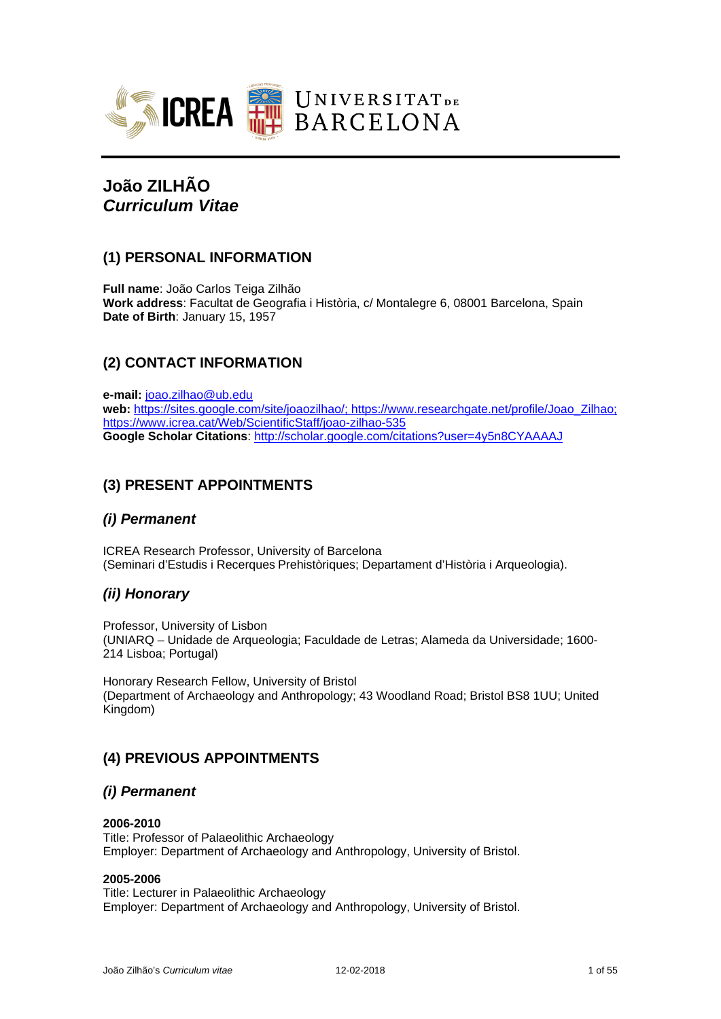

# **João ZILHÃO** *Curriculum Vitae*

# **(1) PERSONAL INFORMATION**

**Full name**: João Carlos Teiga Zilhão **Work address**: Facultat de Geografia i Història, c/ Montalegre 6, 08001 Barcelona, Spain **Date of Birth**: January 15, 1957

# **(2) CONTACT INFORMATION**

**e-mail:** [joao.zilhao@ub.edu](mailto:joao.zilhao@ub.edu) **web:** [https://sites.google.com/site/joaozilhao/;](https://sites.google.com/site/joaozilhao/) https://www.researchgate.net/profile/Joao\_Zilhao; https://www.icrea.cat/Web/ScientificStaff/joao-zilhao-535 **Google Scholar Citations**:<http://scholar.google.com/citations?user=4y5n8CYAAAAJ>

# **(3) PRESENT APPOINTMENTS**

# *(i) Permanent*

ICREA Research Professor, University of Barcelona (Seminari d'Estudis i Recerques Prehistòriques; Departament d'Història i Arqueologia).

# *(ii) Honorary*

Professor, University of Lisbon (UNIARQ – Unidade de Arqueologia; Faculdade de Letras; Alameda da Universidade; 1600- 214 Lisboa; Portugal)

Honorary Research Fellow, University of Bristol (Department of Archaeology and Anthropology; 43 Woodland Road; Bristol BS8 1UU; United Kingdom)

# **(4) PREVIOUS APPOINTMENTS**

# *(i) Permanent*

### **2006-2010**

Title: Professor of Palaeolithic Archaeology Employer: Department of Archaeology and Anthropology, University of Bristol.

### **2005-2006**

Title: Lecturer in Palaeolithic Archaeology Employer: Department of Archaeology and Anthropology, University of Bristol.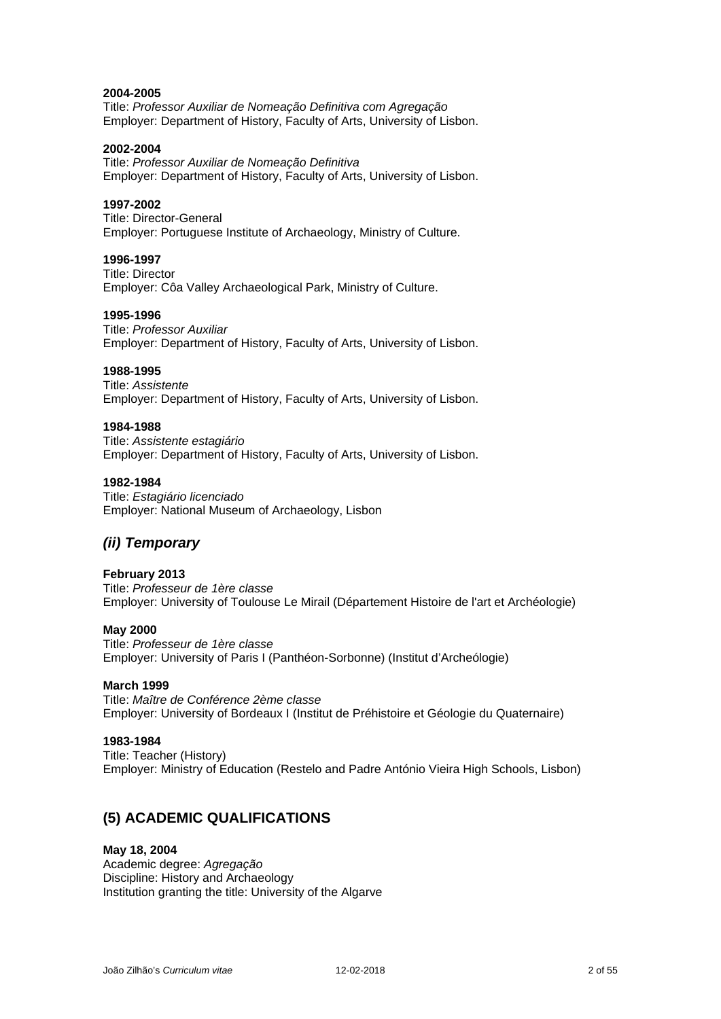### **2004-2005**

Title: *Professor Auxiliar de Nomeação Definitiva com Agregação* Employer: Department of History, Faculty of Arts, University of Lisbon.

#### **2002-2004**

Title: *Professor Auxiliar de Nomeação Definitiva* Employer: Department of History, Faculty of Arts, University of Lisbon.

### **1997-2002**

Title: Director-General Employer: Portuguese Institute of Archaeology, Ministry of Culture.

### **1996-1997**

Title: Director Employer: Côa Valley Archaeological Park, Ministry of Culture.

#### **1995-1996**

Title: *Professor Auxiliar* Employer: Department of History, Faculty of Arts, University of Lisbon.

#### **1988-1995**

Title: *Assistente* Employer: Department of History, Faculty of Arts, University of Lisbon.

### **1984-1988**

Title: *Assistente estagiário* Employer: Department of History, Faculty of Arts, University of Lisbon.

#### **1982-1984**

Title: *Estagiário licenciado* Employer: National Museum of Archaeology, Lisbon

# *(ii) Temporary*

### **February 2013**

Title: *Professeur de 1ère classe* Employer: University of Toulouse Le Mirail (Département Histoire de l'art et Archéologie)

#### **May 2000**

Title: *Professeur de 1ère classe* Employer: University of Paris I (Panthéon-Sorbonne) (Institut d'Archeólogie)

#### **March 1999**

Title: *Maître de Conférence 2ème classe* Employer: University of Bordeaux I (Institut de Préhistoire et Géologie du Quaternaire)

#### **1983-1984**

Title: Teacher (History) Employer: Ministry of Education (Restelo and Padre António Vieira High Schools, Lisbon)

# **(5) ACADEMIC QUALIFICATIONS**

### **May 18, 2004**

Academic degree: *Agregação* Discipline: History and Archaeology Institution granting the title: University of the Algarve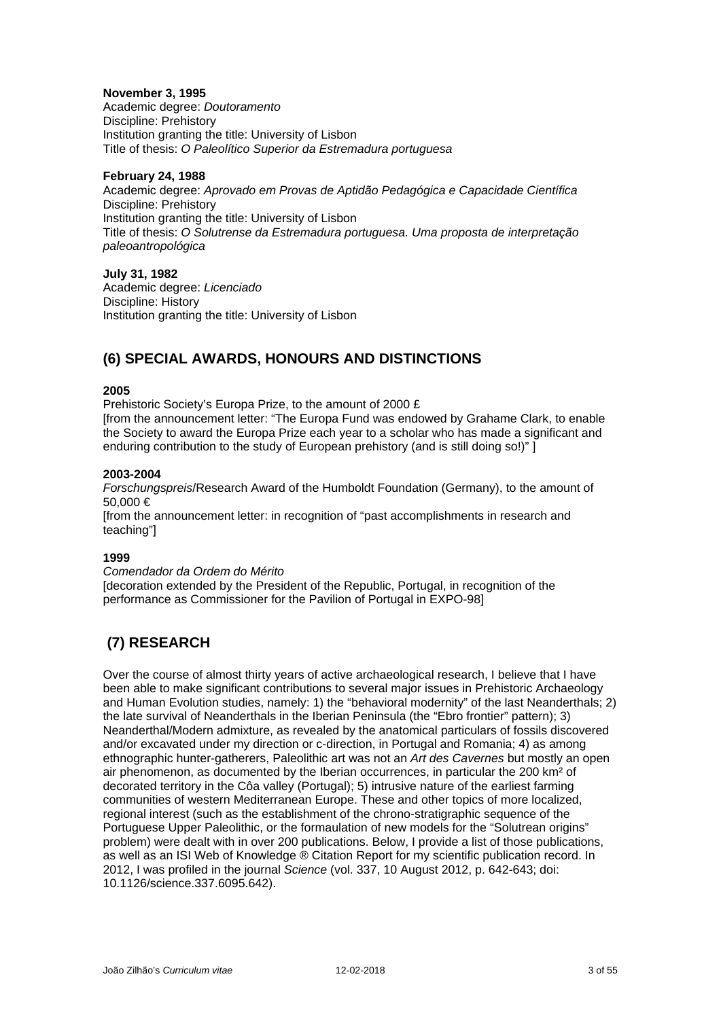### **November 3, 1995**

Academic degree: *Doutoramento* Discipline: Prehistory Institution granting the title: University of Lisbon Title of thesis: *O Paleolítico Superior da Estremadura portuguesa*

### **February 24, 1988**

Academic degree: *Aprovado em Provas de Aptidão Pedagógica e Capacidade Científica* Discipline: Prehistory Institution granting the title: University of Lisbon Title of thesis: *O Solutrense da Estremadura portuguesa. Uma proposta de interpretação paleoantropológica*

### **July 31, 1982**

Academic degree: *Licenciado* Discipline: History Institution granting the title: University of Lisbon

# **(6) SPECIAL AWARDS, HONOURS AND DISTINCTIONS**

### **2005**

Prehistoric Society's Europa Prize, to the amount of 2000 £ [from the announcement letter: "The Europa Fund was endowed by Grahame Clark, to enable the Society to award the Europa Prize each year to a scholar who has made a significant and enduring contribution to the study of European prehistory (and is still doing so!)" ]

### **2003-2004**

*Forschungspreis*/Research Award of the Humboldt Foundation (Germany), to the amount of 50,000 €

[from the announcement letter: in recognition of "past accomplishments in research and teaching"]

### **1999**

*Comendador da Ordem do Mérito*

[decoration extended by the President of the Republic, Portugal, in recognition of the performance as Commissioner for the Pavilion of Portugal in EXPO-98]

# **(7) RESEARCH**

Over the course of almost thirty years of active archaeological research, I believe that I have been able to make significant contributions to several major issues in Prehistoric Archaeology and Human Evolution studies, namely: 1) the "behavioral modernity" of the last Neanderthals; 2) the late survival of Neanderthals in the Iberian Peninsula (the "Ebro frontier" pattern); 3) Neanderthal/Modern admixture, as revealed by the anatomical particulars of fossils discovered and/or excavated under my direction or c-direction, in Portugal and Romania; 4) as among ethnographic hunter-gatherers, Paleolithic art was not an *Art des Cavernes* but mostly an open air phenomenon, as documented by the Iberian occurrences, in particular the 200 km² of decorated territory in the Côa valley (Portugal); 5) intrusive nature of the earliest farming communities of western Mediterranean Europe. These and other topics of more localized, regional interest (such as the establishment of the chrono-stratigraphic sequence of the Portuguese Upper Paleolithic, or the formaulation of new models for the "Solutrean origins" problem) were dealt with in over 200 publications. Below, I provide a list of those publications, as well as an ISI Web of Knowledge ® Citation Report for my scientific publication record. In 2012, I was profiled in the journal *Science* (vol. 337, 10 August 2012, p. 642-643; doi: 10.1126/science.337.6095.642).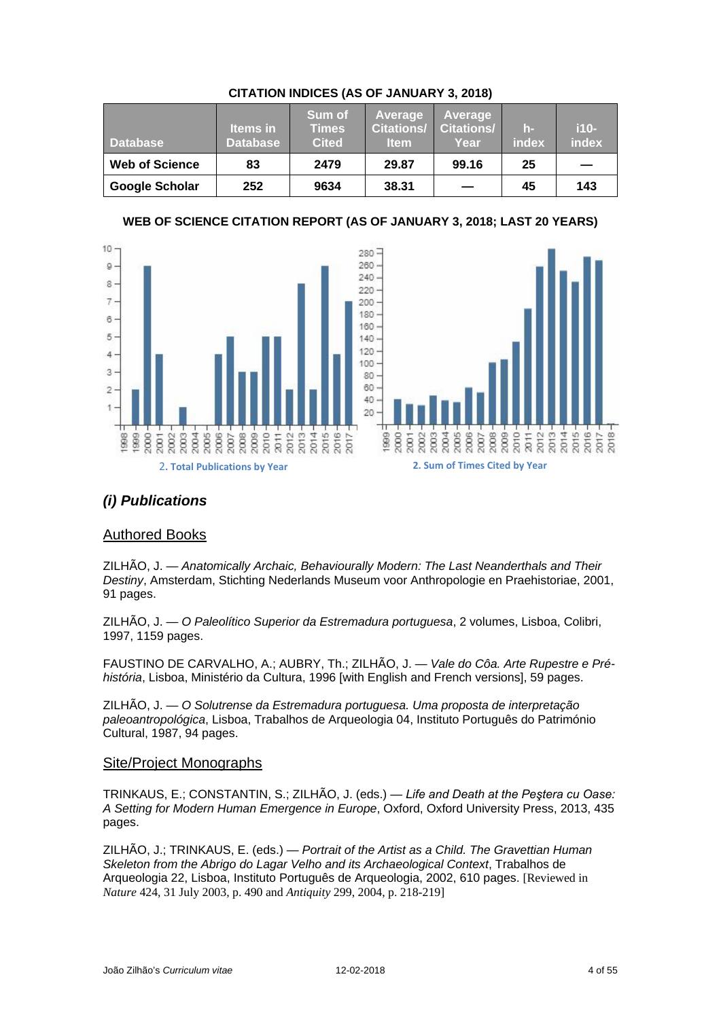| <b>Database</b>       | <b>Items</b> in<br><b>Database</b> | <b>Sum of</b><br><b>Times</b><br><b>Cited</b> | Average<br><b>Citations/</b><br><b>Item</b> | Average<br><b>Citations/</b><br>Year | h-<br>index | $i10-$<br>index |
|-----------------------|------------------------------------|-----------------------------------------------|---------------------------------------------|--------------------------------------|-------------|-----------------|
| <b>Web of Science</b> | 83                                 | 2479                                          | 29.87                                       | 99.16                                | 25          |                 |
| <b>Google Scholar</b> | 252                                | 9634                                          | 38.31                                       |                                      | 45          | 143             |

## **CITATION INDICES (AS OF JANUARY 3, 2018)**

# **WEB OF SCIENCE CITATION REPORT (AS OF JANUARY 3, 2018; LAST 20 YEARS)**





# *(i) Publications*

# Authored Books

ZILHÃO, J. — *Anatomically Archaic, Behaviourally Modern: The Last Neanderthals and Their Destiny*, Amsterdam, Stichting Nederlands Museum voor Anthropologie en Praehistoriae, 2001, 91 pages.

ZILHÃO, J. — *O Paleolítico Superior da Estremadura portuguesa*, 2 volumes, Lisboa, Colibri, 1997, 1159 pages.

FAUSTINO DE CARVALHO, A.; AUBRY, Th.; ZILHÃO, J. — *Vale do Côa. Arte Rupestre e Préhistória*, Lisboa, Ministério da Cultura, 1996 [with English and French versions], 59 pages.

ZILHÃO, J. — *O Solutrense da Estremadura portuguesa. Uma proposta de interpretação paleoantropológica*, Lisboa, Trabalhos de Arqueologia 04, Instituto Português do Património Cultural, 1987, 94 pages.

### Site/Project Monographs

TRINKAUS, E.; CONSTANTIN, S.; ZILHÃO, J. (eds.) — *Life and Death at the Peştera cu Oase: A Setting for Modern Human Emergence in Europe*, Oxford, Oxford University Press, 2013, 435 pages.

ZILHÃO, J.; TRINKAUS, E. (eds.) — *Portrait of the Artist as a Child. The Gravettian Human Skeleton from the Abrigo do Lagar Velho and its Archaeological Context*, Trabalhos de Arqueologia 22, Lisboa, Instituto Português de Arqueologia, 2002, 610 pages. [Reviewed in *Nature* 424, 31 July 2003, p. 490 and *Antiquity* 299, 2004, p. 218-219]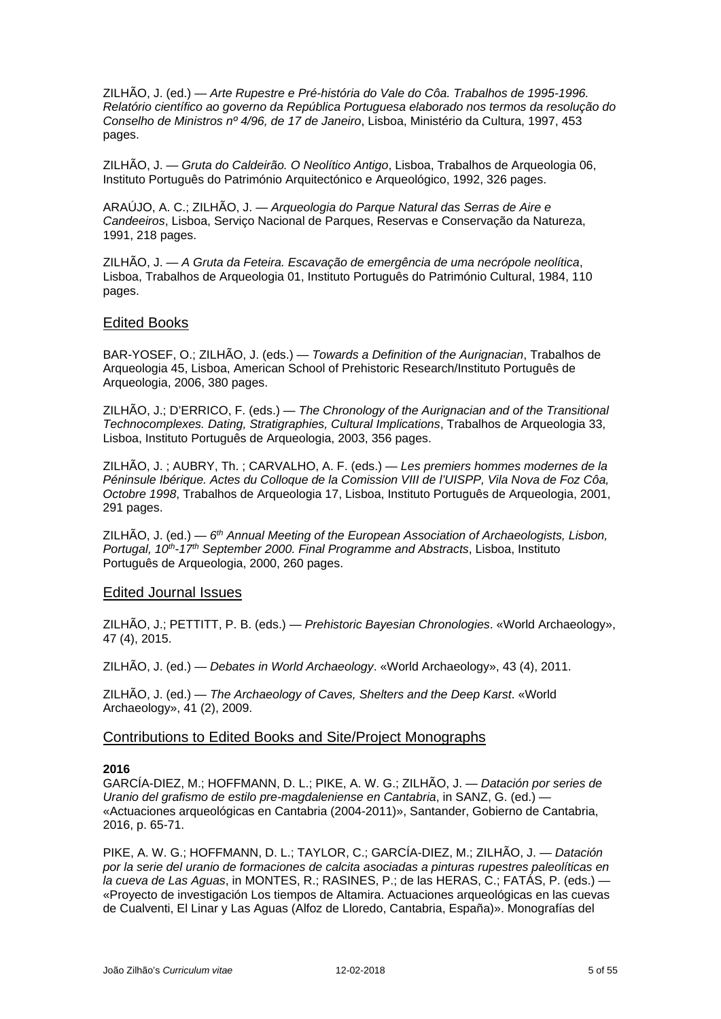ZILHÃO, J. (ed.) — *Arte Rupestre e Pré-história do Vale do Côa. Trabalhos de 1995-1996. Relatório científico ao governo da República Portuguesa elaborado nos termos da resolução do Conselho de Ministros nº 4/96, de 17 de Janeiro*, Lisboa, Ministério da Cultura, 1997, 453 pages.

ZILHÃO, J. — *Gruta do Caldeirão. O Neolítico Antigo*, Lisboa, Trabalhos de Arqueologia 06, Instituto Português do Património Arquitectónico e Arqueológico, 1992, 326 pages.

ARAÚJO, A. C.; ZILHÃO, J. — *Arqueologia do Parque Natural das Serras de Aire e Candeeiros*, Lisboa, Serviço Nacional de Parques, Reservas e Conservação da Natureza, 1991, 218 pages.

ZILHÃO, J. — *A Gruta da Feteira. Escavação de emergência de uma necrópole neolítica*, Lisboa, Trabalhos de Arqueologia 01, Instituto Português do Património Cultural, 1984, 110 pages.

### Edited Books

BAR-YOSEF, O.; ZILHÃO, J. (eds.) — *Towards a Definition of the Aurignacian*, Trabalhos de Arqueologia 45, Lisboa, American School of Prehistoric Research/Instituto Português de Arqueologia, 2006, 380 pages.

ZILHÃO, J.; D'ERRICO, F. (eds.) — *The Chronology of the Aurignacian and of the Transitional Technocomplexes. Dating, Stratigraphies, Cultural Implications*, Trabalhos de Arqueologia 33, Lisboa, Instituto Português de Arqueologia, 2003, 356 pages.

ZILHÃO, J. ; AUBRY, Th. ; CARVALHO, A. F. (eds.) — *Les premiers hommes modernes de la Péninsule Ibérique. Actes du Colloque de la Comission VIII de l'UISPP, Vila Nova de Foz Côa, Octobre 1998*, Trabalhos de Arqueologia 17, Lisboa, Instituto Português de Arqueologia, 2001, 291 pages.

ZILHÃO, J. (ed.) — *6th Annual Meeting of the European Association of Archaeologists, Lisbon, Portugal, 10th-17th September 2000. Final Programme and Abstracts*, Lisboa, Instituto Português de Arqueologia, 2000, 260 pages.

### Edited Journal Issues

ZILHÃO, J.; PETTITT, P. B. (eds.) — *Prehistoric Bayesian Chronologies*. «World Archaeology», 47 (4), 2015.

ZILHÃO, J. (ed.) — *Debates in World Archaeology*. «World Archaeology», 43 (4), 2011.

ZILHÃO, J. (ed.) — *The Archaeology of Caves, Shelters and the Deep Karst*. «World Archaeology», 41 (2), 2009.

### Contributions to Edited Books and Site/Project Monographs

### **2016**

GARCÍA-DIEZ, M.; HOFFMANN, D. L.; PIKE, A. W. G.; ZILHÃO, J. — *Datación por series de Uranio del grafismo de estilo pre-magdaleniense en Cantabria*, in SANZ, G. (ed.) — «Actuaciones arqueológicas en Cantabria (2004-2011)», Santander, Gobierno de Cantabria, 2016, p. 65-71.

PIKE, A. W. G.; HOFFMANN, D. L.; TAYLOR, C.; GARCÍA-DIEZ, M.; ZILHÃO, J. — *Datación por la serie del uranio de formaciones de calcita asociadas a pinturas rupestres paleolíticas en la cueva de Las Aguas*, in MONTES, R.; RASINES, P.; de las HERAS, C.; FATÁS, P. (eds.) — «Proyecto de investigación Los tiempos de Altamira. Actuaciones arqueológicas en las cuevas de Cualventi, El Linar y Las Aguas (Alfoz de Lloredo, Cantabria, España)». Monografías del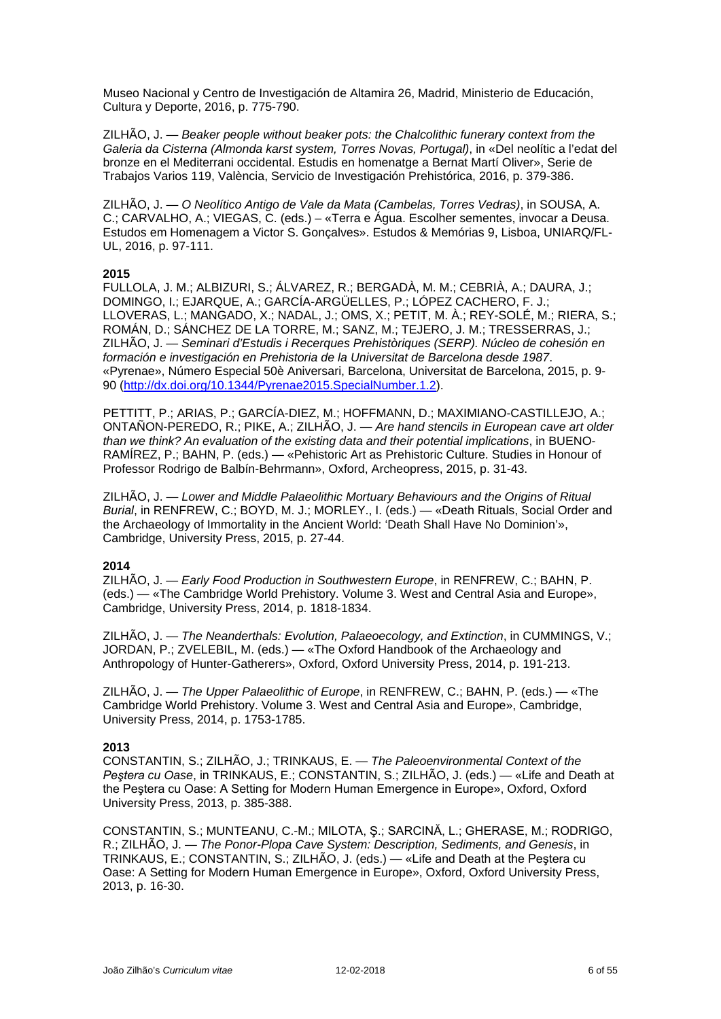Museo Nacional y Centro de Investigación de Altamira 26, Madrid, Ministerio de Educación, Cultura y Deporte, 2016, p. 775-790.

ZILHÃO, J. *— Beaker people without beaker pots: the Chalcolithic funerary context from the Galeria da Cisterna (Almonda karst system, Torres Novas, Portugal)*, in «Del neolític a l'edat del bronze en el Mediterrani occidental. Estudis en homenatge a Bernat Martí Oliver», Serie de Trabajos Varios 119, València, Servicio de Investigación Prehistórica, 2016, p. 379-386.

ZILHÃO, J. — *O Neolítico Antigo de Vale da Mata (Cambelas, Torres Vedras)*, in SOUSA, A. C.; CARVALHO, A.; VIEGAS, C. (eds.) – «Terra e Água. Escolher sementes, invocar a Deusa. Estudos em Homenagem a Victor S. Gonçalves». Estudos & Memórias 9, Lisboa, UNIARQ/FL-UL, 2016, p. 97-111.

#### **2015**

FULLOLA, J. M.; ALBIZURI, S.; ÁLVAREZ, R.; BERGADÀ, M. M.; CEBRIÀ, A.; DAURA, J.; DOMINGO, I.; EJARQUE, A.; GARCÍA-ARGÜELLES, P.; LÓPEZ CACHERO, F. J.; LLOVERAS, L.; MANGADO, X.; NADAL, J.; OMS, X.; PETIT, M. À.; REY-SOLÉ, M.; RIERA, S.; ROMÁN, D.; SÁNCHEZ DE LA TORRE, M.; SANZ, M.; TEJERO, J. M.; TRESSERRAS, J.; ZILHÃO, J. — *Seminari d'Estudis i Recerques Prehistòriques (SERP). Núcleo de cohesión en formación e investigación en Prehistoria de la Universitat de Barcelona desde 1987*. «Pyrenae», Número Especial 50è Aniversari, Barcelona, Universitat de Barcelona, 2015, p. 9- 90 [\(http://dx.doi.org/10.1344/Pyrenae2015.SpecialNumber.1.2\)](http://dx.doi.org/10.1344/Pyrenae2015.SpecialNumber.1.2).

PETTITT, P.; ARIAS, P.; GARCÍA-DIEZ, M.; HOFFMANN, D.; MAXIMIANO-CASTILLEJO, A.; ONTAÑON-PEREDO, R.; PIKE, A.; ZILHÃO, J. — *Are hand stencils in European cave art older than we think? An evaluation of the existing data and their potential implications*, in BUENO-RAMÍREZ, P.; BAHN, P. (eds.) — «Pehistoric Art as Prehistoric Culture. Studies in Honour of Professor Rodrigo de Balbín-Behrmann», Oxford, Archeopress, 2015, p. 31-43.

ZILHÃO, J. — *Lower and Middle Palaeolithic Mortuary Behaviours and the Origins of Ritual Burial*, in RENFREW, C.; BOYD, M. J.; MORLEY., I. (eds.) — «Death Rituals, Social Order and the Archaeology of Immortality in the Ancient World: 'Death Shall Have No Dominion'», Cambridge, University Press, 2015, p. 27-44.

### **2014**

ZILHÃO, J. — *Early Food Production in Southwestern Europe*, in RENFREW, C.; BAHN, P. (eds.) — «The Cambridge World Prehistory. Volume 3. West and Central Asia and Europe», Cambridge, University Press, 2014, p. 1818-1834.

ZILHÃO, J. — *The Neanderthals: Evolution, Palaeoecology, and Extinction*, in CUMMINGS, V.; JORDAN, P.; ZVELEBIL, M. (eds.) — [«The Oxford Handbook of the Archaeology and](http://www.oxfordhandbooks.com/view/10.1093/oxfordhb/9780199551224.001.0001/oxfordhb-9780199551224)  [Anthropology of Hunter-Gatherers»](http://www.oxfordhandbooks.com/view/10.1093/oxfordhb/9780199551224.001.0001/oxfordhb-9780199551224), Oxford, Oxford University Press, 2014, p. 191-213.

ZILHÃO, J. — *The Upper Palaeolithic of Europe*, in RENFREW, C.; BAHN, P. (eds.) — «The Cambridge World Prehistory. Volume 3. West and Central Asia and Europe», Cambridge, University Press, 2014, p. 1753-1785.

#### **2013**

CONSTANTIN, S.; ZILHÃO, J.; TRINKAUS, E. — *The Paleoenvironmental Context of the Peştera cu Oase*, in TRINKAUS, E.; CONSTANTIN, S.; ZILHÃO, J. (eds.) — «Life and Death at the Peştera cu Oase: A Setting for Modern Human Emergence in Europe», Oxford, Oxford University Press, 2013, p. 385-388.

CONSTANTIN, S.; MUNTEANU, C.-M.; MILOTA, Ş.; SARCINĂ, L.; GHERASE, M.; RODRIGO, R.; ZILHÃO, J. — *The Ponor-Plopa Cave System: Description, Sediments, and Genesis*, in TRINKAUS, E.; CONSTANTIN, S.; ZILHÃO, J. (eds.) — «Life and Death at the Peştera cu Oase: A Setting for Modern Human Emergence in Europe», Oxford, Oxford University Press, 2013, p. 16-30.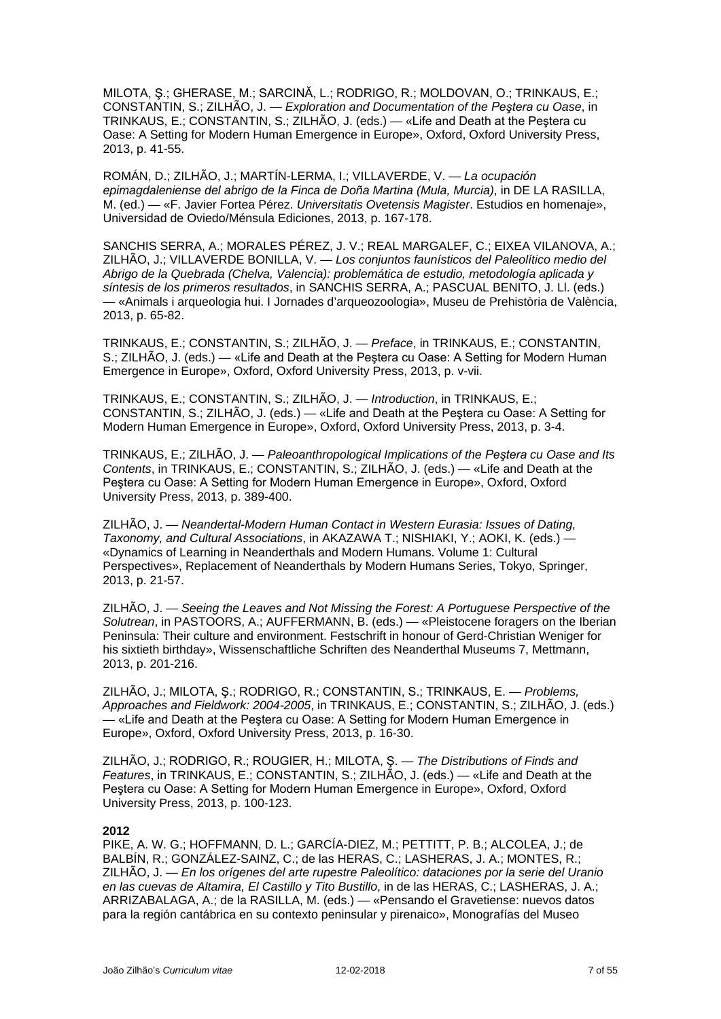MILOTA, Ş.; GHERASE, M.; SARCINĂ, L.; RODRIGO, R.; MOLDOVAN, O.; TRINKAUS, E.; CONSTANTIN, S.; ZILHÃO, J. — *Exploration and Documentation of the Peştera cu Oase*, in TRINKAUS, E.; CONSTANTIN, S.; ZILHÃO, J. (eds.) — «Life and Death at the Peştera cu Oase: A Setting for Modern Human Emergence in Europe», Oxford, Oxford University Press, 2013, p. 41-55.

ROMÁN, D.; ZILHÃO, J.; MARTÍN-LERMA, I.; VILLAVERDE, V. — *La ocupación epimagdaleniense del abrigo de la Finca de Doña Martina (Mula, Murcia)*, in DE LA RASILLA, M. (ed.) — «F. Javier Fortea Pérez. *Universitatis Ovetensis Magister*. Estudios en homenaje», Universidad de Oviedo/Ménsula Ediciones, 2013, p. 167-178.

SANCHIS SERRA, A.; MORALES PÉREZ, J. V.; REAL MARGALEF, C.; EIXEA VILANOVA, A.; ZILHÃO, J.; VILLAVERDE BONILLA, V. — *Los conjuntos faunísticos del Paleolítico medio del Abrigo de la Quebrada (Chelva, Valencia): problemática de estudio, metodología aplicada y síntesis de los primeros resultados*, in SANCHIS SERRA, A.; PASCUAL BENITO, J. Ll. (eds.) — «Animals i arqueologia hui. I Jornades d'arqueozoologia», Museu de Prehistòria de València, 2013, p. 65-82.

TRINKAUS, E.; CONSTANTIN, S.; ZILHÃO, J. — *Preface*, in TRINKAUS, E.; CONSTANTIN, S.; ZILHÃO, J. (eds.) — «Life and Death at the Peştera cu Oase: A Setting for Modern Human Emergence in Europe», Oxford, Oxford University Press, 2013, p. v-vii.

TRINKAUS, E.; CONSTANTIN, S.; ZILHÃO, J. — *Introduction*, in TRINKAUS, E.; CONSTANTIN, S.; ZILHÃO, J. (eds.) — «Life and Death at the Peştera cu Oase: A Setting for Modern Human Emergence in Europe», Oxford, Oxford University Press, 2013, p. 3-4.

TRINKAUS, E.; ZILHÃO, J. — *Paleoanthropological Implications of the Peştera cu Oase and Its Contents*, in TRINKAUS, E.; CONSTANTIN, S.; ZILHÃO, J. (eds.) — «Life and Death at the Peştera cu Oase: A Setting for Modern Human Emergence in Europe», Oxford, Oxford University Press, 2013, p. 389-400.

ZILHÃO, J. — *Neandertal-Modern Human Contact in Western Eurasia: Issues of Dating, Taxonomy, and Cultural Associations*, in AKAZAWA T.; NISHIAKI, Y.; AOKI, K. (eds.) — «Dynamics of Learning in Neanderthals and Modern Humans. Volume 1: Cultural Perspectives», Replacement of Neanderthals by Modern Humans Series, Tokyo, Springer, 2013, p. 21-57.

ZILHÃO, J. — *Seeing the Leaves and Not Missing the Forest: A Portuguese Perspective of the Solutrean*, in PASTOORS, A.; AUFFERMANN, B. (eds.) — «Pleistocene foragers on the Iberian Peninsula: Their culture and environment. Festschrift in honour of Gerd-Christian Weniger for his sixtieth birthday», Wissenschaftliche Schriften des Neanderthal Museums 7, Mettmann, 2013, p. 201-216.

ZILHÃO, J.; MILOTA, Ş.; RODRIGO, R.; CONSTANTIN, S.; TRINKAUS, E. — *Problems, Approaches and Fieldwork: 2004-2005*, in TRINKAUS, E.; CONSTANTIN, S.; ZILHÃO, J. (eds.) — «Life and Death at the Peştera cu Oase: A Setting for Modern Human Emergence in Europe», Oxford, Oxford University Press, 2013, p. 16-30.

ZILHÃO, J.; RODRIGO, R.; ROUGIER, H.; MILOTA, Ş. — *The Distributions of Finds and Features*, in TRINKAUS, E.; CONSTANTIN, S.; ZILHÃO, J. (eds.) — «Life and Death at the Peştera cu Oase: A Setting for Modern Human Emergence in Europe», Oxford, Oxford University Press, 2013, p. 100-123.

### **2012**

PIKE, A. W. G.; HOFFMANN, D. L.; GARCÍA-DIEZ, M.; PETTITT, P. B.; ALCOLEA, J.; de BALBÍN, R.; GONZÁLEZ-SAINZ, C.; de las HERAS, C.; LASHERAS, J. A.; MONTES, R.; ZILHÃO, J. — *En los orígenes del arte rupestre Paleolítico: dataciones por la serie del Uranio en las cuevas de Altamira, El Castillo y Tito Bustillo*, in de las HERAS, C.; LASHERAS, J. A.; ARRIZABALAGA, A.; de la RASILLA, M. (eds.) — «Pensando el Gravetiense: nuevos datos para la región cantábrica en su contexto peninsular y pirenaico», Monografías del Museo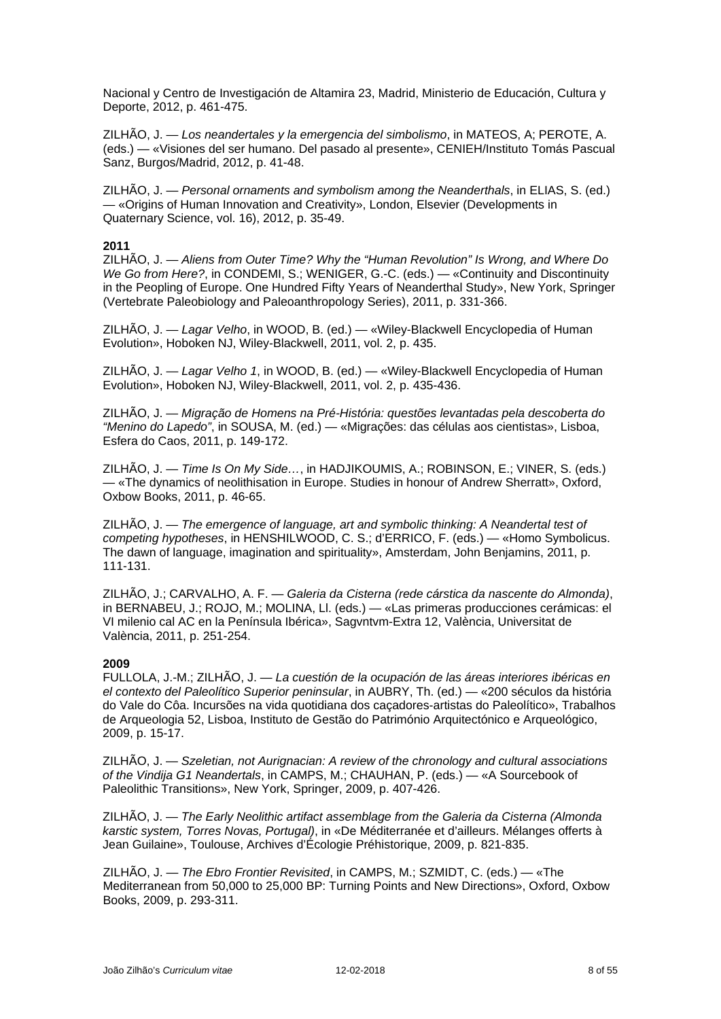Nacional y Centro de Investigación de Altamira 23, Madrid, Ministerio de Educación, Cultura y Deporte, 2012, p. 461-475.

ZILHÃO, J. — *Los neandertales y la emergencia del simbolismo*, in MATEOS, A; PEROTE, A. (eds.) — «Visiones del ser humano. Del pasado al presente», CENIEH/Instituto Tomás Pascual Sanz, Burgos/Madrid, 2012, p. 41-48.

ZILHÃO, J. — *Personal ornaments and symbolism among the Neanderthals*, in ELIAS, S. (ed.) — «Origins of Human Innovation and Creativity», London, Elsevier (Developments in Quaternary Science, vol. 16), 2012, p. 35-49.

### **2011**

ZILHÃO, J. — *Aliens from Outer Time? Why the "Human Revolution" Is Wrong, and Where Do We Go from Here?*, in CONDEMI, S.; WENIGER, G.-C. (eds.) — «Continuity and Discontinuity in the Peopling of Europe. One Hundred Fifty Years of Neanderthal Study», New York, Springer (Vertebrate Paleobiology and Paleoanthropology Series), 2011, p. 331-366.

ZILHÃO, J. — *Lagar Velho*, in WOOD, B. (ed.) — «Wiley-Blackwell Encyclopedia of Human Evolution», Hoboken NJ, Wiley-Blackwell, 2011, vol. 2, p. 435.

ZILHÃO, J. — *Lagar Velho 1*, in WOOD, B. (ed.) — «Wiley-Blackwell Encyclopedia of Human Evolution», Hoboken NJ, Wiley-Blackwell, 2011, vol. 2, p. 435-436.

ZILHÃO, J. — *Migração de Homens na Pré-História: questões levantadas pela descoberta do "Menino do Lapedo"*, in SOUSA, M. (ed.) — «Migrações: das células aos cientistas», Lisboa, Esfera do Caos, 2011, p. 149-172.

ZILHÃO, J. — *Time Is On My Side…*, in HADJIKOUMIS, A.; ROBINSON, E.; VINER, S. (eds.) — «The dynamics of neolithisation in Europe. Studies in honour of Andrew Sherratt», Oxford, Oxbow Books, 2011, p. 46-65.

ZILHÃO, J. — *The emergence of language, art and symbolic thinking: A Neandertal test of competing hypotheses*, in HENSHILWOOD, C. S.; d'ERRICO, F. (eds.) — «Homo Symbolicus. The dawn of language, imagination and spirituality», Amsterdam, John Benjamins, 2011, p. 111-131.

ZILHÃO, J.; CARVALHO, A. F. — *Galeria da Cisterna (rede cárstica da nascente do Almonda)*, in BERNABEU, J.; ROJO, M.; MOLINA, Ll. (eds.) — «Las primeras producciones cerámicas: el VI milenio cal AC en la Península Ibérica», Sagvntvm-Extra 12, València, Universitat de València, 2011, p. 251-254.

### **2009**

FULLOLA, J.-M.; ZILHÃO, J. — *La cuestión de la ocupación de las áreas interiores ibéricas en el contexto del Paleolítico Superior peninsular*, in AUBRY, Th. (ed.) — «200 séculos da história do Vale do Côa. Incursões na vida quotidiana dos caçadores-artistas do Paleolítico», Trabalhos de Arqueologia 52, Lisboa, Instituto de Gestão do Património Arquitectónico e Arqueológico, 2009, p. 15-17.

ZILHÃO, J. — *Szeletian, not Aurignacian: A review of the chronology and cultural associations of the Vindija G1 Neandertals*, in CAMPS, M.; CHAUHAN, P. (eds.) — «A Sourcebook of Paleolithic Transitions», New York, Springer, 2009, p. 407-426.

ZILHÃO, J. — *The Early Neolithic artifact assemblage from the Galeria da Cisterna (Almonda karstic system, Torres Novas, Portugal)*, in «De Méditerranée et d'ailleurs. Mélanges offerts à Jean Guilaine», Toulouse, Archives d'Écologie Préhistorique, 2009, p. 821-835.

ZILHÃO, J. — *The Ebro Frontier Revisited*, in CAMPS, M.; SZMIDT, C. (eds.) — «The Mediterranean from 50,000 to 25,000 BP: Turning Points and New Directions», Oxford, Oxbow Books, 2009, p. 293-311.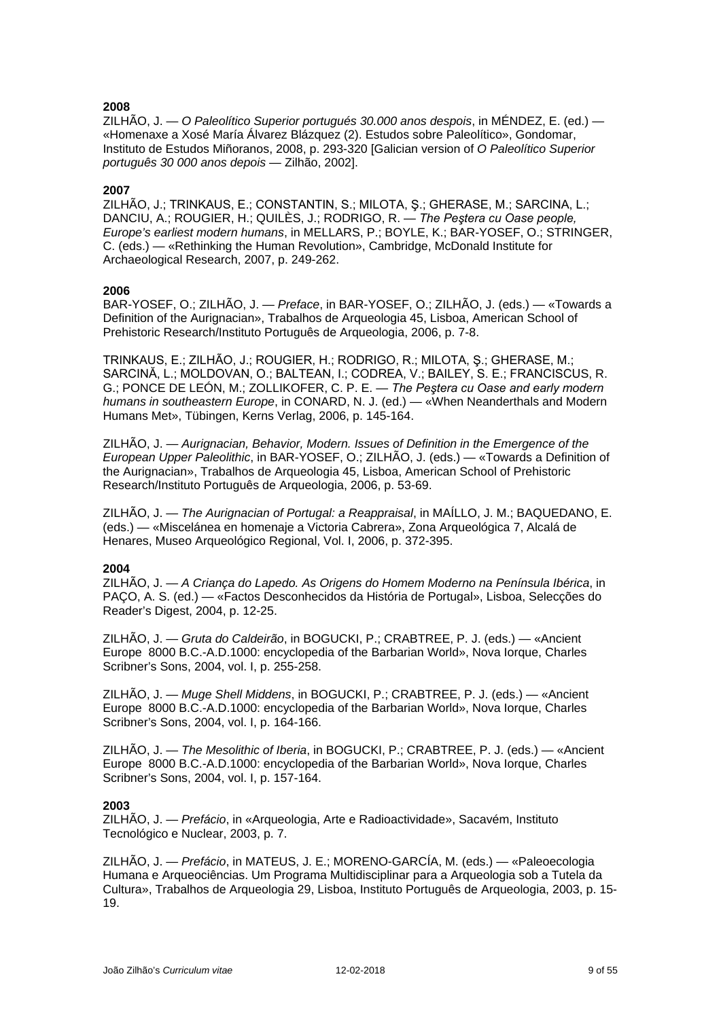ZILHÃO, J. — *O Paleolítico Superior portugués 30.000 anos despois*, in MÉNDEZ, E. (ed.) — «Homenaxe a Xosé María Álvarez Blázquez (2). Estudos sobre Paleolítico», Gondomar, Instituto de Estudos Miñoranos, 2008, p. 293-320 [Galician version of *O Paleolítico Superior português 30 000 anos depois* — Zilhão, 2002].

### **2007**

ZILHÃO, J.; TRINKAUS, E.; CONSTANTIN, S.; MILOTA, Ş.; GHERASE, M.; SARCINA, L.; DANCIU, A.; ROUGIER, H.; QUILÈS, J.; RODRIGO, R. — *The Peştera cu Oase people, Europe's earliest modern humans*, in MELLARS, P.; BOYLE, K.; BAR-YOSEF, O.; STRINGER, C. (eds.) — «Rethinking the Human Revolution», Cambridge, McDonald Institute for Archaeological Research, 2007, p. 249-262.

### **2006**

BAR-YOSEF, O.; ZILHÃO, J. — *Preface*, in BAR-YOSEF, O.; ZILHÃO, J. (eds.) — «Towards a Definition of the Aurignacian», Trabalhos de Arqueologia 45, Lisboa, American School of Prehistoric Research/Instituto Português de Arqueologia, 2006, p. 7-8.

TRINKAUS, E.; ZILHÃO, J.; ROUGIER, H.; RODRIGO, R.; MILOTA, Ş.; GHERASE, M.; SARCINĂ, L.; MOLDOVAN, O.; BALTEAN, I.; CODREA, V.; BAILEY, S. E.; FRANCISCUS, R. G.; PONCE DE LEÓN, M.; ZOLLIKOFER, C. P. E. — *The Peştera cu Oase and early modern humans in southeastern Europe*, in CONARD, N. J. (ed.) — «When Neanderthals and Modern Humans Met», Tübingen, Kerns Verlag, 2006, p. 145-164.

ZILHÃO, J. — *Aurignacian, Behavior, Modern. Issues of Definition in the Emergence of the European Upper Paleolithic*, in BAR-YOSEF, O.; ZILHÃO, J. (eds.) — «Towards a Definition of the Aurignacian», Trabalhos de Arqueologia 45, Lisboa, American School of Prehistoric Research/Instituto Português de Arqueologia, 2006, p. 53-69.

ZILHÃO, J. — *The Aurignacian of Portugal: a Reappraisal*, in MAÍLLO, J. M.; BAQUEDANO, E. (eds.) — «Miscelánea en homenaje a Victoria Cabrera», Zona Arqueológica 7, Alcalá de Henares, Museo Arqueológico Regional, Vol. I, 2006, p. 372-395.

### **2004**

ZILHÃO, J. — *A Criança do Lapedo. As Origens do Homem Moderno na Península Ibérica*, in PAÇO, A. S. (ed.) — «Factos Desconhecidos da História de Portugal», Lisboa, Selecções do Reader's Digest, 2004, p. 12-25.

ZILHÃO, J. — *Gruta do Caldeirão*, in BOGUCKI, P.; CRABTREE, P. J. (eds.) — «Ancient Europe 8000 B.C.-A.D.1000: encyclopedia of the Barbarian World», Nova Iorque, Charles Scribner's Sons, 2004, vol. I, p. 255-258.

ZILHÃO, J. — *Muge Shell Middens*, in BOGUCKI, P.; CRABTREE, P. J. (eds.) — «Ancient Europe 8000 B.C.-A.D.1000: encyclopedia of the Barbarian World», Nova Iorque, Charles Scribner's Sons, 2004, vol. I, p. 164-166.

ZILHÃO, J. — *The Mesolithic of Iberia*, in BOGUCKI, P.; CRABTREE, P. J. (eds.) — «Ancient Europe 8000 B.C.-A.D.1000: encyclopedia of the Barbarian World», Nova Iorque, Charles Scribner's Sons, 2004, vol. I, p. 157-164.

### **2003**

ZILHÃO, J. — *Prefácio*, in «Arqueologia, Arte e Radioactividade», Sacavém, Instituto Tecnológico e Nuclear, 2003, p. 7.

ZILHÃO, J. — *Prefácio*, in MATEUS, J. E.; MORENO-GARCÍA, M. (eds.) — «Paleoecologia Humana e Arqueociências. Um Programa Multidisciplinar para a Arqueologia sob a Tutela da Cultura», Trabalhos de Arqueologia 29, Lisboa, Instituto Português de Arqueologia, 2003, p. 15- 19.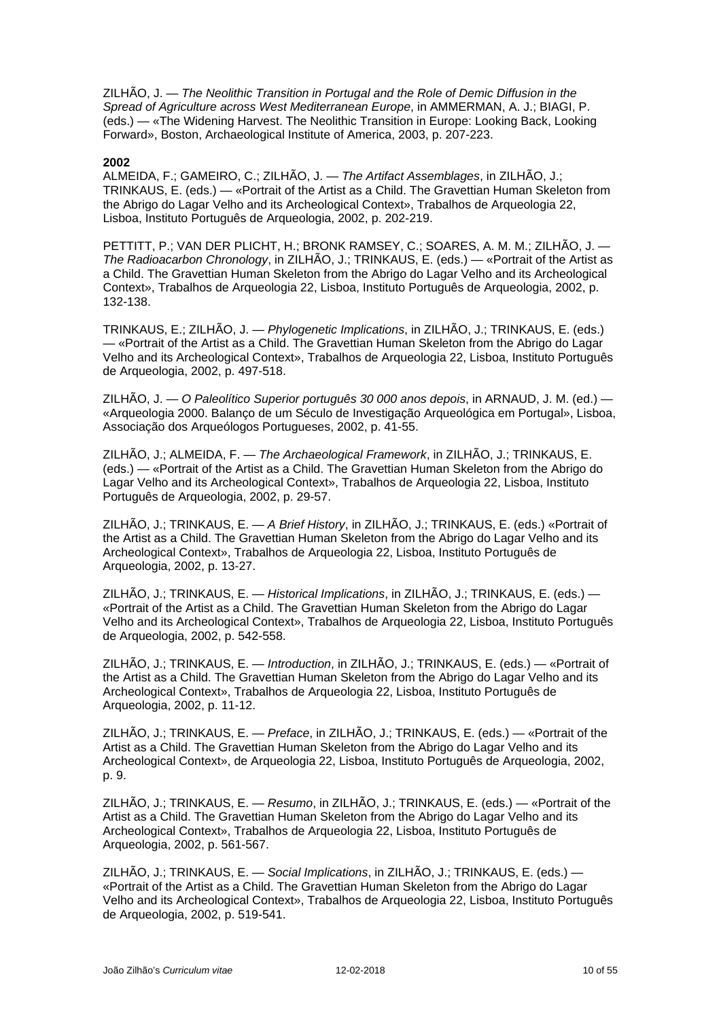ZILHÃO, J. — *The Neolithic Transition in Portugal and the Role of Demic Diffusion in the Spread of Agriculture across West Mediterranean Europe*, in AMMERMAN, A. J.; BIAGI, P. (eds.) *—* «The Widening Harvest. The Neolithic Transition in Europe: Looking Back, Looking Forward», Boston, Archaeological Institute of America, 2003, p. 207-223.

#### **2002**

ALMEIDA, F.; GAMEIRO, C.; ZILHÃO, J. — *The Artifact Assemblages*, in ZILHÃO, J.; TRINKAUS, E. (eds.) — «Portrait of the Artist as a Child. The Gravettian Human Skeleton from the Abrigo do Lagar Velho and its Archeological Context», Trabalhos de Arqueologia 22, Lisboa, Instituto Português de Arqueologia, 2002, p. 202-219.

PETTITT, P.; VAN DER PLICHT, H.; BRONK RAMSEY, C.; SOARES, A. M. M.; ZILHÃO, J. — *The Radioacarbon Chronology*, in ZILHÃO, J.; TRINKAUS, E. (eds.) — «Portrait of the Artist as a Child. The Gravettian Human Skeleton from the Abrigo do Lagar Velho and its Archeological Context», Trabalhos de Arqueologia 22, Lisboa, Instituto Português de Arqueologia, 2002, p. 132-138.

TRINKAUS, E.; ZILHÃO, J. — *Phylogenetic Implications*, in ZILHÃO, J.; TRINKAUS, E. (eds.) — «Portrait of the Artist as a Child. The Gravettian Human Skeleton from the Abrigo do Lagar Velho and its Archeological Context», Trabalhos de Arqueologia 22, Lisboa, Instituto Português de Arqueologia, 2002, p. 497-518.

ZILHÃO, J. — *O Paleolítico Superior português 30 000 anos depois*, in ARNAUD, J. M. (ed.) — «Arqueologia 2000. Balanço de um Século de Investigação Arqueológica em Portugal», Lisboa, Associação dos Arqueólogos Portugueses, 2002, p. 41-55.

ZILHÃO, J.; ALMEIDA, F. — *The Archaeological Framework*, in ZILHÃO, J.; TRINKAUS, E. (eds.) — «Portrait of the Artist as a Child. The Gravettian Human Skeleton from the Abrigo do Lagar Velho and its Archeological Context», Trabalhos de Arqueologia 22, Lisboa, Instituto Português de Arqueologia, 2002, p. 29-57.

ZILHÃO, J.; TRINKAUS, E. — *A Brief History*, in ZILHÃO, J.; TRINKAUS, E. (eds.) «Portrait of the Artist as a Child. The Gravettian Human Skeleton from the Abrigo do Lagar Velho and its Archeological Context», Trabalhos de Arqueologia 22, Lisboa, Instituto Português de Arqueologia, 2002, p. 13-27.

ZILHÃO, J.; TRINKAUS, E. — *Historical Implications*, in ZILHÃO, J.; TRINKAUS, E. (eds.) — «Portrait of the Artist as a Child. The Gravettian Human Skeleton from the Abrigo do Lagar Velho and its Archeological Context», Trabalhos de Arqueologia 22, Lisboa, Instituto Português de Arqueologia, 2002, p. 542-558.

ZILHÃO, J.; TRINKAUS, E. — *Introduction*, in ZILHÃO, J.; TRINKAUS, E. (eds.) — «Portrait of the Artist as a Child. The Gravettian Human Skeleton from the Abrigo do Lagar Velho and its Archeological Context», Trabalhos de Arqueologia 22, Lisboa, Instituto Português de Arqueologia, 2002, p. 11-12.

ZILHÃO, J.; TRINKAUS, E. — *Preface*, in ZILHÃO, J.; TRINKAUS, E. (eds.) — «Portrait of the Artist as a Child. The Gravettian Human Skeleton from the Abrigo do Lagar Velho and its Archeological Context», de Arqueologia 22, Lisboa, Instituto Português de Arqueologia, 2002, p. 9.

ZILHÃO, J.; TRINKAUS, E. — *Resumo*, in ZILHÃO, J.; TRINKAUS, E. (eds.) — «Portrait of the Artist as a Child. The Gravettian Human Skeleton from the Abrigo do Lagar Velho and its Archeological Context», Trabalhos de Arqueologia 22, Lisboa, Instituto Português de Arqueologia, 2002, p. 561-567.

ZILHÃO, J.; TRINKAUS, E. — *Social Implications*, in ZILHÃO, J.; TRINKAUS, E. (eds.) — «Portrait of the Artist as a Child. The Gravettian Human Skeleton from the Abrigo do Lagar Velho and its Archeological Context», Trabalhos de Arqueologia 22, Lisboa, Instituto Português de Arqueologia, 2002, p. 519-541.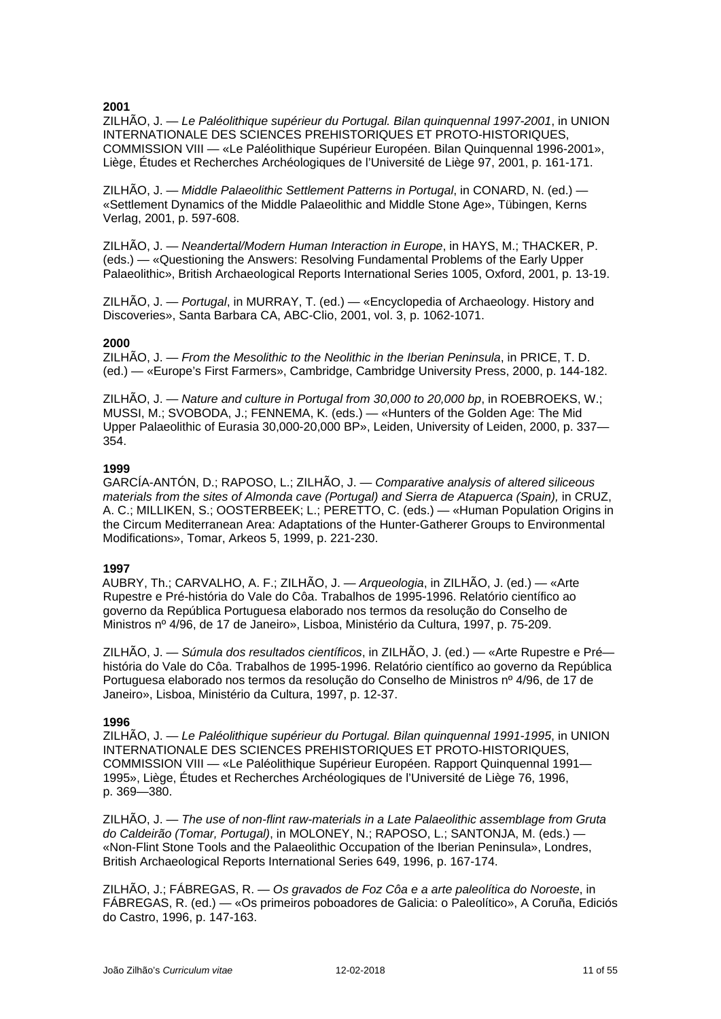ZILHÃO, J. — *Le Paléolithique supérieur du Portugal. Bilan quinquennal 1997-2001*, in UNION INTERNATIONALE DES SCIENCES PREHISTORIQUES ET PROTO-HISTORIQUES, COMMISSION VIII — «Le Paléolithique Supérieur Européen. Bilan Quinquennal 1996-2001», Liège, Études et Recherches Archéologiques de l'Université de Liège 97, 2001, p. 161-171.

ZILHÃO, J. — *Middle Palaeolithic Settlement Patterns in Portugal*, in CONARD, N. (ed.) — «Settlement Dynamics of the Middle Palaeolithic and Middle Stone Age», Tübingen, Kerns Verlag, 2001, p. 597-608.

ZILHÃO, J. — *Neandertal/Modern Human Interaction in Europe*, in HAYS, M.; THACKER, P. (eds.) — «Questioning the Answers: Resolving Fundamental Problems of the Early Upper Palaeolithic», British Archaeological Reports International Series 1005, Oxford, 2001, p. 13-19.

ZILHÃO, J. — *Portugal*, in MURRAY, T. (ed.) — «Encyclopedia of Archaeology. History and Discoveries», Santa Barbara CA, ABC-Clio, 2001, vol. 3, p. 1062-1071.

### **2000**

ZILHÃO, J. — *From the Mesolithic to the Neolithic in the Iberian Peninsula*, in PRICE, T. D. (ed.) — «Europe's First Farmers», Cambridge, Cambridge University Press, 2000, p. 144-182.

ZILHÃO, J. — *Nature and culture in Portugal from 30,000 to 20,000 bp*, in ROEBROEKS, W.; MUSSI, M.; SVOBODA, J.; FENNEMA, K. (eds.) — «Hunters of the Golden Age: The Mid Upper Palaeolithic of Eurasia 30,000-20,000 BP», Leiden, University of Leiden, 2000, p. 337— 354.

### **1999**

GARCÍA-ANTÓN, D.; RAPOSO, L.; ZILHÃO, J. — *Comparative analysis of altered siliceous materials from the sites of Almonda cave (Portugal) and Sierra de Atapuerca (Spain),* in CRUZ, A. C.; MILLIKEN, S.; OOSTERBEEK; L.; PERETTO, C. (eds.) — «Human Population Origins in the Circum Mediterranean Area: Adaptations of the Hunter-Gatherer Groups to Environmental Modifications», Tomar, Arkeos 5, 1999, p. 221-230.

### **1997**

AUBRY, Th.; CARVALHO, A. F.; ZILHÃO, J. — *Arqueologia*, in ZILHÃO, J. (ed.) — «Arte Rupestre e Pré-história do Vale do Côa. Trabalhos de 1995-1996. Relatório científico ao governo da República Portuguesa elaborado nos termos da resolução do Conselho de Ministros nº 4/96, de 17 de Janeiro», Lisboa, Ministério da Cultura, 1997, p. 75-209.

ZILHÃO, J. — *Súmula dos resultados científicos*, in ZILHÃO, J. (ed.) — «Arte Rupestre e Pré história do Vale do Côa. Trabalhos de 1995-1996. Relatório científico ao governo da República Portuguesa elaborado nos termos da resolução do Conselho de Ministros nº 4/96, de 17 de Janeiro», Lisboa, Ministério da Cultura, 1997, p. 12-37.

### **1996**

ZILHÃO, J. — *Le Paléolithique supérieur du Portugal. Bilan quinquennal 1991-1995*, in UNION INTERNATIONALE DES SCIENCES PREHISTORIQUES ET PROTO-HISTORIQUES, COMMISSION VIII — «Le Paléolithique Supérieur Européen. Rapport Quinquennal 1991— 1995», Liège, Études et Recherches Archéologiques de l'Université de Liège 76, 1996, p. 369—380.

ZILHÃO, J. — *The use of non-flint raw-materials in a Late Palaeolithic assemblage from Gruta do Caldeirão (Tomar, Portugal)*, in MOLONEY, N.; RAPOSO, L.; SANTONJA, M. (eds.) — «Non-Flint Stone Tools and the Palaeolithic Occupation of the Iberian Peninsula», Londres, British Archaeological Reports International Series 649, 1996, p. 167-174.

ZILHÃO, J.; FÁBREGAS, R. — *Os gravados de Foz Côa e a arte paleolítica do Noroeste*, in FÁBREGAS, R. (ed.) — «Os primeiros poboadores de Galicia: o Paleolítico», A Coruña, Ediciós do Castro, 1996, p. 147-163.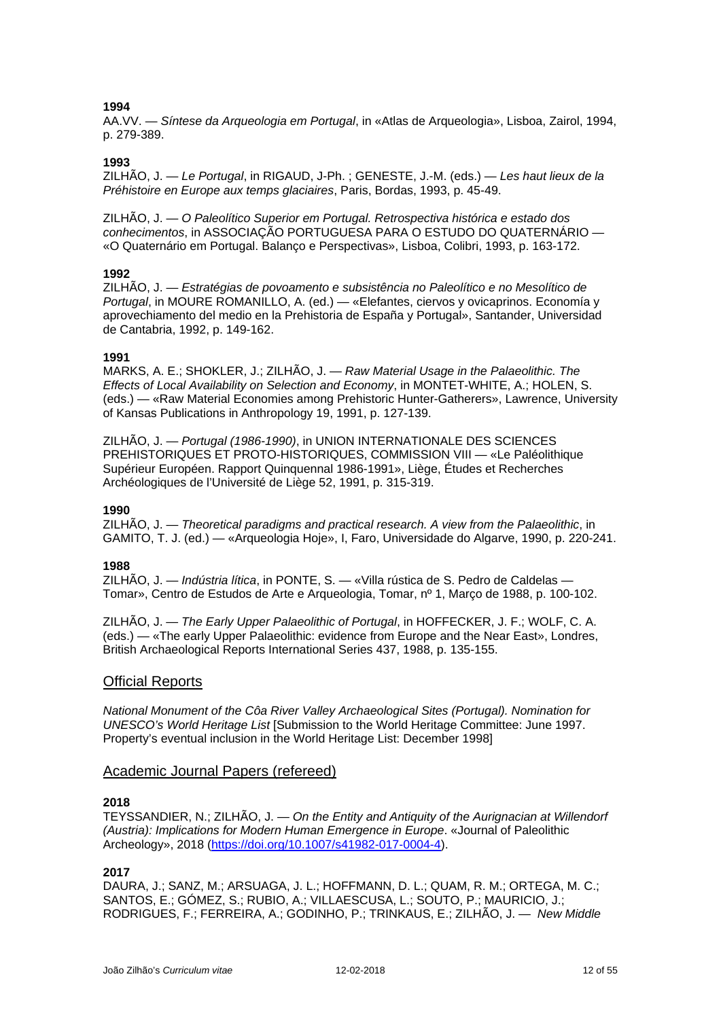AA.VV. — *Síntese da Arqueologia em Portugal*, in «Atlas de Arqueologia», Lisboa, Zairol, 1994, p. 279-389.

### **1993**

ZILHÃO, J. — *Le Portugal*, in RIGAUD, J-Ph. ; GENESTE, J.-M. (eds.) — *Les haut lieux de la Préhistoire en Europe aux temps glaciaires*, Paris, Bordas, 1993, p. 45-49.

ZILHÃO, J. — *O Paleolítico Superior em Portugal. Retrospectiva histórica e estado dos conhecimentos*, in ASSOCIAÇÃO PORTUGUESA PARA O ESTUDO DO QUATERNÁRIO — «O Quaternário em Portugal. Balanço e Perspectivas», Lisboa, Colibri, 1993, p. 163-172.

### **1992**

ZILHÃO, J. — *Estratégias de povoamento e subsistência no Paleolítico e no Mesolítico de Portugal*, in MOURE ROMANILLO, A. (ed.) — «Elefantes, ciervos y ovicaprinos. Economía y aprovechiamento del medio en la Prehistoria de España y Portugal», Santander, Universidad de Cantabria, 1992, p. 149-162.

### **1991**

MARKS, A. E.; SHOKLER, J.; ZILHÃO, J. — *Raw Material Usage in the Palaeolithic. The Effects of Local Availability on Selection and Economy*, in MONTET-WHITE, A.; HOLEN, S. (eds.) — «Raw Material Economies among Prehistoric Hunter-Gatherers», Lawrence, University of Kansas Publications in Anthropology 19, 1991, p. 127-139.

ZILHÃO, J. — *Portugal (1986-1990)*, in UNION INTERNATIONALE DES SCIENCES PREHISTORIQUES ET PROTO-HISTORIQUES, COMMISSION VIII — «Le Paléolithique Supérieur Européen. Rapport Quinquennal 1986-1991», Liège, Études et Recherches Archéologiques de l'Université de Liège 52, 1991, p. 315-319.

### **1990**

ZILHÃO, J. — *Theoretical paradigms and practical research. A view from the Palaeolithic*, in GAMITO, T. J. (ed.) — «Arqueologia Hoje», I, Faro, Universidade do Algarve, 1990, p. 220-241.

### **1988**

ZILHÃO, J. — *Indústria lítica*, in PONTE, S. — «Villa rústica de S. Pedro de Caldelas — Tomar», Centro de Estudos de Arte e Arqueologia, Tomar, nº 1, Março de 1988, p. 100-102.

ZILHÃO, J. — *The Early Upper Palaeolithic of Portugal*, in HOFFECKER, J. F.; WOLF, C. A. (eds.) — «The early Upper Palaeolithic: evidence from Europe and the Near East», Londres, British Archaeological Reports International Series 437, 1988, p. 135-155.

### Official Reports

*National Monument of the Côa River Valley Archaeological Sites (Portugal). Nomination for UNESCO's World Heritage List* [Submission to the World Heritage Committee: June 1997. Property's eventual inclusion in the World Heritage List: December 1998]

### Academic Journal Papers (refereed)

### **2018**

TEYSSANDIER, N.; ZILHÃO, J. — *On the Entity and Antiquity of the Aurignacian at Willendorf (Austria): Implications for Modern Human Emergence in Europe*. «Journal of Paleolithic Archeology», 2018 [\(https://doi.org/10.1007/s41982-017-0004-4\)](https://doi.org/10.1007/s41982-017-0004-4).

### **2017**

DAURA, J.; SANZ, M.; ARSUAGA, J. L.; HOFFMANN, D. L.; QUAM, R. M.; ORTEGA, M. C.; SANTOS, E.; GÓMEZ, S.; RUBIO, A.; VILLAESCUSA, L.; SOUTO, P.; MAURICIO, J.; RODRIGUES, F.; FERREIRA, A.; GODINHO, P.; TRINKAUS, E.; ZILHÃO, J. — *New Middle*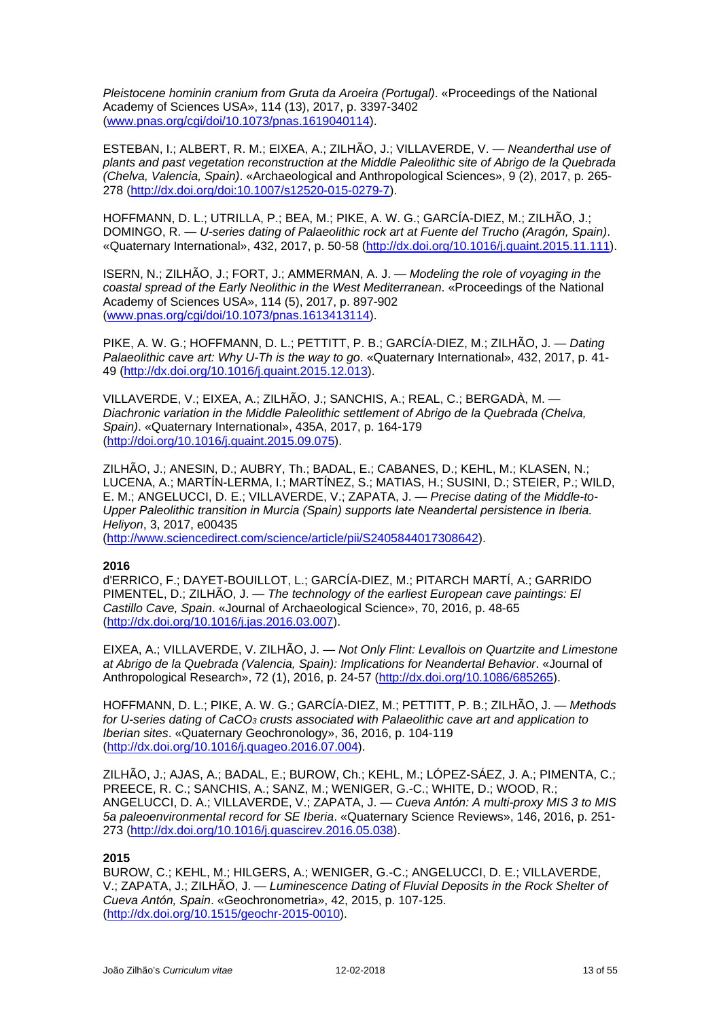*Pleistocene hominin cranium from Gruta da Aroeira (Portugal)*. «Proceedings of the National Academy of Sciences USA», 114 (13), 2017, p. 3397-3402 [\(www.pnas.org/cgi/doi/10.1073/pnas.1619040114\)](http://www.pnas.org/cgi/doi/10.1073/pnas.1619040114).

ESTEBAN, I.; ALBERT, R. M.; EIXEA, A.; ZILHÃO, J.; VILLAVERDE, V. — *Neanderthal use of plants and past vegetation reconstruction at the Middle Paleolithic site of Abrigo de la Quebrada (Chelva, Valencia, Spain)*. «Archaeological and Anthropological Sciences», 9 (2), 2017, p. 265- 278 [\(http://dx.doi.org/doi:10.1007/s12520-015-0279-7\)](http://dx.doi.org/doi:10.1007/s12520-015-0279-7).

HOFFMANN, D. L.; UTRILLA, P.; BEA, M.; PIKE, A. W. G.; GARCÍA-DIEZ, M.; ZILHÃO, J.; DOMINGO, R. — *U-series dating of Palaeolithic rock art at Fuente del Trucho (Aragón, Spain)*. «Quaternary International», 432, 2017, p. 50-58 [\(http://dx.doi.org/10.1016/j.quaint.2015.11.111\)](http://dx.doi.org/10.1016/j.quaint.2015.11.111).

ISERN, N.; ZILHÃO, J.; FORT, J.; AMMERMAN, A. J. — *Modeling the role of voyaging in the coastal spread of the Early Neolithic in the West Mediterranean*. «Proceedings of the National Academy of Sciences USA», 114 (5), 2017, p. 897-902 [\(www.pnas.org/cgi/doi/10.1073/pnas.1613413114\)](http://www.pnas.org/cgi/doi/10.1073/pnas.1613413114).

PIKE, A. W. G.; HOFFMANN, D. L.; PETTITT, P. B.; GARCÍA-DIEZ, M.; ZILHÃO, J. — *Dating Palaeolithic cave art: Why U-Th is the way to go*. «Quaternary International», 432, 2017, p. 41- 49 [\(http://dx.doi.org/10.1016/j.quaint.2015.12.013\)](http://dx.doi.org/10.1016/j.quaint.2015.12.013).

VILLAVERDE, V.; EIXEA, A.; ZILHÃO, J.; SANCHIS, A.; REAL, C.; BERGADÀ, M. — *Diachronic variation in the Middle Paleolithic settlement of Abrigo de la Quebrada (Chelva, Spain)*. «Quaternary International», 435A, 2017, p. 164-179 [\(http://doi.org/10.1016/j.quaint.2015.09.075\)](http://doi.org/10.1016/j.quaint.2015.09.075).

ZILHÃO, J.; ANESIN, D.; AUBRY, Th.; BADAL, E.; CABANES, D.; KEHL, M.; KLASEN, N.; LUCENA, A.; MARTÍN-LERMA, I.; MARTÍNEZ, S.; MATIAS, H.; SUSINI, D.; STEIER, P.; WILD, E. M.; ANGELUCCI, D. E.; VILLAVERDE, V.; ZAPATA, J. — *Precise dating of the Middle-to-Upper Paleolithic transition in Murcia (Spain) supports late Neandertal persistence in Iberia. Heliyon*, 3, 2017, e00435

[\(http://www.sciencedirect.com/science/article/pii/S2405844017308642\)](http://www.sciencedirect.com/science/article/pii/S2405844017308642).

### **2016**

d'ERRICO, F.; DAYET-BOUILLOT, L.; GARCÍA-DIEZ, M.; PITARCH MARTÍ, A.; GARRIDO PIMENTEL, D.; ZILHÃO, J. — *The technology of the earliest European cave paintings: El Castillo Cave, Spain*. «Journal of Archaeological Science», 70, 2016, p. 48-65 [\(http://dx.doi.org/10.1016/j.jas.2016.03.007\)](http://dx.doi.org/10.1016/j.jas.2016.03.007).

EIXEA, A.; VILLAVERDE, V. ZILHÃO, J. — *Not Only Flint: Levallois on Quartzite and Limestone at Abrigo de la Quebrada (Valencia, Spain): Implications for Neandertal Behavior*. «Journal of Anthropological Research», 72 (1), 2016, p. 24-57 [\(http://dx.doi.org/10.1086/685265\)](http://dx.doi.org/10.1086/685265).

HOFFMANN, D. L.; PIKE, A. W. G.; GARCÍA-DIEZ, M.; PETTITT, P. B.; ZILHÃO, J. — *Methods for U-series dating of CaCO3 crusts associated with Palaeolithic cave art and application to Iberian sites*. «Quaternary Geochronology», 36, 2016, p. 104-119 [\(http://dx.doi.org/10.1016/j.quageo.2016.07.004\)](http://dx.doi.org/10.1016/j.quageo.2016.07.004).

ZILHÃO, J.; AJAS, A.; BADAL, E.; BUROW, Ch.; KEHL, M.; LÓPEZ-SÁEZ, J. A.; PIMENTA, C.; PREECE, R. C.; SANCHIS, A.; SANZ, M.; WENIGER, G.-C.; WHITE, D.; WOOD, R.; ANGELUCCI, D. A.; VILLAVERDE, V.; ZAPATA, J. — *Cueva Antón: A multi-proxy MIS 3 to MIS 5a paleoenvironmental record for SE Iberia*. «Quaternary Science Reviews», 146, 2016, p. 251- 273 [\(http://dx.doi.org/10.1016/j.quascirev.2016.05.038\)](http://dx.doi.org/10.1016/j.quascirev.2016.05.038).

### **2015**

BUROW, C.; KEHL, M.; HILGERS, A.; WENIGER, G.-C.; ANGELUCCI, D. E.; VILLAVERDE, V.; ZAPATA, J.; ZILHÃO, J. — *Luminescence Dating of Fluvial Deposits in the Rock Shelter of Cueva Antón, Spain*. «Geochronometria», 42, 2015, p. 107-125. [\(http://dx.doi.org/1](http://dx.doi.org/10.1016/j.quascirev.2015.02.014)0.1515/geochr-2015-0010).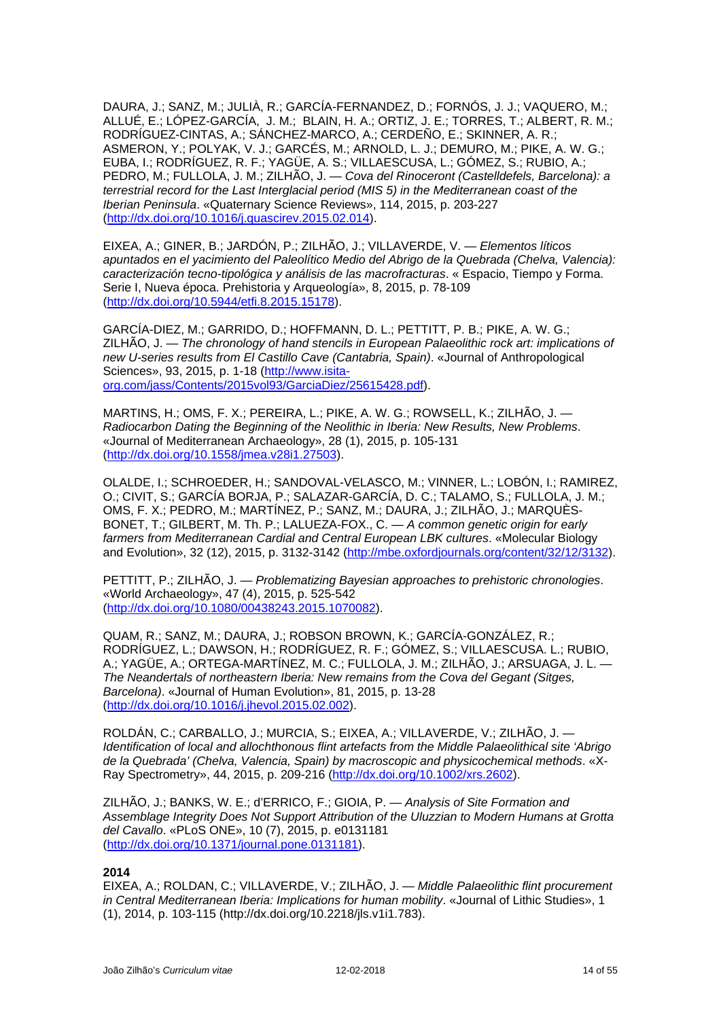DAURA, J.; SANZ, M.; JULIÀ, R.; GARCÍA-FERNANDEZ, D.; FORNÓS, J. J.; VAQUERO, M.; ALLUÉ, E.; LÓPEZ-GARCÍA, J. M.; BLAIN, H. A.; ORTIZ, J. E.; TORRES, T.; ALBERT, R. M.; RODRÍGUEZ-CINTAS, A.; SÁNCHEZ-MARCO, A.; CERDEÑO, E.; SKINNER, A. R.; ASMERON, Y.; POLYAK, V. J.; GARCÉS, M.; ARNOLD, L. J.; DEMURO, M.; PIKE, A. W. G.; EUBA, I.; RODRÍGUEZ, R. F.; YAGÜE, A. S.; VILLAESCUSA, L.; GÓMEZ, S.; RUBIO, A.; PEDRO, M.; FULLOLA, J. M.; ZILHÃO, J. — *Cova del Rinoceront (Castelldefels, Barcelona): a terrestrial record for the Last Interglacial period (MIS 5) in the Mediterranean coast of the Iberian Peninsula*. «Quaternary Science Reviews», 114, 2015, p. 203-227 [\(http://dx.doi.org/10.1016/j.quascirev.2015.02.014\)](http://dx.doi.org/10.1016/j.quascirev.2015.02.014).

EIXEA, A.; GINER, B.; JARDÓN, P.; ZILHÃO, J.; VILLAVERDE, V. — *Elementos líticos apuntados en el yacimiento del Paleolítico Medio del Abrigo de la Quebrada (Chelva, Valencia): caracterización tecno-tipológica y análisis de las macrofracturas*. « Espacio, Tiempo y Forma. Serie I, Nueva época. Prehistoria y Arqueología», 8, 2015, p. 78-109 [\(http://dx.doi.org/10.5944/etfi.8.2015.15178\)](http://dx.doi.org/10.5944/etfi.8.2015.15178).

GARCÍA-DIEZ, M.; GARRIDO, D.; HOFFMANN, D. L.; PETTITT, P. B.; PIKE, A. W. G.; ZILHÃO, J. — *The chronology of hand stencils in European Palaeolithic rock art: implications of new U-series results from El Castillo Cave (Cantabria, Spain)*. «Journal of Anthropological Sciences», 93, 2015, p. 1-18 (http://www.isitaorg.com/jass/Contents/2015vol93/GarciaDiez/25615428.pdf).

MARTINS, H.; OMS, F. X.; PEREIRA, L.; PIKE, A. W. G.; ROWSELL, K.; ZILHÃO, J. — *Radiocarbon Dating the Beginning of the Neolithic in Iberia: New Results, New Problems*. «Journal of Mediterranean Archaeology», 28 (1), 2015, p. 105-131 [\(http://dx.doi.org/10.1558/jmea.v28i1.27503\)](http://dx.doi.org/10.1558/jmea.v28i1.27503).

OLALDE, I.; SCHROEDER, H.; SANDOVAL-VELASCO, M.; VINNER, L.; LOBÓN, I.; RAMIREZ, O.; CIVIT, S.; GARCÍA BORJA, P.; SALAZAR-GARCÍA, D. C.; TALAMO, S.; FULLOLA, J. M.; OMS, F. X.; PEDRO, M.; MARTÍNEZ, P.; SANZ, M.; DAURA, J.; ZILHÃO, J.; MARQUÈS-BONET, T.; GILBERT, M. Th. P.; LALUEZA-FOX., C. — *A common genetic origin for early farmers from Mediterranean Cardial and Central European LBK cultures*. «Molecular Biology and Evolution», 32 (12), 2015, p. 3132-3142 (http://mbe.oxfordjournals.org/content/32/12/3132).

PETTITT, P.; ZILHÃO, J. — *Problematizing Bayesian approaches to prehistoric chronologies*. «World Archaeology», 47 (4), 2015, p. 525-542 [\(http://dx.doi.org/10.1080/00438243.2015.1070082\)](http://dx.doi.org/10.1080/00438243.2015.1070082).

QUAM, R.; SANZ, M.; DAURA, J.; ROBSON BROWN, K.; GARCÍA-GONZÁLEZ, R.; RODRÍGUEZ, L.; DAWSON, H.; RODRÍGUEZ, R. F.; GÓMEZ, S.; VILLAESCUSA. L.; RUBIO, A.; YAGÜE, A.; ORTEGA-MARTÍNEZ, M. C.; FULLOLA, J. M.; ZILHÃO, J.; ARSUAGA, J. L. — *The Neandertals of northeastern Iberia: New remains from the Cova del Gegant (Sitges, Barcelona)*. «Journal of Human Evolution», 81, 2015, p. 13-28 [\(http://dx.doi.org/10.1016/j.jhevol.2015.02.002\)](http://dx.doi.org/10.1016/j.jhevol.2015.02.002).

ROLDÁN, C.; CARBALLO, J.; MURCIA, S.; EIXEA, A.; VILLAVERDE, V.; ZILHÃO, J. — *Identification of local and allochthonous flint artefacts from the Middle Palaeolithical site 'Abrigo de la Quebrada' (Chelva, Valencia, Spain) by macroscopic and physicochemical methods*. «X-Ray Spectrometry», 44, 2015, p. 209-216 [\(http://dx.doi.org/10.1002/xrs.2602\)](http://dx.doi.org/10.1002/xrs.2602).

ZILHÃO, J.; BANKS, W. E.; d'ERRICO, F.; GIOIA, P. — *Analysis of Site Formation and Assemblage Integrity Does Not Support Attribution of the Uluzzian to Modern Humans at Grotta del Cavallo*. «PLoS ONE», 10 (7), 2015, p. e0131181 [\(http://dx.doi.org/10.1371/journal.pone.0131181\)](http://dx.doi.org/10.1371/journal.pone.0131181).

### **2014**

EIXEA, A.; ROLDAN, C.; VILLAVERDE, V.; ZILHÃO, J. — *Middle Palaeolithic flint procurement in Central Mediterranean Iberia: Implications for human mobility*. «Journal of Lithic Studies», 1 (1), 2014, p. 103-115 (http://dx.doi.org/10.2218/jls.v1i1.783).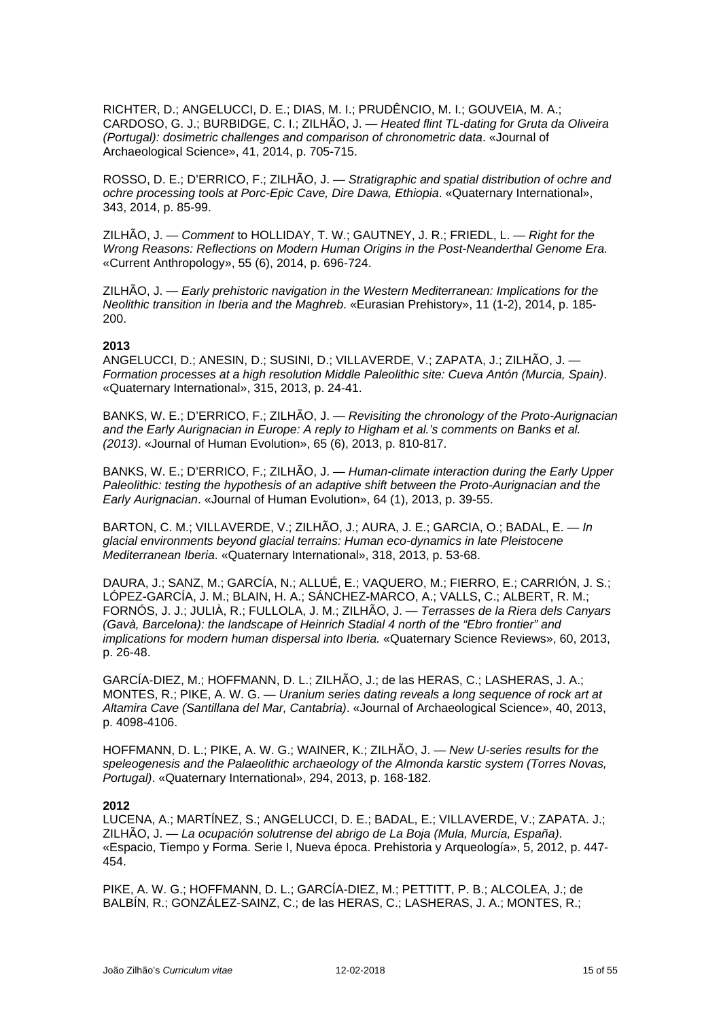RICHTER, D.; ANGELUCCI, D. E.; DIAS, M. I.; PRUDÊNCIO, M. I.; GOUVEIA, M. A.; CARDOSO, G. J.; BURBIDGE, C. I.; ZILHÃO, J. — *Heated flint TL-dating for Gruta da Oliveira (Portugal): dosimetric challenges and comparison of chronometric data*. «Journal of Archaeological Science», 41, 2014, p. 705-715.

ROSSO, D. E.; D'ERRICO, F.; ZILHÃO, J. — *Stratigraphic and spatial distribution of ochre and ochre processing tools at Porc-Epic Cave, Dire Dawa, Ethiopia*. «Quaternary International», 343, 2014, p. 85-99.

ZILHÃO, J. — *Comment* to HOLLIDAY, T. W.; GAUTNEY, J. R.; FRIEDL, L. — *Right for the Wrong Reasons: Reflections on Modern Human Origins in the Post-Neanderthal Genome Era.* «Current Anthropology», 55 (6), 2014, p. 696-724.

ZILHÃO, J. — *Early prehistoric navigation in the Western Mediterranean: Implications for the Neolithic transition in Iberia and the Maghreb*. «Eurasian Prehistory», 11 (1-2), 2014, p. 185- 200.

### **2013**

ANGELUCCI, D.; ANESIN, D.; SUSINI, D.; VILLAVERDE, V.; ZAPATA, J.; ZILHÃO, J. — *Formation processes at a high resolution Middle Paleolithic site: Cueva Antón (Murcia, Spain)*. «Quaternary International», 315, 2013, p. 24-41.

BANKS, W. E.; D'ERRICO, F.; ZILHÃO, J. — *Revisiting the chronology of the Proto-Aurignacian and the Early Aurignacian in Europe: A reply to Higham et al.'s comments on Banks et al. (2013)*. «Journal of Human Evolution», 65 (6), 2013, p. 810-817.

BANKS, W. E.; D'ERRICO, F.; ZILHÃO, J. — *Human-climate interaction during the Early Upper Paleolithic: testing the hypothesis of an adaptive shift between the Proto-Aurignacian and the Early Aurignacian*. «Journal of Human Evolution», 64 (1), 2013, p. 39-55.

BARTON, C. M.; VILLAVERDE, V.; ZILHÃO, J.; AURA, J. E.; GARCIA, O.; BADAL, E. — *In glacial environments beyond glacial terrains: Human eco-dynamics in late Pleistocene Mediterranean Iberia*. «Quaternary International», 318, 2013, p. 53-68.

DAURA, J.; SANZ, M.; GARCÍA, N.; ALLUÉ, E.; VAQUERO, M.; FIERRO, E.; CARRIÓN, J. S.; LÓPEZ-GARCÍA, J. M.; BLAIN, H. A.; SÁNCHEZ-MARCO, A.; VALLS, C.; ALBERT, R. M.; FORNÓS, J. J.; JULIÀ, R.; FULLOLA, J. M.; ZILHÃO, J. *— Terrasses de la Riera dels Canyars (Gavà, Barcelona): the landscape of Heinrich Stadial 4 north of the "Ebro frontier" and implications for modern human dispersal into Iberia.* «Quaternary Science Reviews», 60, 2013, p. 26-48.

GARCÍA-DIEZ, M.; HOFFMANN, D. L.; ZILHÃO, J.; de las HERAS, C.; LASHERAS, J. A.; MONTES, R.; PIKE, A. W. G. — *Uranium series dating reveals a long sequence of rock art at Altamira Cave (Santillana del Mar, Cantabria)*. «Journal of Archaeological Science», 40, 2013, p. 4098-4106.

HOFFMANN, D. L.; PIKE, A. W. G.; WAINER, K.; ZILHÃO, J. — *New U-series results for the speleogenesis and the Palaeolithic archaeology of the Almonda karstic system (Torres Novas, Portugal)*. «Quaternary International», 294, 2013, p. 168-182.

#### **2012**

LUCENA, A.; MARTÍNEZ, S.; ANGELUCCI, D. E.; BADAL, E.; VILLAVERDE, V.; ZAPATA. J.; ZILHÃO, J. — *La ocupación solutrense del abrigo de La Boja (Mula, Murcia, España)*. «Espacio, Tiempo y Forma. Serie I, Nueva época. Prehistoria y Arqueología», 5, 2012, p. 447- 454.

PIKE, A. W. G.; HOFFMANN, D. L.; GARCÍA-DIEZ, M.; PETTITT, P. B.; ALCOLEA, J.; de BALBÍN, R.; GONZÁLEZ-SAINZ, C.; de las HERAS, C.; LASHERAS, J. A.; MONTES, R.;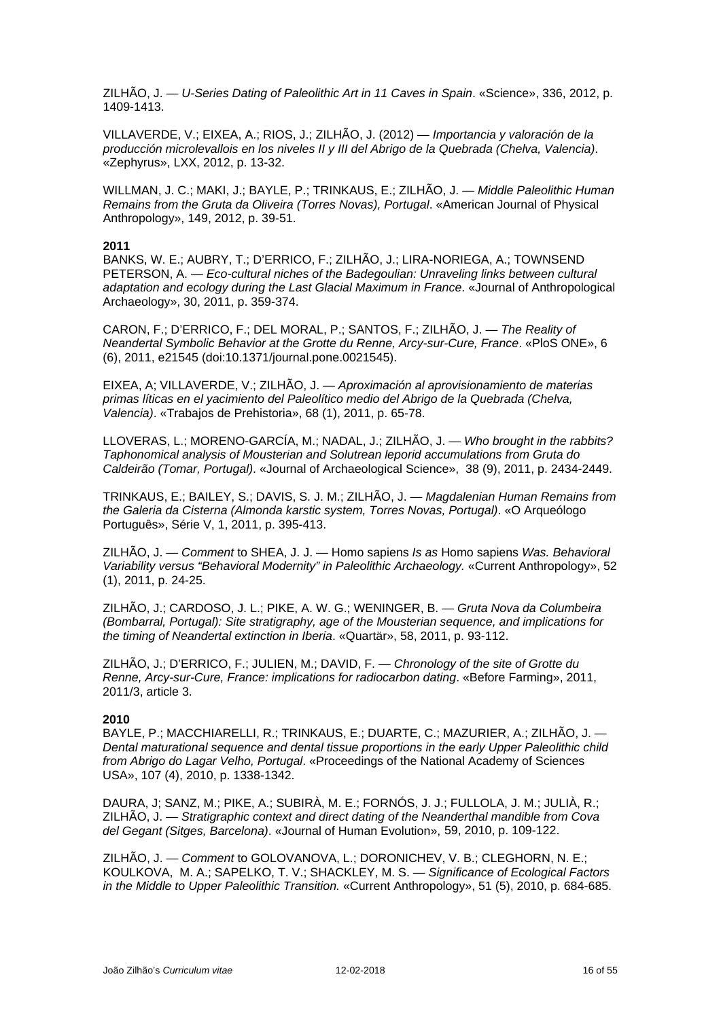ZILHÃO, J. — *U-Series Dating of Paleolithic Art in 11 Caves in Spain*. «Science», 336, 2012, p. 1409-1413.

VILLAVERDE, V.; EIXEA, A.; RIOS, J.; ZILHÃO, J. (2012) — *Importancia y valoración de la producción microlevallois en los niveles II y III del Abrigo de la Quebrada (Chelva, Valencia)*. «Zephyrus», LXX, 2012, p. 13-32.

WILLMAN, J. C.; MAKI, J.; BAYLE, P.; TRINKAUS, E.; ZILHÃO, J. — *Middle Paleolithic Human Remains from the Gruta da Oliveira (Torres Novas), Portugal*. «American Journal of Physical Anthropology», 149, 2012, p. 39-51.

#### **2011**

BANKS, W. E.; AUBRY, T.; D'ERRICO, F.; ZILHÃO, J.; LIRA-NORIEGA, A.; TOWNSEND PETERSON, A. — *Eco-cultural niches of the Badegoulian: Unraveling links between cultural adaptation and ecology during the Last Glacial Maximum in France*. «Journal of Anthropological Archaeology», 30, 2011, p. 359-374.

CARON, F.; D'ERRICO, F.; DEL MORAL, P.; SANTOS, F.; ZILHÃO, J. — *The Reality of Neandertal Symbolic Behavior at the Grotte du Renne, Arcy-sur-Cure, France*. «PloS ONE», 6 (6), 2011, e21545 (doi:10.1371/journal.pone.0021545).

EIXEA, A; VILLAVERDE, V.; ZILHÃO, J. — *Aproximación al aprovisionamiento de materias primas líticas en el yacimiento del Paleolítico medio del Abrigo de la Quebrada (Chelva, Valencia)*. «Trabajos de Prehistoria», 68 (1), 2011, p. 65-78.

LLOVERAS, L.; MORENO-GARCÍA, M.; NADAL, J.; ZILHÃO, J. — *Who brought in the rabbits? Taphonomical analysis of Mousterian and Solutrean leporid accumulations from Gruta do Caldeirão (Tomar, Portugal)*. «Journal of Archaeological Science», 38 (9), 2011, p. 2434-2449.

TRINKAUS, E.; BAILEY, S.; DAVIS, S. J. M.; ZILHÃO, J. — *Magdalenian Human Remains from the Galeria da Cisterna (Almonda karstic system, Torres Novas, Portugal)*. «O Arqueólogo Português», Série V, 1, 2011, p. 395-413.

ZILHÃO, J. — *Comment* to SHEA, J. J. — Homo sapiens *Is as* Homo sapiens *Was. Behavioral Variability versus "Behavioral Modernity" in Paleolithic Archaeology.* «Current Anthropology», 52 (1), 2011, p. 24-25.

ZILHÃO, J.; CARDOSO, J. L.; PIKE, A. W. G.; WENINGER, B. — *Gruta Nova da Columbeira (Bombarral, Portugal): Site stratigraphy, age of the Mousterian sequence, and implications for the timing of Neandertal extinction in Iberia*. «Quartär», 58, 2011, p. 93-112.

ZILHÃO, J.; D'ERRICO, F.; JULIEN, M.; DAVID, F. — *Chronology of the site of Grotte du Renne, Arcy-sur-Cure, France: implications for radiocarbon dating*. «Before Farming», 2011, 2011/3, article 3.

### **2010**

BAYLE, P.; MACCHIARELLI, R.; TRINKAUS, E.; DUARTE, C.; MAZURIER, A.; ZILHÃO, J. — *Dental maturational sequence and dental tissue proportions in the early Upper Paleolithic child from Abrigo do Lagar Velho, Portugal*. «Proceedings of the National Academy of Sciences USA», 107 (4), 2010, p. 1338-1342.

DAURA, J; SANZ, M.; PIKE, A.; SUBIRÀ, M. E.; FORNÓS, J. J.; FULLOLA, J. M.; JULIÀ, R.; ZILHÃO, J. — *Stratigraphic context and direct dating of the Neanderthal mandible from Cova del Gegant (Sitges, Barcelona)*. «Journal of Human Evolution», 59, 2010, p. 109-122.

ZILHÃO, J. — *Comment* to GOLOVANOVA, L.; DORONICHEV, V. B.; CLEGHORN, N. E.; KOULKOVA, M. A.; SAPELKO, T. V.; SHACKLEY, M. S. — *Significance of Ecological Factors in the Middle to Upper Paleolithic Transition.* «Current Anthropology», 51 (5), 2010, p. 684-685.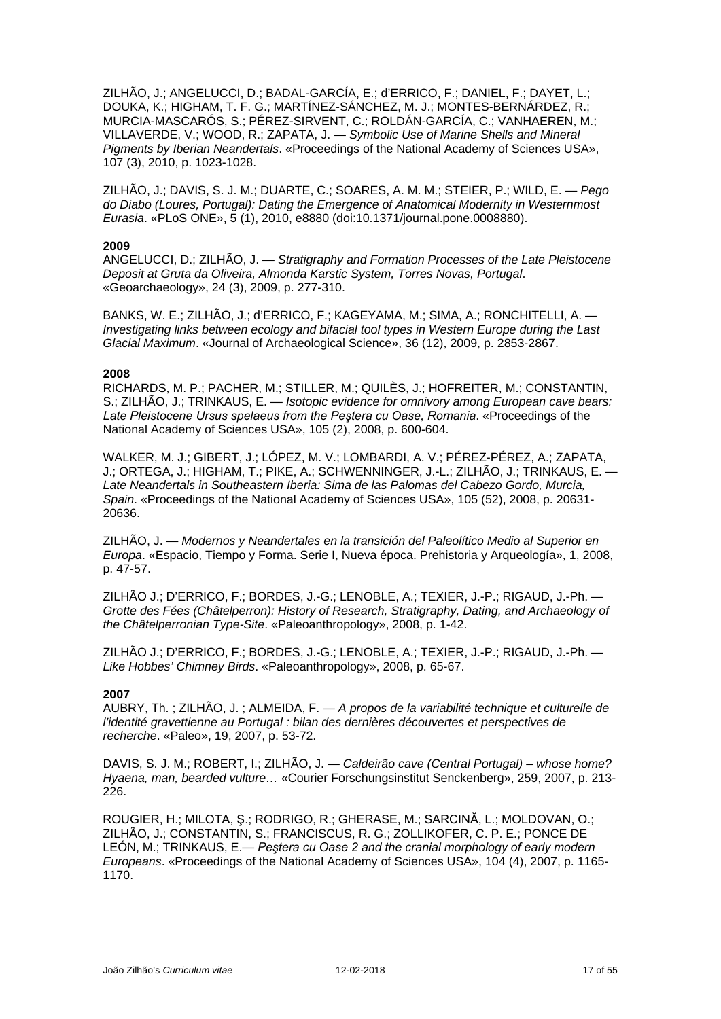ZILHÃO, J.; ANGELUCCI, D.; BADAL-GARCÍA, E.; d'ERRICO, F.; DANIEL, F.; DAYET, L.; DOUKA, K.; HIGHAM, T. F. G.; MARTÍNEZ-SÁNCHEZ, M. J.; MONTES-BERNÁRDEZ, R.; MURCIA-MASCARÓS, S.; PÉREZ-SIRVENT, C.; ROLDÁN-GARCÍA, C.; VANHAEREN, M.; VILLAVERDE, V.; WOOD, R.; ZAPATA, J. — *Symbolic Use of Marine Shells and Mineral Pigments by Iberian Neandertals*. «Proceedings of the National Academy of Sciences USA», 107 (3), 2010, p. 1023-1028.

ZILHÃO, J.; DAVIS, S. J. M.; DUARTE, C.; SOARES, A. M. M.; STEIER, P.; WILD, E. — *Pego do Diabo (Loures, Portugal): Dating the Emergence of Anatomical Modernity in Westernmost Eurasia*. «PLoS ONE», 5 (1), 2010, e8880 (doi:10.1371/journal.pone.0008880).

#### **2009**

ANGELUCCI, D.; ZILHÃO, J. — *Stratigraphy and Formation Processes of the Late Pleistocene Deposit at Gruta da Oliveira, Almonda Karstic System, Torres Novas, Portugal*. «Geoarchaeology», 24 (3), 2009, p. 277-310.

BANKS, W. E.; ZILHÃO, J.; d'ERRICO, F.; KAGEYAMA, M.; SIMA, A.; RONCHITELLI, A. — *Investigating links between ecology and bifacial tool types in Western Europe during the Last Glacial Maximum*. «Journal of Archaeological Science», 36 (12), 2009, p. 2853-2867.

#### **2008**

RICHARDS, M. P.; PACHER, M.; STILLER, M.; QUILÈS, J.; HOFREITER, M.; CONSTANTIN, S.; ZILHÃO, J.; TRINKAUS, E. — *Isotopic evidence for omnivory among European cave bears: Late Pleistocene Ursus spelaeus from the Peştera cu Oase, Romania*. «Proceedings of the National Academy of Sciences USA», 105 (2), 2008, p. 600-604.

WALKER, M. J.; GIBERT, J.; LÓPEZ, M. V.; LOMBARDI, A. V.; PÉREZ-PÉREZ, A.; ZAPATA, J.; ORTEGA, J.; HIGHAM, T.; PIKE, A.; SCHWENNINGER, J.-L.; ZILHÃO, J.; TRINKAUS, E. — *Late Neandertals in Southeastern Iberia: Sima de las Palomas del Cabezo Gordo, Murcia, Spain*. «Proceedings of the National Academy of Sciences USA», 105 (52), 2008, p. 20631- 20636.

ZILHÃO, J. — *Modernos y Neandertales en la transición del Paleolítico Medio al Superior en Europa*. «Espacio, Tiempo y Forma. Serie I, Nueva época. Prehistoria y Arqueología», 1, 2008, p. 47-57.

ZILHÃO J.; D'ERRICO, F.; BORDES, J.-G.; LENOBLE, A.; TEXIER, J.-P.; RIGAUD, J.-Ph. — *Grotte des Fées (Châtelperron): History of Research, Stratigraphy, Dating, and Archaeology of the Châtelperronian Type-Site*. «Paleoanthropology», 2008, p. 1-42.

ZILHÃO J.; D'ERRICO, F.; BORDES, J.-G.; LENOBLE, A.; TEXIER, J.-P.; RIGAUD, J.-Ph. — *Like Hobbes' Chimney Birds*. «Paleoanthropology», 2008, p. 65-67.

### **2007**

AUBRY, Th. ; ZILHÃO, J. ; ALMEIDA, F. — *A propos de la variabilité technique et culturelle de l'identité gravettienne au Portugal : bilan des dernières découvertes et perspectives de recherche*. «Paleo», 19, 2007, p. 53-72.

DAVIS, S. J. M.; ROBERT, I.; ZILHÃO, J. — *Caldeirão cave (Central Portugal) – whose home? Hyaena, man, bearded vulture…* «Courier Forschungsinstitut Senckenberg», 259, 2007, p. 213- 226.

ROUGIER, H.; MILOTA, Ş.; RODRIGO, R.; GHERASE, M.; SARCINĂ, L.; MOLDOVAN, O.; ZILHÃO, J.; CONSTANTIN, S.; FRANCISCUS, R. G.; ZOLLIKOFER, C. P. E.; PONCE DE LEÓN, M.; TRINKAUS, E.— *Peştera cu Oase 2 and the cranial morphology of early modern Europeans*. «Proceedings of the National Academy of Sciences USA», 104 (4), 2007, p. 1165- 1170.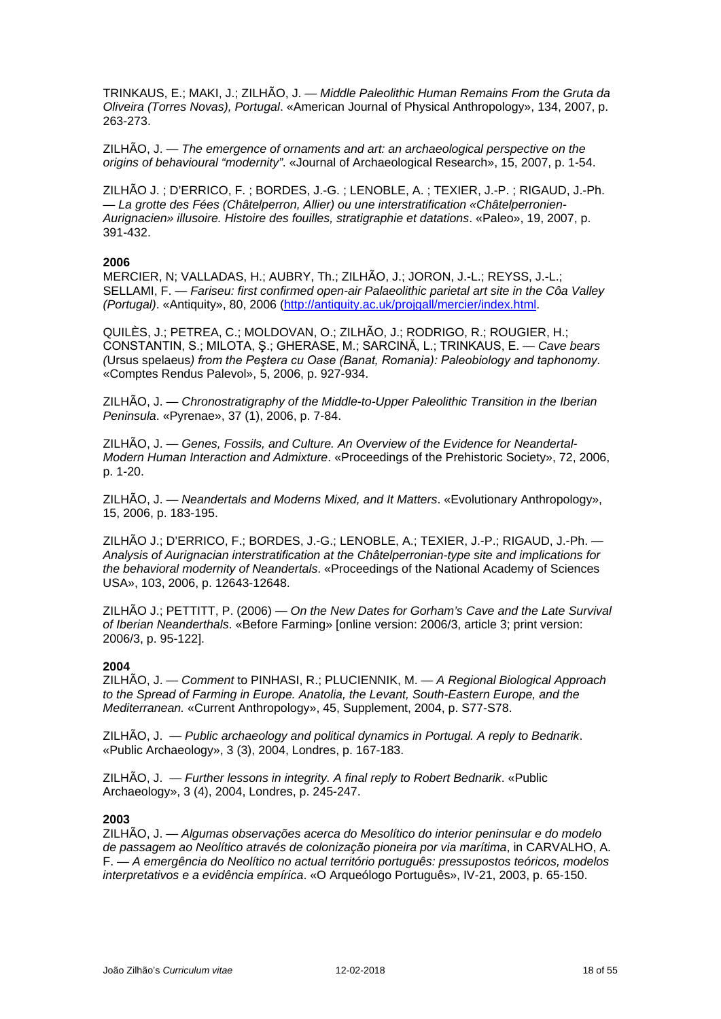TRINKAUS, E.; MAKI, J.; ZILHÃO, J. — *Middle Paleolithic Human Remains From the Gruta da Oliveira (Torres Novas), Portugal*. «American Journal of Physical Anthropology», 134, 2007, p. 263-273.

ZILHÃO, J. — *The emergence of ornaments and art: an archaeological perspective on the origins of behavioural "modernity"*. «Journal of Archaeological Research», 15, 2007, p. 1-54.

ZILHÃO J. ; D'ERRICO, F. ; BORDES, J.-G. ; LENOBLE, A. ; TEXIER, J.-P. ; RIGAUD, J.-Ph. — *La grotte des Fées (Châtelperron, Allier) ou une interstratification «Châtelperronien-Aurignacien» illusoire. Histoire des fouilles, stratigraphie et datations*. «Paleo», 19, 2007, p. 391-432.

### **2006**

MERCIER, N; VALLADAS, H.; AUBRY, Th.; ZILHÃO, J.; JORON, J.-L.; REYSS, J.-L.; SELLAMI, F. — *Fariseu: first confirmed open-air Palaeolithic parietal art site in the Côa Valley (Portugal)*. «Antiquity», 80, 2006 [\(http://antiquity.ac.uk/projgall/mercier/index.html.](http://antiquity.ac.uk/projgall/mercier/index.html)

QUILÈS, J.; PETREA, C.; MOLDOVAN, O.; ZILHÃO, J.; RODRIGO, R.; ROUGIER, H.; CONSTANTIN, S.; MILOTA, Ş.; GHERASE, M.; SARCINĂ, L.; TRINKAUS, E. — *Cave bears (*Ursus spelaeus*) from the Peştera cu Oase (Banat, Romania): Paleobiology and taphonomy*. «Comptes Rendus Palevol», 5, 2006, p. 927-934.

ZILHÃO, J. — *Chronostratigraphy of the Middle-to-Upper Paleolithic Transition in the Iberian Peninsula*. «Pyrenae», 37 (1), 2006, p. 7-84.

ZILHÃO, J. — *Genes, Fossils, and Culture. An Overview of the Evidence for Neandertal-Modern Human Interaction and Admixture*. «Proceedings of the Prehistoric Society», 72, 2006, p. 1-20.

ZILHÃO, J. — *Neandertals and Moderns Mixed, and It Matters*. «Evolutionary Anthropology», 15, 2006, p. 183-195.

ZILHÃO J.; D'ERRICO, F.; BORDES, J.-G.; LENOBLE, A.; TEXIER, J.-P.; RIGAUD, J.-Ph. — *Analysis of Aurignacian interstratification at the Châtelperronian-type site and implications for the behavioral modernity of Neandertals*. «Proceedings of the National Academy of Sciences USA», 103, 2006, p. 12643-12648.

ZILHÃO J.; PETTITT, P. (2006) — *On the New Dates for Gorham's Cave and the Late Survival of Iberian Neanderthals*. «Before Farming» [online version: 2006/3, article 3; print version: 2006/3, p. 95-122].

### **2004**

ZILHÃO, J. — *Comment* to PINHASI, R.; PLUCIENNIK, M. — *A Regional Biological Approach to the Spread of Farming in Europe. Anatolia, the Levant, South-Eastern Europe, and the Mediterranean.* «Current Anthropology», 45, Supplement, 2004, p. S77-S78.

ZILHÃO, J. — *Public archaeology and political dynamics in Portugal. A reply to Bednarik*. «Public Archaeology», 3 (3), 2004, Londres, p. 167-183.

ZILHÃO, J. — *Further lessons in integrity. A final reply to Robert Bednarik*. «Public Archaeology», 3 (4), 2004, Londres, p. 245-247.

### **2003**

ZILHÃO, J. — *Algumas observações acerca do Mesolítico do interior peninsular e do modelo de passagem ao Neolítico através de colonização pioneira por via marítima*, in CARVALHO, A. F. — *A emergência do Neolítico no actual território português: pressupostos teóricos, modelos interpretativos e a evidência empírica*. «O Arqueólogo Português», IV-21, 2003, p. 65-150.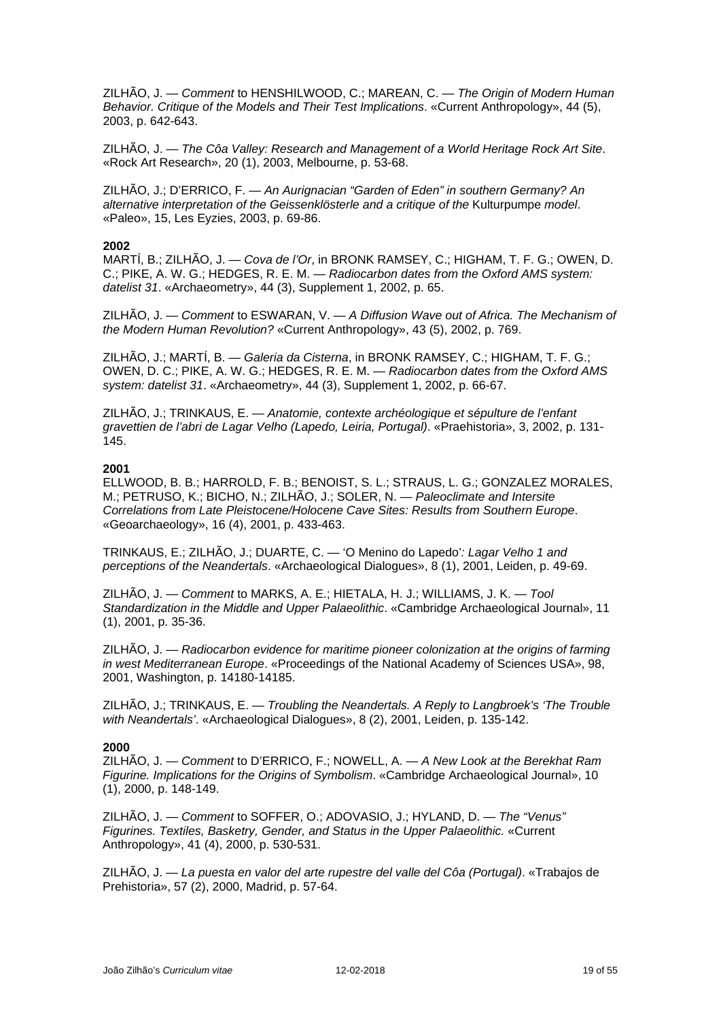ZILHÃO, J. — *Comment* to HENSHILWOOD, C.; MAREAN, C. — *The Origin of Modern Human Behavior. Critique of the Models and Their Test Implications*. «Current Anthropology», 44 (5), 2003, p. 642-643.

ZILHÃO, J. — *The Côa Valley: Research and Management of a World Heritage Rock Art Site*. «Rock Art Research», 20 (1), 2003, Melbourne, p. 53-68.

ZILHÃO, J.; D'ERRICO, F. — *An Aurignacian "Garden of Eden" in southern Germany? An alternative interpretation of the Geissenklösterle and a critique of the* Kulturpumpe *model*. «Paleo», 15, Les Eyzies, 2003, p. 69-86.

### **2002**

MARTÍ, B.; ZILHÃO, J. — *Cova de l'Or*, in BRONK RAMSEY, C.; HIGHAM, T. F. G.; OWEN, D. C.; PIKE, A. W. G.; HEDGES, R. E. M. — *Radiocarbon dates from the Oxford AMS system: datelist 31*. «Archaeometry», 44 (3), Supplement 1, 2002, p. 65.

ZILHÃO, J. — *Comment* to ESWARAN, V. — *A Diffusion Wave out of Africa. The Mechanism of the Modern Human Revolution?* «Current Anthropology», 43 (5), 2002, p. 769.

ZILHÃO, J.; MARTÍ, B. — *Galeria da Cisterna*, in BRONK RAMSEY, C.; HIGHAM, T. F. G.; OWEN, D. C.; PIKE, A. W. G.; HEDGES, R. E. M. — *Radiocarbon dates from the Oxford AMS system: datelist 31*. «Archaeometry», 44 (3), Supplement 1, 2002, p. 66-67.

ZILHÃO, J.; TRINKAUS, E. — *Anatomie, contexte archéologique et sépulture de l'enfant gravettien de l'abri de Lagar Velho (Lapedo, Leiria, Portugal)*. «Praehistoria», 3, 2002, p. 131- 145.

#### **2001**

ELLWOOD, B. B.; HARROLD, F. B.; BENOIST, S. L.; STRAUS, L. G.; GONZALEZ MORALES, M.; PETRUSO, K.; BICHO, N.; ZILHÃO, J.; SOLER, N. — *Paleoclimate and Intersite Correlations from Late Pleistocene/Holocene Cave Sites: Results from Southern Europe*. «Geoarchaeology», 16 (4), 2001, p. 433-463.

TRINKAUS, E.; ZILHÃO, J.; DUARTE, C. — 'O Menino do Lapedo'*: Lagar Velho 1 and perceptions of the Neandertals*. «Archaeological Dialogues», 8 (1), 2001, Leiden, p. 49-69.

ZILHÃO, J. — *Comment* to MARKS, A. E.; HIETALA, H. J.; WILLIAMS, J. K. — *Tool Standardization in the Middle and Upper Palaeolithic*. «Cambridge Archaeological Journal», 11 (1), 2001, p. 35-36.

ZILHÃO, J. — *Radiocarbon evidence for maritime pioneer colonization at the origins of farming in west Mediterranean Europe*. «Proceedings of the National Academy of Sciences USA», 98, 2001, Washington, p. 14180-14185.

ZILHÃO, J.; TRINKAUS, E. — *Troubling the Neandertals. A Reply to Langbroek's 'The Trouble with Neandertals'*. «Archaeological Dialogues», 8 (2), 2001, Leiden, p. 135-142.

### **2000**

ZILHÃO, J. — *Comment* to D'ERRICO, F.; NOWELL, A. — *A New Look at the Berekhat Ram Figurine. Implications for the Origins of Symbolism*. «Cambridge Archaeological Journal», 10 (1), 2000, p. 148-149.

ZILHÃO, J. — *Comment* to SOFFER, O.; ADOVASIO, J.; HYLAND, D. — *The "Venus" Figurines. Textiles, Basketry, Gender, and Status in the Upper Palaeolithic.* «Current Anthropology», 41 (4), 2000, p. 530-531.

ZILHÃO, J. — *La puesta en valor del arte rupestre del valle del Côa (Portugal)*. «Trabajos de Prehistoria», 57 (2), 2000, Madrid, p. 57-64.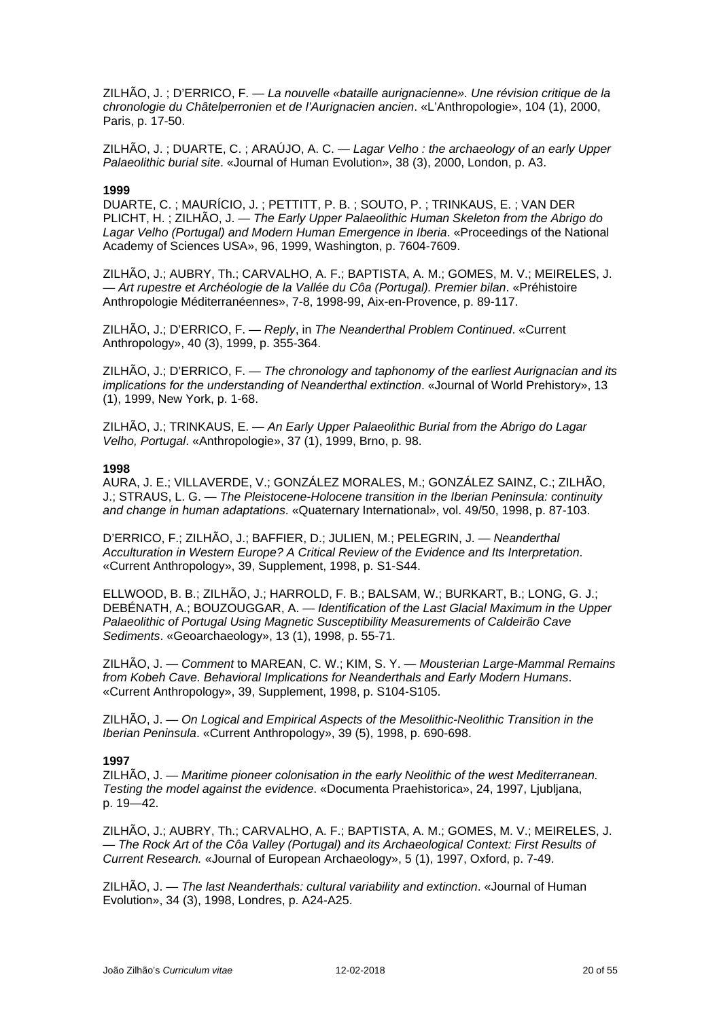ZILHÃO, J. ; D'ERRICO, F. — *La nouvelle «bataille aurignacienne». Une révision critique de la chronologie du Châtelperronien et de l'Aurignacien ancien*. «L'Anthropologie», 104 (1), 2000, Paris, p. 17-50.

ZILHÃO, J. ; DUARTE, C. ; ARAÚJO, A. C. — *Lagar Velho : the archaeology of an early Upper Palaeolithic burial site*. «Journal of Human Evolution», 38 (3), 2000, London, p. A3.

#### **1999**

DUARTE, C. ; MAURÍCIO, J. ; PETTITT, P. B. ; SOUTO, P. ; TRINKAUS, E. ; VAN DER PLICHT, H. ; ZILHÃO, J. — *The Early Upper Palaeolithic Human Skeleton from the Abrigo do Lagar Velho (Portugal) and Modern Human Emergence in Iberia*. «Proceedings of the National Academy of Sciences USA», 96, 1999, Washington, p. 7604-7609.

ZILHÃO, J.; AUBRY, Th.; CARVALHO, A. F.; BAPTISTA, A. M.; GOMES, M. V.; MEIRELES, J. — *Art rupestre et Archéologie de la Vallée du Côa (Portugal). Premier bilan*. «Préhistoire Anthropologie Méditerranéennes», 7-8, 1998-99, Aix-en-Provence, p. 89-117.

ZILHÃO, J.; D'ERRICO, F. — *Reply*, in *The Neanderthal Problem Continued*. «Current Anthropology», 40 (3), 1999, p. 355-364.

ZILHÃO, J.; D'ERRICO, F. — *The chronology and taphonomy of the earliest Aurignacian and its implications for the understanding of Neanderthal extinction*. «Journal of World Prehistory», 13 (1), 1999, New York, p. 1-68.

ZILHÃO, J.; TRINKAUS, E. — *An Early Upper Palaeolithic Burial from the Abrigo do Lagar Velho, Portugal*. «Anthropologie», 37 (1), 1999, Brno, p. 98.

### **1998**

AURA, J. E.; VILLAVERDE, V.; GONZÁLEZ MORALES, M.; GONZÁLEZ SAINZ, C.; ZILHÃO, J.; STRAUS, L. G. — *The Pleistocene-Holocene transition in the Iberian Peninsula: continuity and change in human adaptations*. «Quaternary International», vol. 49/50, 1998, p. 87-103.

D'ERRICO, F.; ZILHÃO, J.; BAFFIER, D.; JULIEN, M.; PELEGRIN, J. — *Neanderthal Acculturation in Western Europe? A Critical Review of the Evidence and Its Interpretation*. «Current Anthropology», 39, Supplement, 1998, p. S1-S44.

ELLWOOD, B. B.; ZILHÃO, J.; HARROLD, F. B.; BALSAM, W.; BURKART, B.; LONG, G. J.; DEBÉNATH, A.; BOUZOUGGAR, A. — *Identification of the Last Glacial Maximum in the Upper Palaeolithic of Portugal Using Magnetic Susceptibility Measurements of Caldeirão Cave Sediments*. «Geoarchaeology», 13 (1), 1998, p. 55-71.

ZILHÃO, J. — *Comment* to MAREAN, C. W.; KIM, S. Y. — *Mousterian Large-Mammal Remains from Kobeh Cave. Behavioral Implications for Neanderthals and Early Modern Humans*. «Current Anthropology», 39, Supplement, 1998, p. S104-S105.

ZILHÃO, J. — *On Logical and Empirical Aspects of the Mesolithic-Neolithic Transition in the Iberian Peninsula*. «Current Anthropology», 39 (5), 1998, p. 690-698.

### **1997**

ZILHÃO, J. — *Maritime pioneer colonisation in the early Neolithic of the west Mediterranean. Testing the model against the evidence*. «Documenta Praehistorica», 24, 1997, Ljubljana, p. 19—42.

ZILHÃO, J.; AUBRY, Th.; CARVALHO, A. F.; BAPTISTA, A. M.; GOMES, M. V.; MEIRELES, J. — *The Rock Art of the Côa Valley (Portugal) and its Archaeological Context: First Results of Current Research.* «Journal of European Archaeology», 5 (1), 1997, Oxford, p. 7-49.

ZILHÃO, J. — *The last Neanderthals: cultural variability and extinction*. «Journal of Human Evolution», 34 (3), 1998, Londres, p. A24-A25.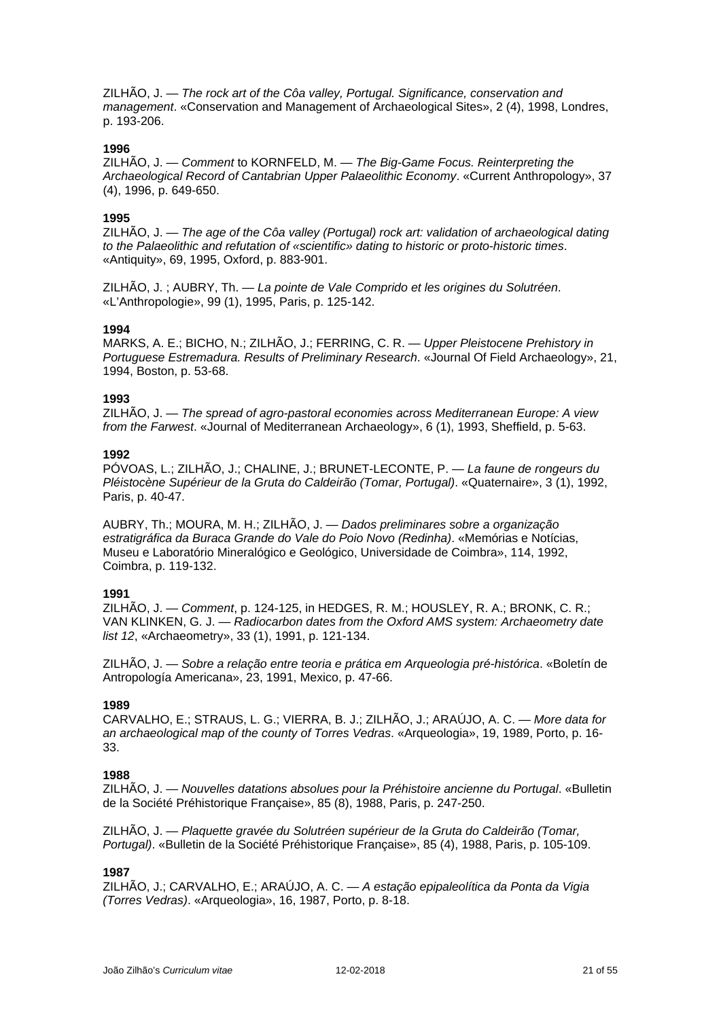ZILHÃO, J. — *The rock art of the Côa valley, Portugal. Significance, conservation and management*. «Conservation and Management of Archaeological Sites», 2 (4), 1998, Londres, p. 193-206.

### **1996**

ZILHÃO, J. — *Comment* to KORNFELD, M. — *The Big-Game Focus. Reinterpreting the Archaeological Record of Cantabrian Upper Palaeolithic Economy*. «Current Anthropology», 37 (4), 1996, p. 649-650.

### **1995**

ZILHÃO, J. — *The age of the Côa valley (Portugal) rock art: validation of archaeological dating to the Palaeolithic and refutation of «scientific» dating to historic or proto-historic times*. «Antiquity», 69, 1995, Oxford, p. 883-901.

ZILHÃO, J. ; AUBRY, Th. — *La pointe de Vale Comprido et les origines du Solutréen*. «L'Anthropologie», 99 (1), 1995, Paris, p. 125-142.

#### **1994**

MARKS, A. E.; BICHO, N.; ZILHÃO, J.; FERRING, C. R. — *Upper Pleistocene Prehistory in Portuguese Estremadura. Results of Preliminary Research*. «Journal Of Field Archaeology», 21, 1994, Boston, p. 53-68.

#### **1993**

ZILHÃO, J. — *The spread of agro-pastoral economies across Mediterranean Europe: A view from the Farwest*. «Journal of Mediterranean Archaeology», 6 (1), 1993, Sheffield, p. 5-63.

#### **1992**

PÓVOAS, L.; ZILHÃO, J.; CHALINE, J.; BRUNET-LECONTE, P. — *La faune de rongeurs du Pléistocène Supérieur de la Gruta do Caldeirão (Tomar, Portugal)*. «Quaternaire», 3 (1), 1992, Paris, p. 40-47.

AUBRY, Th.; MOURA, M. H.; ZILHÃO, J. — *Dados preliminares sobre a organização estratigráfica da Buraca Grande do Vale do Poio Novo (Redinha)*. «Memórias e Notícias, Museu e Laboratório Mineralógico e Geológico, Universidade de Coimbra», 114, 1992, Coimbra, p. 119-132.

### **1991**

ZILHÃO, J. — *Comment*, p. 124-125, in HEDGES, R. M.; HOUSLEY, R. A.; BRONK, C. R.; VAN KLINKEN, G. J. — *Radiocarbon dates from the Oxford AMS system: Archaeometry date list 12*, «Archaeometry», 33 (1), 1991, p. 121-134.

ZILHÃO, J. — *Sobre a relação entre teoria e prática em Arqueologia pré-histórica*. «Boletín de Antropología Americana», 23, 1991, Mexico, p. 47-66.

#### **1989**

CARVALHO, E.; STRAUS, L. G.; VIERRA, B. J.; ZILHÃO, J.; ARAÚJO, A. C. — *More data for an archaeological map of the county of Torres Vedras*. «Arqueologia», 19, 1989, Porto, p. 16- 33.

### **1988**

ZILHÃO, J. — *Nouvelles datations absolues pour la Préhistoire ancienne du Portugal*. «Bulletin de la Société Préhistorique Française», 85 (8), 1988, Paris, p. 247-250.

ZILHÃO, J. — *Plaquette gravée du Solutréen supérieur de la Gruta do Caldeirão (Tomar, Portugal)*. «Bulletin de la Société Préhistorique Française», 85 (4), 1988, Paris, p. 105-109.

### **1987**

ZILHÃO, J.; CARVALHO, E.; ARAÚJO, A. C. — *A estação epipaleolítica da Ponta da Vigia (Torres Vedras)*. «Arqueologia», 16, 1987, Porto, p. 8-18.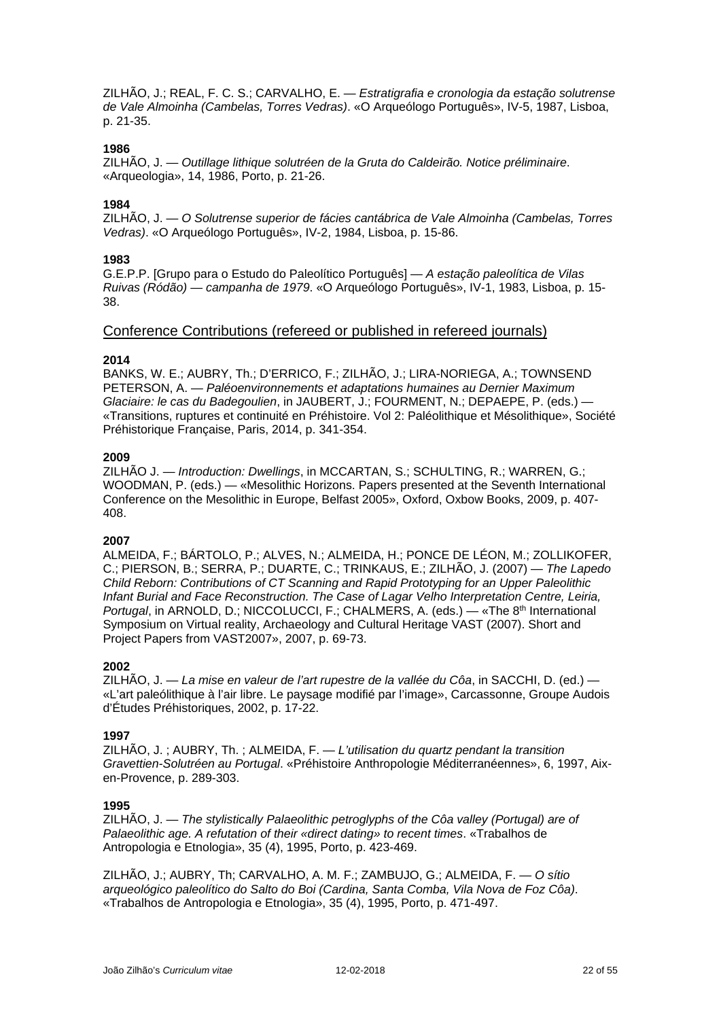ZILHÃO, J.; REAL, F. C. S.; CARVALHO, E. — *Estratigrafia e cronologia da estação solutrense de Vale Almoinha (Cambelas, Torres Vedras)*. «O Arqueólogo Português», IV-5, 1987, Lisboa, p. 21-35.

### **1986**

ZILHÃO, J. — *Outillage lithique solutréen de la Gruta do Caldeirão. Notice préliminaire*. «Arqueologia», 14, 1986, Porto, p. 21-26.

### **1984**

ZILHÃO, J. — *O Solutrense superior de fácies cantábrica de Vale Almoinha (Cambelas, Torres Vedras)*. «O Arqueólogo Português», IV-2, 1984, Lisboa, p. 15-86.

### **1983**

G.E.P.P. [Grupo para o Estudo do Paleolítico Português] — *A estação paleolítica de Vilas Ruivas (Ródão) — campanha de 1979*. «O Arqueólogo Português», IV-1, 1983, Lisboa, p. 15- 38.

### Conference Contributions (refereed or published in refereed journals)

### **2014**

BANKS, W. E.; AUBRY, Th.; D'ERRICO, F.; ZILHÃO, J.; LIRA-NORIEGA, A.; TOWNSEND PETERSON, A. — *Paléoenvironnements et adaptations humaines au Dernier Maximum Glaciaire: le cas du Badegoulien*, in JAUBERT, J.; FOURMENT, N.; DEPAEPE, P. (eds.) — «Transitions, ruptures et continuité en Préhistoire. Vol 2: Paléolithique et Mésolithique», Société Préhistorique Française, Paris, 2014, p. 341-354.

#### **2009**

ZILHÃO J. — *Introduction: Dwellings*, in MCCARTAN, S.; SCHULTING, R.; WARREN, G.; WOODMAN, P. (eds.) — «Mesolithic Horizons. Papers presented at the Seventh International Conference on the Mesolithic in Europe, Belfast 2005», Oxford, Oxbow Books, 2009, p. 407- 408.

### **2007**

ALMEIDA, F.; BÁRTOLO, P.; ALVES, N.; ALMEIDA, H.; PONCE DE LÉON, M.; ZOLLIKOFER, C.; PIERSON, B.; SERRA, P.; DUARTE, C.; TRINKAUS, E.; ZILHÃO, J. (2007) — *The Lapedo Child Reborn: Contributions of CT Scanning and Rapid Prototyping for an Upper Paleolithic Infant Burial and Face Reconstruction. The Case of Lagar Velho Interpretation Centre, Leiria, Portugal*, in ARNOLD, D.; NICCOLUCCI, F.; CHALMERS, A. (eds.) — «The 8<sup>th</sup> International Symposium on Virtual reality, Archaeology and Cultural Heritage VAST (2007). Short and Project Papers from VAST2007», 2007, p. 69-73.

### **2002**

ZILHÃO, J. — *La mise en valeur de l'art rupestre de la vallée du Côa*, in SACCHI, D. (ed.) — «L'art paleólithique à l'air libre. Le paysage modifié par l'image», Carcassonne, Groupe Audois d'Études Préhistoriques, 2002, p. 17-22.

#### **1997**

ZILHÃO, J. ; AUBRY, Th. ; ALMEIDA, F. — *L'utilisation du quartz pendant la transition Gravettien-Solutréen au Portugal*. «Préhistoire Anthropologie Méditerranéennes», 6, 1997, Aixen-Provence, p. 289-303.

#### **1995**

ZILHÃO, J. — *The stylistically Palaeolithic petroglyphs of the Côa valley (Portugal) are of Palaeolithic age. A refutation of their «direct dating» to recent times*. «Trabalhos de Antropologia e Etnologia», 35 (4), 1995, Porto, p. 423-469.

ZILHÃO, J.; AUBRY, Th; CARVALHO, A. M. F.; ZAMBUJO, G.; ALMEIDA, F. — *O sítio arqueológico paleolítico do Salto do Boi (Cardina, Santa Comba, Vila Nova de Foz Côa)*. «Trabalhos de Antropologia e Etnologia», 35 (4), 1995, Porto, p. 471-497.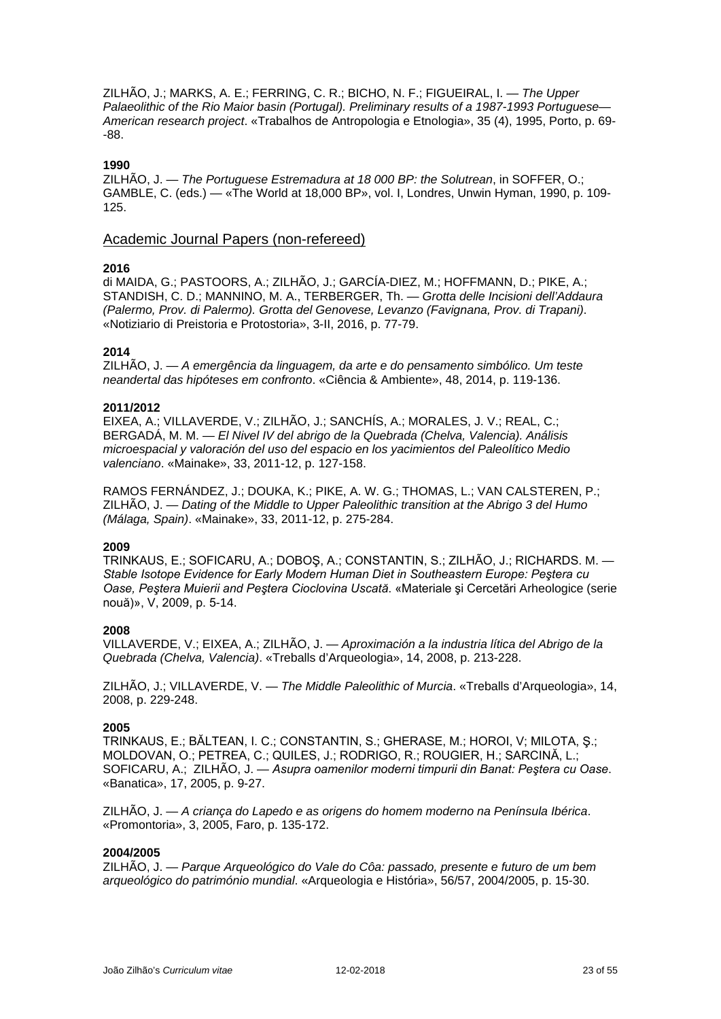ZILHÃO, J.; MARKS, A. E.; FERRING, C. R.; BICHO, N. F.; FIGUEIRAL, I. — *The Upper Palaeolithic of the Rio Maior basin (Portugal). Preliminary results of a 1987-1993 Portuguese— American research project*. «Trabalhos de Antropologia e Etnologia», 35 (4), 1995, Porto, p. 69- -88.

### **1990**

ZILHÃO, J. — *The Portuguese Estremadura at 18 000 BP: the Solutrean*, in SOFFER, O.; GAMBLE, C. (eds.) — «The World at 18,000 BP», vol. I, Londres, Unwin Hyman, 1990, p. 109- 125.

### Academic Journal Papers (non-refereed)

### **2016**

di MAIDA, G.; PASTOORS, A.; ZILHÃO, J.; GARCÍA-DIEZ, M.; HOFFMANN, D.; PIKE, A.; STANDISH, C. D.; MANNINO, M. A., TERBERGER, Th. — *Grotta delle Incisioni dell'Addaura (Palermo, Prov. di Palermo). Grotta del Genovese, Levanzo (Favignana, Prov. di Trapani)*. «Notiziario di Preistoria e Protostoria», 3-II, 2016, p. 77-79.

### **2014**

ZILHÃO, J. — *A emergência da linguagem, da arte e do pensamento simbólico. Um teste neandertal das hipóteses em confronto*. «Ciência & Ambiente», 48, 2014, p. 119-136.

### **2011/2012**

EIXEA, A.; VILLAVERDE, V.; ZILHÃO, J.; SANCHÍS, A.; MORALES, J. V.; REAL, C.; BERGADÁ, M. M. — *El Nivel IV del abrigo de la Quebrada (Chelva, Valencia). Análisis microespacial y valoración del uso del espacio en los yacimientos del Paleolítico Medio valenciano*. «Mainake», 33, 2011-12, p. 127-158.

RAMOS FERNÁNDEZ, J.; DOUKA, K.; PIKE, A. W. G.; THOMAS, L.; VAN CALSTEREN, P.; ZILHÃO, J. — *Dating of the Middle to Upper Paleolithic transition at the Abrigo 3 del Humo (Málaga, Spain)*. «Mainake», 33, 2011-12, p. 275-284.

### **2009**

TRINKAUS, E.; SOFICARU, A.; DOBOŞ, A.; CONSTANTIN, S.; ZILHÃO, J.; RICHARDS. M. — *Stable Isotope Evidence for Early Modern Human Diet in Southeastern Europe: Peştera cu Oase, Peştera Muierii and Peştera Cioclovina Uscată*. «Materiale şi Cercetări Arheologice (serie nouă)», V, 2009, p. 5-14.

### **2008**

VILLAVERDE, V.; EIXEA, A.; ZILHÃO, J. — *Aproximación a la industria lítica del Abrigo de la Quebrada (Chelva, Valencia)*. «Treballs d'Arqueologia», 14, 2008, p. 213-228.

ZILHÃO, J.; VILLAVERDE, V. — *The Middle Paleolithic of Murcia*. «Treballs d'Arqueologia», 14, 2008, p. 229-248.

### **2005**

TRINKAUS, E.; BĂLTEAN, I. C.; CONSTANTIN, S.; GHERASE, M.; HOROI, V; MILOTA, Ş.; MOLDOVAN, O.; PETREA, C.; QUILES, J.; RODRIGO, R.; ROUGIER, H.; SARCINĂ, L.; SOFICARU, A.; ZILHÃO, J. — *Asupra oamenilor moderni timpurii din Banat: Peştera cu Oase*. «Banatica», 17, 2005, p. 9-27.

ZILHÃO, J. — *A criança do Lapedo e as origens do homem moderno na Península Ibérica*. «Promontoria», 3, 2005, Faro, p. 135-172.

### **2004/2005**

ZILHÃO, J. — *Parque Arqueológico do Vale do Côa: passado, presente e futuro de um bem arqueológico do património mundial*. «Arqueologia e História», 56/57, 2004/2005, p. 15-30.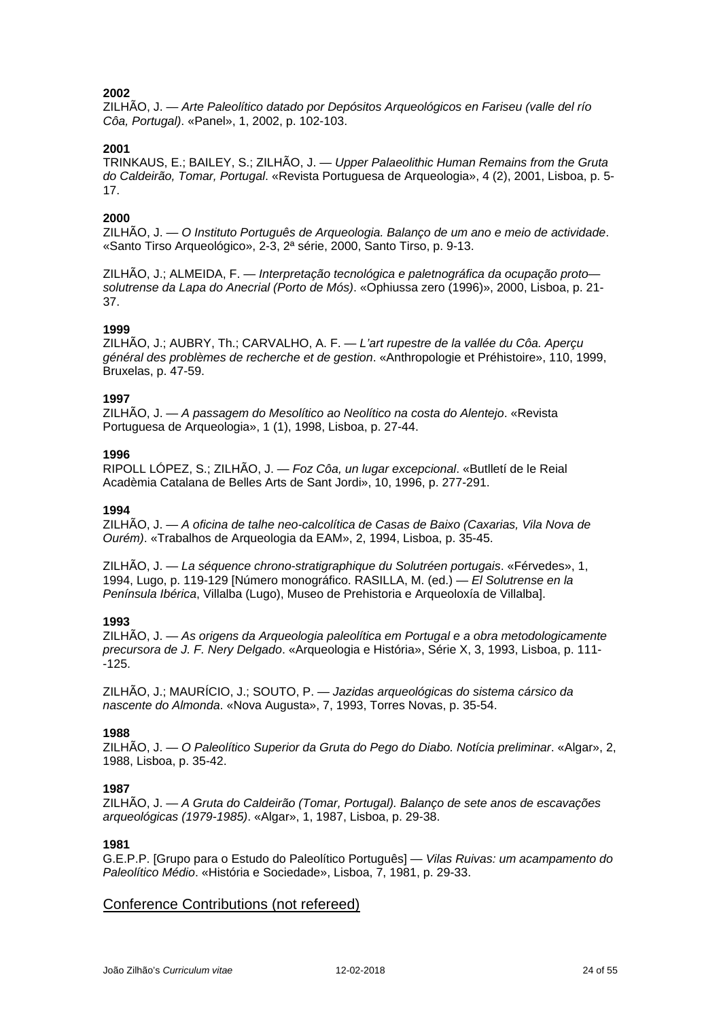ZILHÃO, J. — *Arte Paleolítico datado por Depósitos Arqueológicos en Fariseu (valle del río Côa, Portugal)*. «Panel», 1, 2002, p. 102-103.

### **2001**

TRINKAUS, E.; BAILEY, S.; ZILHÃO, J. — *Upper Palaeolithic Human Remains from the Gruta do Caldeirão, Tomar, Portugal*. «Revista Portuguesa de Arqueologia», 4 (2), 2001, Lisboa, p. 5- 17.

### **2000**

ZILHÃO, J. — *O Instituto Português de Arqueologia. Balanço de um ano e meio de actividade*. «Santo Tirso Arqueológico», 2-3, 2ª série, 2000, Santo Tirso, p. 9-13.

ZILHÃO, J.; ALMEIDA, F. — *Interpretação tecnológica e paletnográfica da ocupação proto solutrense da Lapa do Anecrial (Porto de Mós)*. «Ophiussa zero (1996)», 2000, Lisboa, p. 21- 37.

### **1999**

ZILHÃO, J.; AUBRY, Th.; CARVALHO, A. F. — *L'art rupestre de la vallée du Côa. Aperçu général des problèmes de recherche et de gestion*. «Anthropologie et Préhistoire», 110, 1999, Bruxelas, p. 47-59.

### **1997**

ZILHÃO, J. — *A passagem do Mesolítico ao Neolítico na costa do Alentejo*. «Revista Portuguesa de Arqueologia», 1 (1), 1998, Lisboa, p. 27-44.

### **1996**

RIPOLL LÓPEZ, S.; ZILHÃO, J. — *Foz Côa, un lugar excepcional*. «Butlletí de le Reial Acadèmia Catalana de Belles Arts de Sant Jordi», 10, 1996, p. 277-291.

### **1994**

ZILHÃO, J. — *A oficina de talhe neo-calcolítica de Casas de Baixo (Caxarias, Vila Nova de Ourém)*. «Trabalhos de Arqueologia da EAM», 2, 1994, Lisboa, p. 35-45.

ZILHÃO, J. — *La séquence chrono-stratigraphique du Solutréen portugais*. «Férvedes», 1, 1994, Lugo, p. 119-129 [Número monográfico. RASILLA, M. (ed.) — *El Solutrense en la Península Ibérica*, Villalba (Lugo), Museo de Prehistoria e Arqueoloxía de Villalba].

### **1993**

ZILHÃO, J. — *As origens da Arqueologia paleolítica em Portugal e a obra metodologicamente precursora de J. F. Nery Delgado*. «Arqueologia e História», Série X, 3, 1993, Lisboa, p. 111-  $-125.$ 

ZILHÃO, J.; MAURÍCIO, J.; SOUTO, P. — *Jazidas arqueológicas do sistema cársico da nascente do Almonda*. «Nova Augusta», 7, 1993, Torres Novas, p. 35-54.

### **1988**

ZILHÃO, J. — *O Paleolítico Superior da Gruta do Pego do Diabo. Notícia preliminar*. «Algar», 2, 1988, Lisboa, p. 35-42.

### **1987**

ZILHÃO, J. — *A Gruta do Caldeirão (Tomar, Portugal). Balanço de sete anos de escavações arqueológicas (1979-1985)*. «Algar», 1, 1987, Lisboa, p. 29-38.

### **1981**

G.E.P.P. [Grupo para o Estudo do Paleolítico Português] — *Vilas Ruivas: um acampamento do Paleolítico Médio*. «História e Sociedade», Lisboa, 7, 1981, p. 29-33.

### Conference Contributions (not refereed)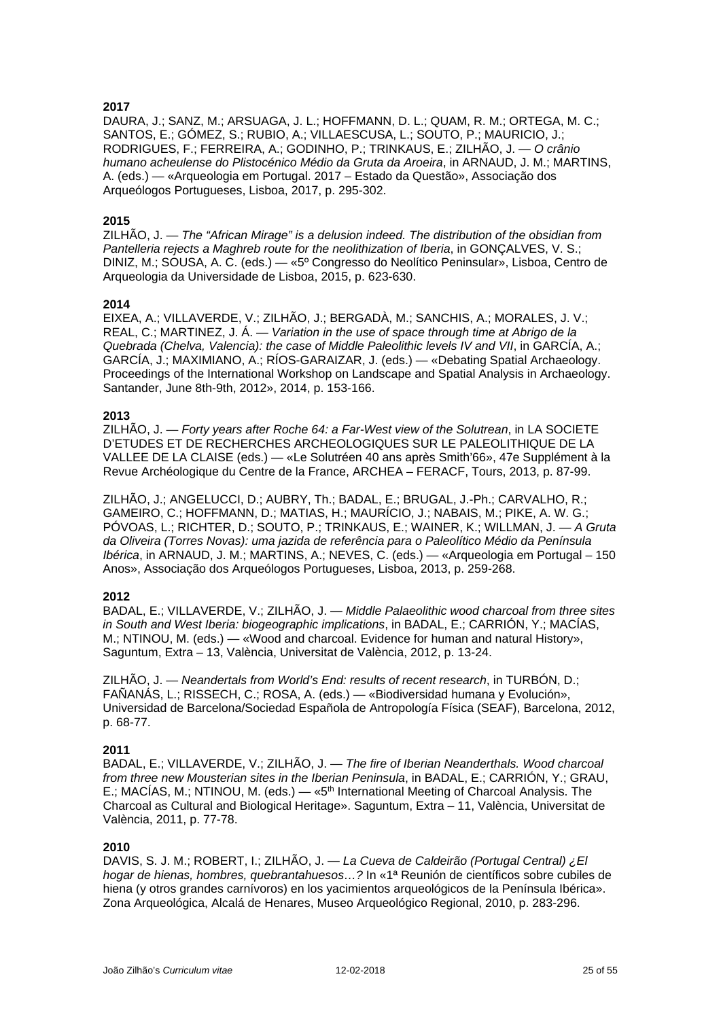DAURA, J.; SANZ, M.; ARSUAGA, J. L.; HOFFMANN, D. L.; QUAM, R. M.; ORTEGA, M. C.; SANTOS, E.; GÓMEZ, S.; RUBIO, A.; VILLAESCUSA, L.; SOUTO, P.; MAURICIO, J.; RODRIGUES, F.; FERREIRA, A.; GODINHO, P.; TRINKAUS, E.; ZILHÃO, J. — *O crânio humano acheulense do Plistocénico Médio da Gruta da Aroeira*, in ARNAUD, J. M.; MARTINS, A. (eds.) — «Arqueologia em Portugal. 2017 – Estado da Questão», Associação dos Arqueólogos Portugueses, Lisboa, 2017, p. 295-302.

### **2015**

ZILHÃO, J. — *The "African Mirage" is a delusion indeed. The distribution of the obsidian from Pantelleria rejects a Maghreb route for the neolithization of Iberia*, in GONÇALVES, V. S.; DINIZ, M.; SOUSA, A. C. (eds.) — «5º Congresso do Neolítico Peninsular», Lisboa, Centro de Arqueologia da Universidade de Lisboa, 2015, p. 623-630.

### **2014**

EIXEA, A.; VILLAVERDE, V.; ZILHÃO, J.; BERGADÀ, M.; SANCHIS, A.; MORALES, J. V.; REAL, C.; MARTINEZ, J. Á. — *Variation in the use of space through time at Abrigo de la Quebrada (Chelva, Valencia): the case of Middle Paleolithic levels IV and VII*, in GARCÍA, A.; GARCÍA, J.; MAXIMIANO, A.; RÍOS-GARAIZAR, J. (eds.) — «Debating Spatial Archaeology. Proceedings of the International Workshop on Landscape and Spatial Analysis in Archaeology. Santander, June 8th-9th, 2012», 2014, p. 153-166.

### **2013**

ZILHÃO, J. — *Forty years after Roche 64: a Far-West view of the Solutrean*, in LA SOCIETE D'ETUDES ET DE RECHERCHES ARCHEOLOGIQUES SUR LE PALEOLITHIQUE DE LA VALLEE DE LA CLAISE (eds.) — «Le Solutréen 40 ans après Smith'66», 47e Supplément à la Revue Archéologique du Centre de la France, ARCHEA – FERACF, Tours, 2013, p. 87-99.

ZILHÃO, J.; ANGELUCCI, D.; AUBRY, Th.; BADAL, E.; BRUGAL, J.-Ph.; CARVALHO, R.; GAMEIRO, C.; HOFFMANN, D.; MATIAS, H.; MAURÍCIO, J.; NABAIS, M.; PIKE, A. W. G.; PÓVOAS, L.; RICHTER, D.; SOUTO, P.; TRINKAUS, E.; WAINER, K.; WILLMAN, J. — *A Gruta da Oliveira (Torres Novas): uma jazida de referência para o Paleolítico Médio da Península Ibérica*, in ARNAUD, J. M.; MARTINS, A.; NEVES, C. (eds.) — «Arqueologia em Portugal – 150 Anos», Associação dos Arqueólogos Portugueses, Lisboa, 2013, p. 259-268.

### **2012**

BADAL, E.; VILLAVERDE, V.; ZILHÃO, J. — *Middle Palaeolithic wood charcoal from three sites in South and West Iberia: biogeographic implications*, in BADAL, E.; CARRIÓN, Y.; MACÍAS, M.; NTINOU, M. (eds.) — «Wood and charcoal. Evidence for human and natural History», Saguntum, Extra – 13, València, Universitat de València, 2012, p. 13-24.

ZILHÃO, J. — *Neandertals from World's End: results of recent research*, in TURBÓN, D.; FAÑANÁS, L.; RISSECH, C.; ROSA, A. (eds.) — «Biodiversidad humana y Evolución», Universidad de Barcelona/Sociedad Española de Antropología Física (SEAF), Barcelona, 2012, p. 68-77.

### **2011**

BADAL, E.; VILLAVERDE, V.; ZILHÃO, J. — *The fire of Iberian Neanderthals. Wood charcoal from three new Mousterian sites in the Iberian Peninsula*, in BADAL, E.; CARRIÓN, Y.; GRAU, E.; MACÍAS, M.; NTINOU, M. (eds.) — «5<sup>th</sup> International Meeting of Charcoal Analysis. The Charcoal as Cultural and Biological Heritage». Saguntum, Extra – 11, València, Universitat de València, 2011, p. 77-78.

### **2010**

DAVIS, S. J. M.; ROBERT, I.; ZILHÃO, J. — *La Cueva de Caldeirão (Portugal Central) ¿El hogar de hienas, hombres, quebrantahuesos…?* In «1ª Reunión de científicos sobre cubiles de hiena (y otros grandes carnívoros) en los yacimientos arqueológicos de la Península Ibérica». Zona Arqueológica, Alcalá de Henares, Museo Arqueológico Regional, 2010, p. 283-296.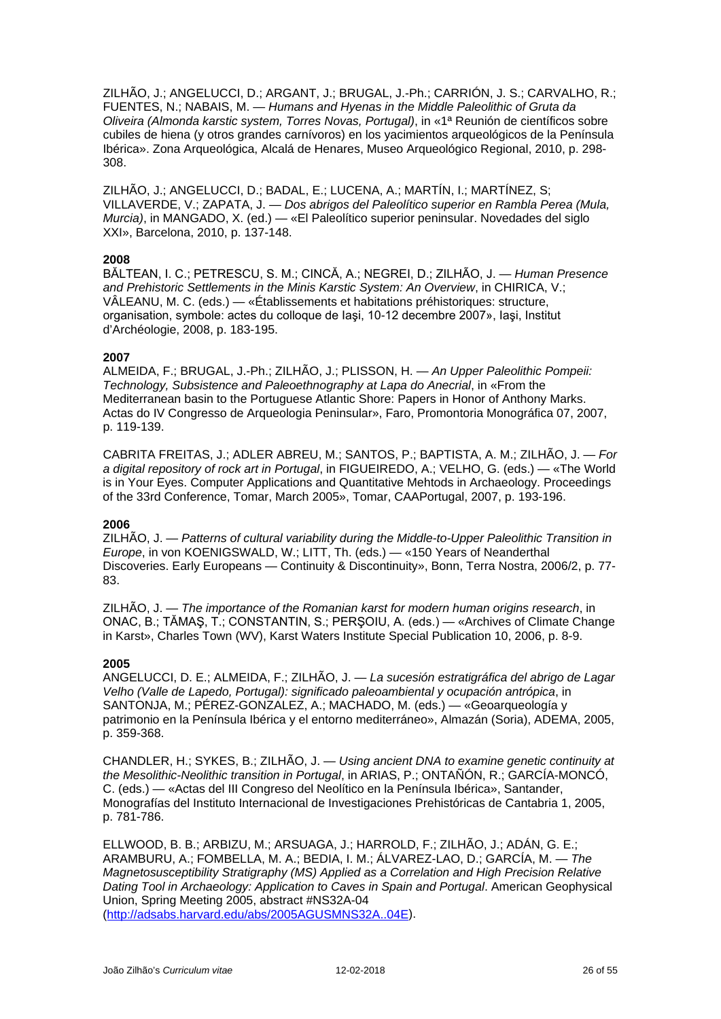ZILHÃO, J.; ANGELUCCI, D.; ARGANT, J.; BRUGAL, J.-Ph.; CARRIÓN, J. S.; CARVALHO, R.; FUENTES, N.; NABAIS, M. — *Humans and Hyenas in the Middle Paleolithic of Gruta da Oliveira (Almonda karstic system, Torres Novas, Portugal)*, in «1ª Reunión de científicos sobre cubiles de hiena (y otros grandes carnívoros) en los yacimientos arqueológicos de la Península Ibérica». Zona Arqueológica, Alcalá de Henares, Museo Arqueológico Regional, 2010, p. 298- 308.

ZILHÃO, J.; ANGELUCCI, D.; BADAL, E.; LUCENA, A.; MARTÍN, I.; MARTÍNEZ, S; VILLAVERDE, V.; ZAPATA, J. — *Dos abrigos del Paleolítico superior en Rambla Perea (Mula, Murcia)*, in MANGADO, X. (ed.) — «El Paleolítico superior peninsular. Novedades del siglo XXI», Barcelona, 2010, p. 137-148.

### **2008**

BĂLTEAN, I. C.; PETRESCU, S. M.; CINCĂ, A.; NEGREI, D.; ZILHÃO, J. — *Human Presence and Prehistoric Settlements in the Minis Karstic System: An Overview*, in CHIRICA, V.; VÂLEANU, M. C. (eds.) — «Établissements et habitations préhistoriques: structure, organisation, symbole: actes du colloque de Iaşi, 10-12 decembre 2007», Iaşi, Institut d'Archéologie, 2008, p. 183-195.

#### **2007**

ALMEIDA, F.; BRUGAL, J.-Ph.; ZILHÃO, J.; PLISSON, H. — *An Upper Paleolithic Pompeii: Technology, Subsistence and Paleoethnography at Lapa do Anecrial*, in «From the Mediterranean basin to the Portuguese Atlantic Shore: Papers in Honor of Anthony Marks. Actas do IV Congresso de Arqueologia Peninsular», Faro, Promontoria Monográfica 07, 2007, p. 119-139.

CABRITA FREITAS, J.; ADLER ABREU, M.; SANTOS, P.; BAPTISTA, A. M.; ZILHÃO, J. — *For a digital repository of rock art in Portugal*, in FIGUEIREDO, A.; VELHO, G. (eds.) — «The World is in Your Eyes. Computer Applications and Quantitative Mehtods in Archaeology. Proceedings of the 33rd Conference, Tomar, March 2005», Tomar, CAAPortugal, 2007, p. 193-196.

### **2006**

ZILHÃO, J. — *Patterns of cultural variability during the Middle-to-Upper Paleolithic Transition in Europe*, in von KOENIGSWALD, W.; LITT, Th. (eds.) — «150 Years of Neanderthal Discoveries. Early Europeans — Continuity & Discontinuity», Bonn, Terra Nostra, 2006/2, p. 77- 83.

ZILHÃO, J. — *The importance of the Romanian karst for modern human origins research*, in ONAC, B.; TĂMAŞ, T.; CONSTANTIN, S.; PERŞOIU, A. (eds.) — «Archives of Climate Change in Karst», Charles Town (WV), Karst Waters Institute Special Publication 10, 2006, p. 8-9.

#### **2005**

ANGELUCCI, D. E.; ALMEIDA, F.; ZILHÃO, J. — *La sucesión estratigráfica del abrigo de Lagar Velho (Valle de Lapedo, Portugal): significado paleoambiental y ocupación antrópica*, in SANTONJA, M.; PÉREZ-GONZALEZ, A.; MACHADO, M. (eds.) — «Geoarqueología y patrimonio en la Península Ibérica y el entorno mediterráneo», Almazán (Soria), ADEMA, 2005, p. 359-368.

CHANDLER, H.; SYKES, B.; ZILHÃO, J. — *Using ancient DNA to examine genetic continuity at the Mesolithic-Neolithic transition in Portugal*, in ARIAS, P.; ONTAÑÓN, R.; GARCÍA-MONCÓ, C. (eds.) — «Actas del III Congreso del Neolítico en la Península Ibérica», Santander, Monografías del Instituto Internacional de Investigaciones Prehistóricas de Cantabria 1, 2005, p. 781-786.

ELLWOOD, B. B.; ARBIZU, M.; ARSUAGA, J.; HARROLD, F.; ZILHÃO, J.; ADÁN, G. E.; ARAMBURU, A.; FOMBELLA, M. A.; BEDIA, I. M.; ÁLVAREZ-LAO, D.; GARCÍA, M. — *The Magnetosusceptibility Stratigraphy (MS) Applied as a Correlation and High Precision Relative Dating Tool in Archaeology: Application to Caves in Spain and Portugal*. American Geophysical Union, Spring Meeting 2005, abstract #NS32A-04 [\(http://adsabs.harvard.edu/abs/2005AGUSMNS32A..04E\)](http://adsabs.harvard.edu/abs/2005AGUSMNS32A..04E).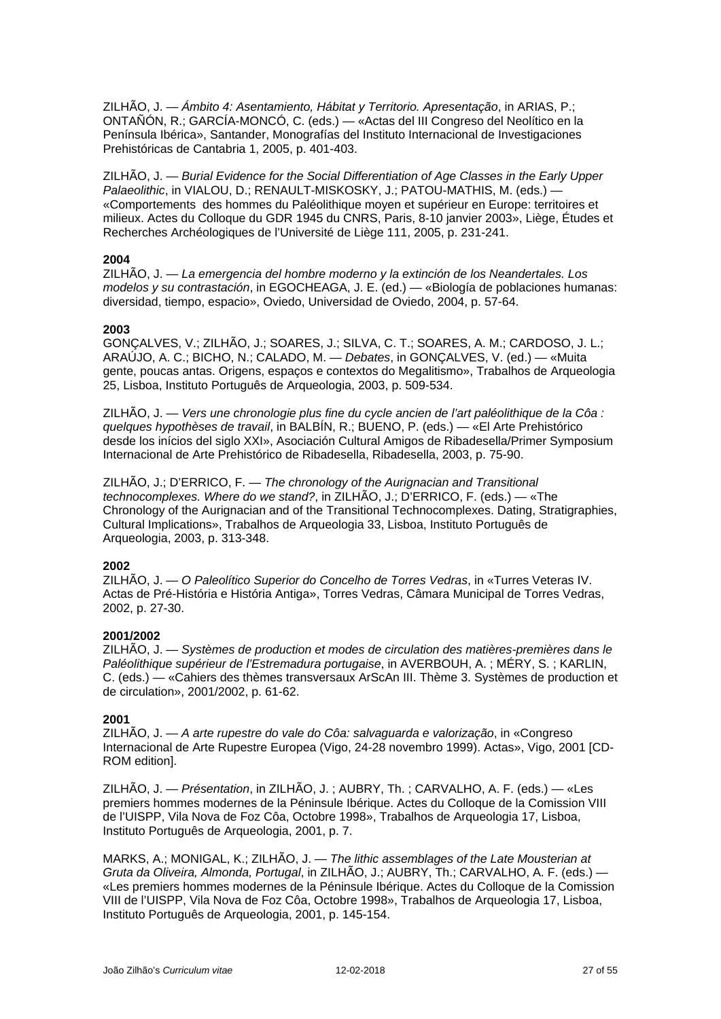ZILHÃO, J. — *Ámbito 4: Asentamiento, Hábitat y Territorio. Apresentação*, in ARIAS, P.; ONTAÑÓN, R.; GARCÍA-MONCÓ, C. (eds.) — «Actas del III Congreso del Neolítico en la Península Ibérica», Santander, Monografías del Instituto Internacional de Investigaciones Prehistóricas de Cantabria 1, 2005, p. 401-403.

ZILHÃO, J. — *Burial Evidence for the Social Differentiation of Age Classes in the Early Upper Palaeolithic*, in VIALOU, D.; RENAULT-MISKOSKY, J.; PATOU-MATHIS, M. (eds.) — «Comportements des hommes du Paléolithique moyen et supérieur en Europe: territoires et milieux. Actes du Colloque du GDR 1945 du CNRS, Paris, 8-10 janvier 2003», Liège, Études et Recherches Archéologiques de l'Université de Liège 111, 2005, p. 231-241.

### **2004**

ZILHÃO, J. — *La emergencia del hombre moderno y la extinción de los Neandertales. Los modelos y su contrastación*, in EGOCHEAGA, J. E. (ed.) — «Biología de poblaciones humanas: diversidad, tiempo, espacio», Oviedo, Universidad de Oviedo, 2004, p. 57-64.

#### **2003**

GONÇALVES, V.; ZILHÃO, J.; SOARES, J.; SILVA, C. T.; SOARES, A. M.; CARDOSO, J. L.; ARAÚJO, A. C.; BICHO, N.; CALADO, M. — *Debates*, in GONÇALVES, V. (ed.) — «Muita gente, poucas antas. Origens, espaços e contextos do Megalitismo», Trabalhos de Arqueologia 25, Lisboa, Instituto Português de Arqueologia, 2003, p. 509-534.

ZILHÃO, J. — *Vers une chronologie plus fine du cycle ancien de l'art paléolithique de la Côa : quelques hypothèses de travail*, in BALBÍN, R.; BUENO, P. (eds.) — «El Arte Prehistórico desde los inícios del siglo XXI», Asociación Cultural Amigos de Ribadesella/Primer Symposium Internacional de Arte Prehistórico de Ribadesella, Ribadesella, 2003, p. 75-90.

ZILHÃO, J.; D'ERRICO, F. — *The chronology of the Aurignacian and Transitional technocomplexes. Where do we stand?*, in ZILHÃO, J.; D'ERRICO, F. (eds.) — «The Chronology of the Aurignacian and of the Transitional Technocomplexes. Dating, Stratigraphies, Cultural Implications», Trabalhos de Arqueologia 33, Lisboa, Instituto Português de Arqueologia, 2003, p. 313-348.

### **2002**

ZILHÃO, J. — *O Paleolítico Superior do Concelho de Torres Vedras*, in «Turres Veteras IV. Actas de Pré-História e História Antiga», Torres Vedras, Câmara Municipal de Torres Vedras, 2002, p. 27-30.

### **2001/2002**

ZILHÃO, J. — *Systèmes de production et modes de circulation des matières-premières dans le Paléolithique supérieur de l'Estremadura portugaise*, in AVERBOUH, A. ; MÉRY, S. ; KARLIN, C. (eds.) — «Cahiers des thèmes transversaux ArScAn III. Thème 3. Systèmes de production et de circulation», 2001/2002, p. 61-62.

### **2001**

ZILHÃO, J. — *A arte rupestre do vale do Côa: salvaguarda e valorização*, in «Congreso Internacional de Arte Rupestre Europea (Vigo, 24-28 novembro 1999). Actas», Vigo, 2001 [CD-ROM edition].

ZILHÃO, J. — *Présentation*, in ZILHÃO, J. ; AUBRY, Th. ; CARVALHO, A. F. (eds.) — «Les premiers hommes modernes de la Péninsule Ibérique. Actes du Colloque de la Comission VIII de l'UISPP, Vila Nova de Foz Côa, Octobre 1998», Trabalhos de Arqueologia 17, Lisboa, Instituto Português de Arqueologia, 2001, p. 7.

MARKS, A.; MONIGAL, K.; ZILHÃO, J. — *The lithic assemblages of the Late Mousterian at Gruta da Oliveira, Almonda, Portugal*, in ZILHÃO, J.; AUBRY, Th.; CARVALHO, A. F. (eds.) — «Les premiers hommes modernes de la Péninsule Ibérique. Actes du Colloque de la Comission VIII de l'UISPP, Vila Nova de Foz Côa, Octobre 1998», Trabalhos de Arqueologia 17, Lisboa, Instituto Português de Arqueologia, 2001, p. 145-154.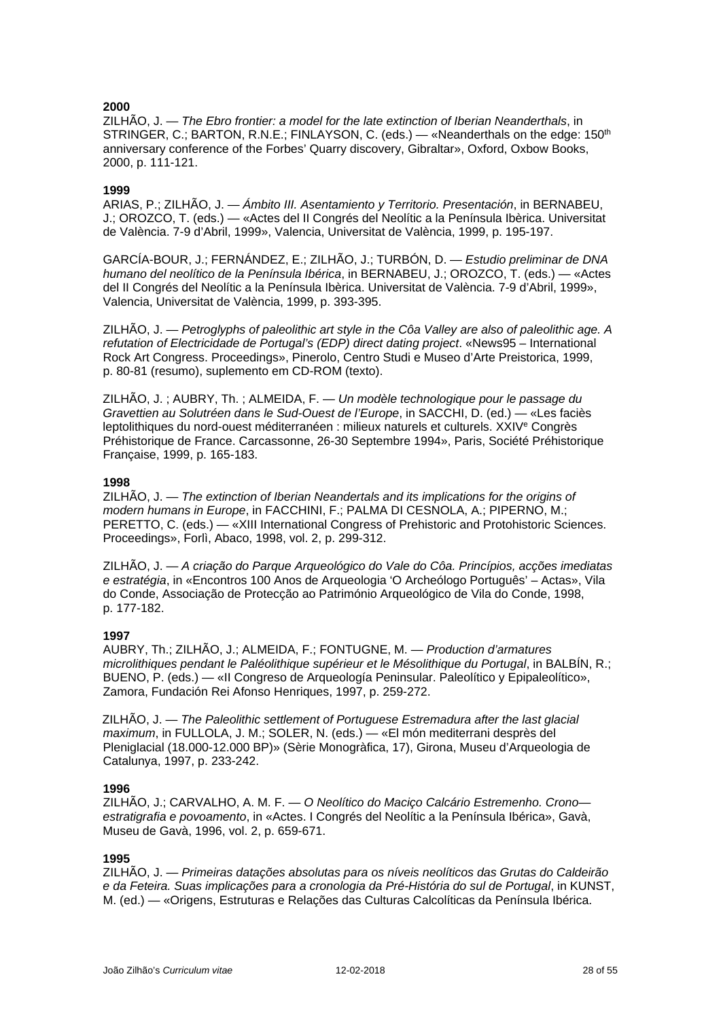ZILHÃO, J. — *The Ebro frontier: a model for the late extinction of Iberian Neanderthals*, in STRINGER, C.; BARTON, R.N.E.; FINLAYSON, C. (eds.) - «Neanderthals on the edge: 150<sup>th</sup> anniversary conference of the Forbes' Quarry discovery, Gibraltar», Oxford, Oxbow Books, 2000, p. 111-121.

### **1999**

ARIAS, P.; ZILHÃO, J. — *Ámbito III. Asentamiento y Territorio. Presentación*, in BERNABEU, J.; OROZCO, T. (eds.) — «Actes del II Congrés del Neolític a la Península Ibèrica. Universitat de València. 7-9 d'Abril, 1999», Valencia, Universitat de València, 1999, p. 195-197.

GARCÍA-BOUR, J.; FERNÁNDEZ, E.; ZILHÃO, J.; TURBÓN, D. — *Estudio preliminar de DNA humano del neolítico de la Península Ibérica*, in BERNABEU, J.; OROZCO, T. (eds.) — «Actes del II Congrés del Neolític a la Península Ibèrica. Universitat de València. 7-9 d'Abril, 1999», Valencia, Universitat de València, 1999, p. 393-395.

ZILHÃO, J. — *Petroglyphs of paleolithic art style in the Côa Valley are also of paleolithic age. A refutation of Electricidade de Portugal's (EDP) direct dating project*. «News95 – International Rock Art Congress. Proceedings», Pinerolo, Centro Studi e Museo d'Arte Preistorica, 1999, p. 80-81 (resumo), suplemento em CD-ROM (texto).

ZILHÃO, J. ; AUBRY, Th. ; ALMEIDA, F. — *Un modèle technologique pour le passage du Gravettien au Solutréen dans le Sud-Ouest de l'Europe*, in SACCHI, D. (ed.) — «Les faciès leptolithiques du nord-ouest méditerranéen : milieux naturels et culturels. XXIV<sup>e</sup> Congrès Préhistorique de France. Carcassonne, 26-30 Septembre 1994», Paris, Société Préhistorique Française, 1999, p. 165-183.

### **1998**

ZILHÃO, J. — *The extinction of Iberian Neandertals and its implications for the origins of modern humans in Europe*, in FACCHINI, F.; PALMA DI CESNOLA, A.; PIPERNO, M.; PERETTO, C. (eds.) — «XIII International Congress of Prehistoric and Protohistoric Sciences. Proceedings», Forlì, Abaco, 1998, vol. 2, p. 299-312.

ZILHÃO, J. — *A criação do Parque Arqueológico do Vale do Côa. Princípios, acções imediatas e estratégia*, in «Encontros 100 Anos de Arqueologia 'O Archeólogo Português' – Actas», Vila do Conde, Associação de Protecção ao Património Arqueológico de Vila do Conde, 1998, p. 177-182.

### **1997**

AUBRY, Th.; ZILHÃO, J.; ALMEIDA, F.; FONTUGNE, M. — *Production d'armatures microlithiques pendant le Paléolithique supérieur et le Mésolithique du Portugal*, in BALBÍN, R.; BUENO, P. (eds.) — «II Congreso de Arqueología Peninsular. Paleolítico y Epipaleolítico», Zamora, Fundación Rei Afonso Henriques, 1997, p. 259-272.

ZILHÃO, J. — *The Paleolithic settlement of Portuguese Estremadura after the last glacial maximum*, in FULLOLA, J. M.; SOLER, N. (eds.) — «El món mediterrani desprès del Pleniglacial (18.000-12.000 BP)» (Sèrie Monogràfica, 17), Girona, Museu d'Arqueologia de Catalunya, 1997, p. 233-242.

### **1996**

ZILHÃO, J.; CARVALHO, A. M. F. — *O Neolítico do Maciço Calcário Estremenho. Crono estratigrafia e povoamento*, in «Actes. I Congrés del Neolític a la Península Ibérica», Gavà, Museu de Gavà, 1996, vol. 2, p. 659-671.

### **1995**

ZILHÃO, J. — *Primeiras datações absolutas para os níveis neolíticos das Grutas do Caldeirão e da Feteira. Suas implicações para a cronologia da Pré-História do sul de Portugal*, in KUNST, M. (ed.) — «Origens, Estruturas e Relações das Culturas Calcolíticas da Península Ibérica.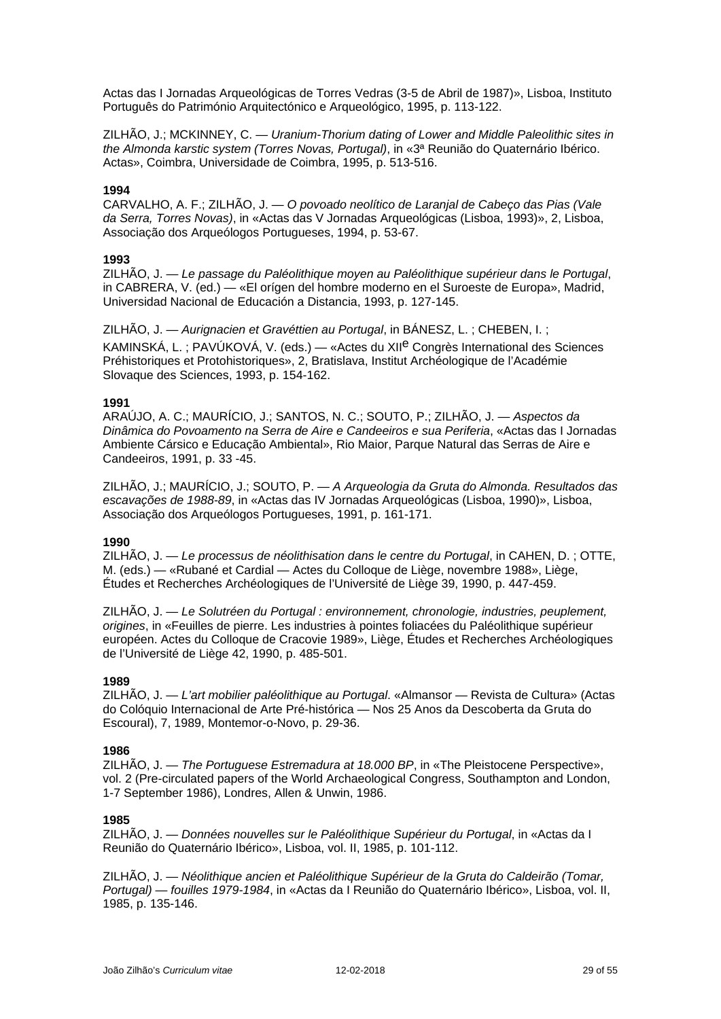Actas das I Jornadas Arqueológicas de Torres Vedras (3-5 de Abril de 1987)», Lisboa, Instituto Português do Património Arquitectónico e Arqueológico, 1995, p. 113-122.

ZILHÃO, J.; MCKINNEY, C. — *Uranium-Thorium dating of Lower and Middle Paleolithic sites in the Almonda karstic system (Torres Novas, Portugal)*, in «3ª Reunião do Quaternário Ibérico. Actas», Coimbra, Universidade de Coimbra, 1995, p. 513-516.

### **1994**

CARVALHO, A. F.; ZILHÃO, J. — *O povoado neolítico de Laranjal de Cabeço das Pias (Vale da Serra, Torres Novas)*, in «Actas das V Jornadas Arqueológicas (Lisboa, 1993)», 2, Lisboa, Associação dos Arqueólogos Portugueses, 1994, p. 53-67.

### **1993**

ZILHÃO, J. — *Le passage du Paléolithique moyen au Paléolithique supérieur dans le Portugal*, in CABRERA, V. (ed.) — «El orígen del hombre moderno en el Suroeste de Europa», Madrid, Universidad Nacional de Educación a Distancia, 1993, p. 127-145.

ZILHÃO, J. — *Aurignacien et Gravéttien au Portugal*, in BÁNESZ, L. ; CHEBEN, I. ; KAMINSKÁ, L. ; PAVÚKOVÁ, V. (eds.) — «Actes du XIIe Congrès International des Sciences Préhistoriques et Protohistoriques», 2, Bratislava, Institut Archéologique de l'Académie Slovaque des Sciences, 1993, p. 154-162.

### **1991**

ARAÚJO, A. C.; MAURÍCIO, J.; SANTOS, N. C.; SOUTO, P.; ZILHÃO, J. — *Aspectos da Dinâmica do Povoamento na Serra de Aire e Candeeiros e sua Periferia*, «Actas das I Jornadas Ambiente Cársico e Educação Ambiental», Rio Maior, Parque Natural das Serras de Aire e Candeeiros, 1991, p. 33 -45.

ZILHÃO, J.; MAURÍCIO, J.; SOUTO, P. — *A Arqueologia da Gruta do Almonda. Resultados das escavações de 1988-89*, in «Actas das IV Jornadas Arqueológicas (Lisboa, 1990)», Lisboa, Associação dos Arqueólogos Portugueses, 1991, p. 161-171.

### **1990**

ZILHÃO, J. — *Le processus de néolithisation dans le centre du Portugal*, in CAHEN, D. ; OTTE, M. (eds.) — «Rubané et Cardial — Actes du Colloque de Liège, novembre 1988», Liège, Études et Recherches Archéologiques de l'Université de Liège 39, 1990, p. 447-459.

ZILHÃO, J. — *Le Solutréen du Portugal : environnement, chronologie, industries, peuplement, origines*, in «Feuilles de pierre. Les industries à pointes foliacées du Paléolithique supérieur européen. Actes du Colloque de Cracovie 1989», Liège, Études et Recherches Archéologiques de l'Université de Liège 42, 1990, p. 485-501.

### **1989**

ZILHÃO, J. — *L'art mobilier paléolithique au Portugal*. «Almansor — Revista de Cultura» (Actas do Colóquio Internacional de Arte Pré-histórica — Nos 25 Anos da Descoberta da Gruta do Escoural), 7, 1989, Montemor-o-Novo, p. 29-36.

### **1986**

ZILHÃO, J. — *The Portuguese Estremadura at 18.000 BP*, in «The Pleistocene Perspective», vol. 2 (Pre-circulated papers of the World Archaeological Congress, Southampton and London, 1-7 September 1986), Londres, Allen & Unwin, 1986.

### **1985**

ZILHÃO, J. — *Données nouvelles sur le Paléolithique Supérieur du Portugal*, in «Actas da I Reunião do Quaternário Ibérico», Lisboa, vol. II, 1985, p. 101-112.

ZILHÃO, J. — *Néolithique ancien et Paléolithique Supérieur de la Gruta do Caldeirão (Tomar, Portugal) — fouilles 1979-1984*, in «Actas da I Reunião do Quaternário Ibérico», Lisboa, vol. II, 1985, p. 135-146.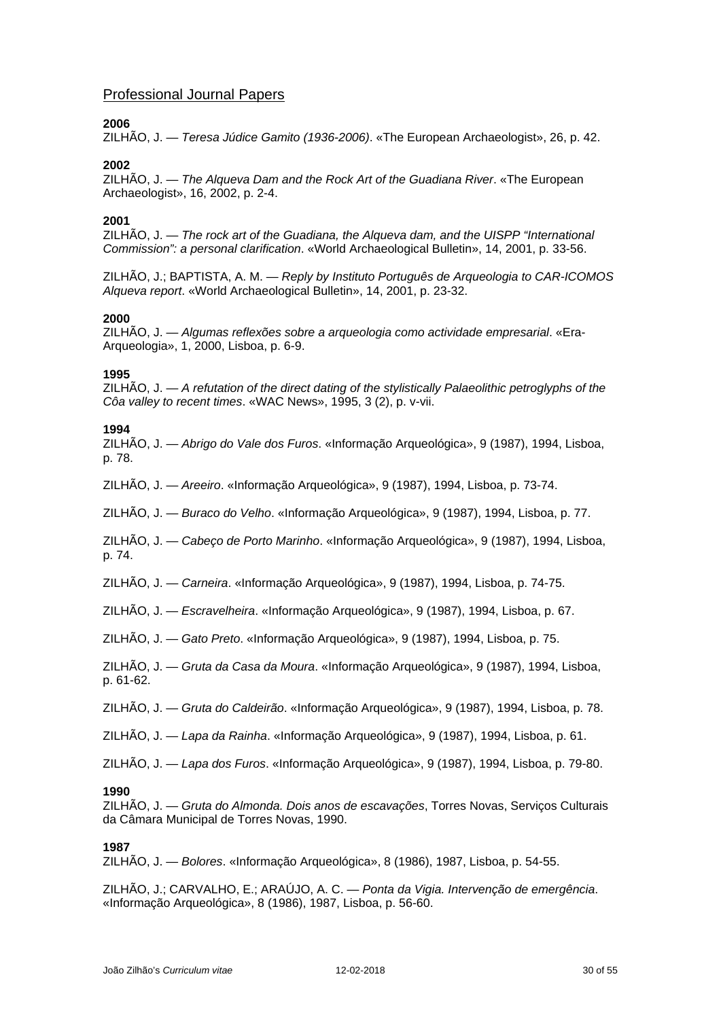# Professional Journal Papers

### **2006**

ZILHÃO, J. — *Teresa Júdice Gamito (1936-2006)*. «The European Archaeologist», 26, p. 42.

### **2002**

ZILHÃO, J. — *The Alqueva Dam and the Rock Art of the Guadiana River*. «The European Archaeologist», 16, 2002, p. 2-4.

### **2001**

ZILHÃO, J. — *The rock art of the Guadiana, the Alqueva dam, and the UISPP "International Commission": a personal clarification*. «World Archaeological Bulletin», 14, 2001, p. 33-56.

ZILHÃO, J.; BAPTISTA, A. M. — *Reply by Instituto Português de Arqueologia to CAR-ICOMOS Alqueva report*. «World Archaeological Bulletin», 14, 2001, p. 23-32.

### **2000**

ZILHÃO, J. — *Algumas reflexões sobre a arqueologia como actividade empresarial*. «Era-Arqueologia», 1, 2000, Lisboa, p. 6-9.

### **1995**

ZILHÃO, J. — *A refutation of the direct dating of the stylistically Palaeolithic petroglyphs of the Côa valley to recent times*. «WAC News», 1995, 3 (2), p. v-vii.

### **1994**

ZILHÃO, J. — *Abrigo do Vale dos Furos*. «Informação Arqueológica», 9 (1987), 1994, Lisboa, p. 78.

ZILHÃO, J. — *Areeiro*. «Informação Arqueológica», 9 (1987), 1994, Lisboa, p. 73-74.

ZILHÃO, J. — *Buraco do Velho*. «Informação Arqueológica», 9 (1987), 1994, Lisboa, p. 77.

ZILHÃO, J. — *Cabeço de Porto Marinho*. «Informação Arqueológica», 9 (1987), 1994, Lisboa, p. 74.

ZILHÃO, J. — *Carneira*. «Informação Arqueológica», 9 (1987), 1994, Lisboa, p. 74-75.

ZILHÃO, J. — *Escravelheira*. «Informação Arqueológica», 9 (1987), 1994, Lisboa, p. 67.

ZILHÃO, J. — *Gato Preto*. «Informação Arqueológica», 9 (1987), 1994, Lisboa, p. 75.

ZILHÃO, J. — *Gruta da Casa da Moura*. «Informação Arqueológica», 9 (1987), 1994, Lisboa, p. 61-62.

ZILHÃO, J. — *Gruta do Caldeirão*. «Informação Arqueológica», 9 (1987), 1994, Lisboa, p. 78.

ZILHÃO, J. — *Lapa da Rainha*. «Informação Arqueológica», 9 (1987), 1994, Lisboa, p. 61.

ZILHÃO, J. — *Lapa dos Furos*. «Informação Arqueológica», 9 (1987), 1994, Lisboa, p. 79-80.

#### **1990**

ZILHÃO, J. — *Gruta do Almonda. Dois anos de escavações*, Torres Novas, Serviços Culturais da Câmara Municipal de Torres Novas, 1990.

### **1987**

ZILHÃO, J. — *Bolores*. «Informação Arqueológica», 8 (1986), 1987, Lisboa, p. 54-55.

ZILHÃO, J.; CARVALHO, E.; ARAÚJO, A. C. — *Ponta da Vigia. Intervenção de emergência*. «Informação Arqueológica», 8 (1986), 1987, Lisboa, p. 56-60.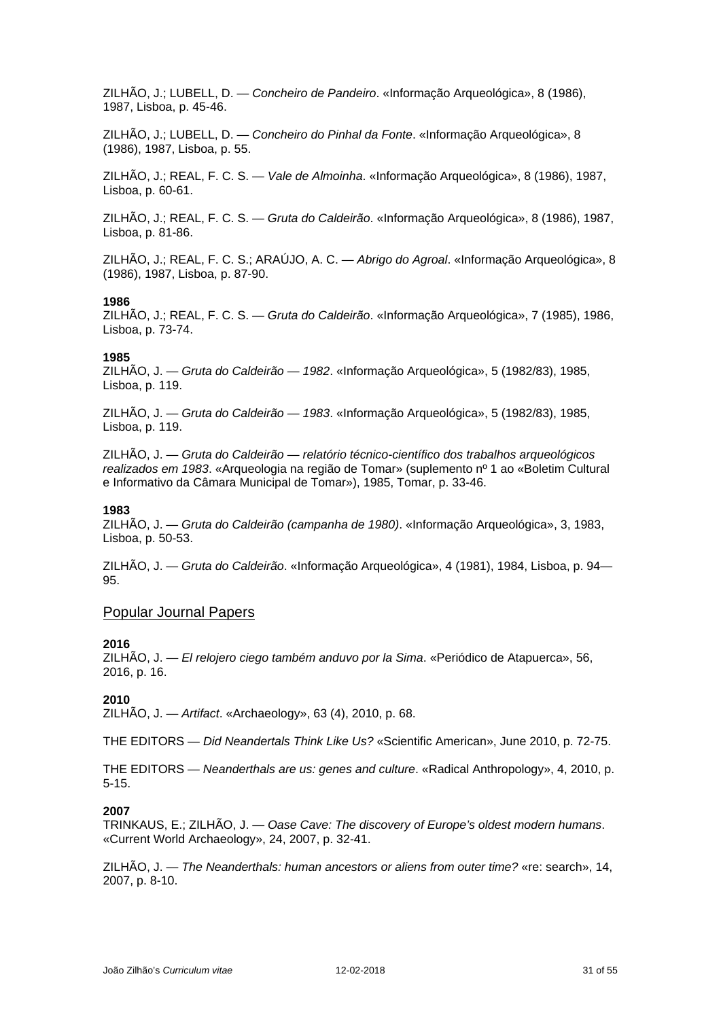ZILHÃO, J.; LUBELL, D. — *Concheiro de Pandeiro*. «Informação Arqueológica», 8 (1986), 1987, Lisboa, p. 45-46.

ZILHÃO, J.; LUBELL, D. — *Concheiro do Pinhal da Fonte*. «Informação Arqueológica», 8 (1986), 1987, Lisboa, p. 55.

ZILHÃO, J.; REAL, F. C. S. — *Vale de Almoinha*. «Informação Arqueológica», 8 (1986), 1987, Lisboa, p. 60-61.

ZILHÃO, J.; REAL, F. C. S. — *Gruta do Caldeirão*. «Informação Arqueológica», 8 (1986), 1987, Lisboa, p. 81-86.

ZILHÃO, J.; REAL, F. C. S.; ARAÚJO, A. C. — *Abrigo do Agroal*. «Informação Arqueológica», 8 (1986), 1987, Lisboa, p. 87-90.

#### **1986**

ZILHÃO, J.; REAL, F. C. S. — *Gruta do Caldeirão*. «Informação Arqueológica», 7 (1985), 1986, Lisboa, p. 73-74.

#### **1985**

ZILHÃO, J. — *Gruta do Caldeirão — 1982*. «Informação Arqueológica», 5 (1982/83), 1985, Lisboa, p. 119.

ZILHÃO, J. — *Gruta do Caldeirão — 1983*. «Informação Arqueológica», 5 (1982/83), 1985, Lisboa, p. 119.

ZILHÃO, J. — *Gruta do Caldeirão — relatório técnico-científico dos trabalhos arqueológicos realizados em 1983*. «Arqueologia na região de Tomar» (suplemento nº 1 ao «Boletim Cultural e Informativo da Câmara Municipal de Tomar»), 1985, Tomar, p. 33-46.

#### **1983**

ZILHÃO, J. — *Gruta do Caldeirão (campanha de 1980)*. «Informação Arqueológica», 3, 1983, Lisboa, p. 50-53.

ZILHÃO, J. — *Gruta do Caldeirão*. «Informação Arqueológica», 4 (1981), 1984, Lisboa, p. 94— 95.

#### Popular Journal Papers

### **2016**

ZILHÃO, J. — *El relojero ciego também anduvo por la Sima*. «Periódico de Atapuerca», 56, 2016, p. 16.

### **2010**

ZILHÃO, J. — *Artifact*. «Archaeology», 63 (4), 2010, p. 68.

THE EDITORS — *Did Neandertals Think Like Us?* «Scientific American», June 2010, p. 72-75.

THE EDITORS — *Neanderthals are us: genes and culture*. «Radical Anthropology», 4, 2010, p. 5-15.

#### **2007**

TRINKAUS, E.; ZILHÃO, J. — *Oase Cave: The discovery of Europe's oldest modern humans*. «Current World Archaeology», 24, 2007, p. 32-41.

ZILHÃO, J. — *The Neanderthals: human ancestors or aliens from outer time?* «re: search», 14, 2007, p. 8-10.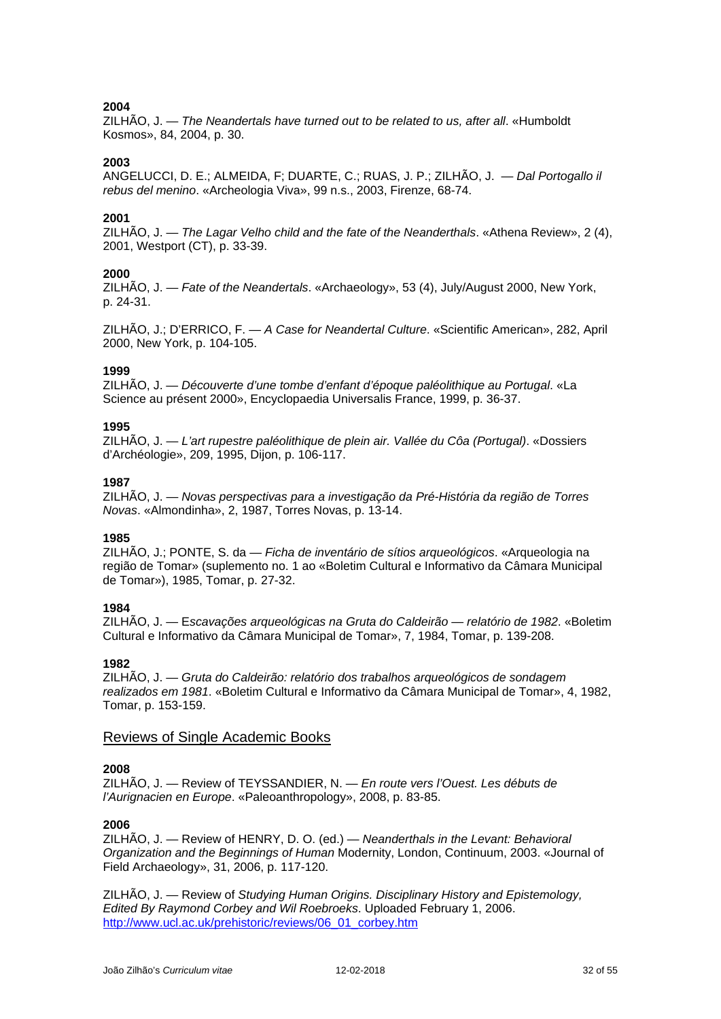ZILHÃO, J. — *The Neandertals have turned out to be related to us, after all*. «Humboldt Kosmos», 84, 2004, p. 30.

### **2003**

ANGELUCCI, D. E.; ALMEIDA, F; DUARTE, C.; RUAS, J. P.; ZILHÃO, J. — *Dal Portogallo il rebus del menino*. «Archeologia Viva», 99 n.s., 2003, Firenze, 68-74.

### **2001**

ZILHÃO, J. — *The Lagar Velho child and the fate of the Neanderthals*. «Athena Review», 2 (4), 2001, Westport (CT), p. 33-39.

### **2000**

ZILHÃO, J. — *Fate of the Neandertals*. «Archaeology», 53 (4), July/August 2000, New York, p. 24-31.

ZILHÃO, J.; D'ERRICO, F. — *A Case for Neandertal Culture*. «Scientific American», 282, April 2000, New York, p. 104-105.

### **1999**

ZILHÃO, J. — *Découverte d'une tombe d'enfant d'époque paléolithique au Portugal*. «La Science au présent 2000», Encyclopaedia Universalis France, 1999, p. 36-37.

### **1995**

ZILHÃO, J. — *L'art rupestre paléolithique de plein air. Vallée du Côa (Portugal)*. «Dossiers d'Archéologie», 209, 1995, Dijon, p. 106-117.

#### **1987**

ZILHÃO, J. — *Novas perspectivas para a investigação da Pré-História da região de Torres Novas*. «Almondinha», 2, 1987, Torres Novas, p. 13-14.

### **1985**

ZILHÃO, J.; PONTE, S. da — *Ficha de inventário de sítios arqueológicos*. «Arqueologia na região de Tomar» (suplemento no. 1 ao «Boletim Cultural e Informativo da Câmara Municipal de Tomar»), 1985, Tomar, p. 27-32.

### **1984**

ZILHÃO, J. — E*scavações arqueológicas na Gruta do Caldeirão — relatório de 1982*. «Boletim Cultural e Informativo da Câmara Municipal de Tomar», 7, 1984, Tomar, p. 139-208.

### **1982**

ZILHÃO, J. — *Gruta do Caldeirão: relatório dos trabalhos arqueológicos de sondagem realizados em 1981*. «Boletim Cultural e Informativo da Câmara Municipal de Tomar», 4, 1982, Tomar, p. 153-159.

### Reviews of Single Academic Books

### **2008**

ZILHÃO, J. — Review of TEYSSANDIER, N. — *En route vers l'Ouest. Les débuts de l'Aurignacien en Europe*. «Paleoanthropology», 2008, p. 83-85.

### **2006**

ZILHÃO, J. — Review of HENRY, D. O. (ed.) — *Neanderthals in the Levant: Behavioral Organization and the Beginnings of Human* Modernity, London, Continuum, 2003. «Journal of Field Archaeology», 31, 2006, p. 117-120.

ZILHÃO, J. — Review of *Studying Human Origins. Disciplinary History and Epistemology, Edited By Raymond Corbey and Wil Roebroeks*. Uploaded February 1, 2006. [http://www.ucl.ac.uk/prehistoric/reviews/06\\_01\\_corbey.htm](http://www.madrimasd.org/cienciaysociedad/Resenas/ensayos/resena.asp?id=101)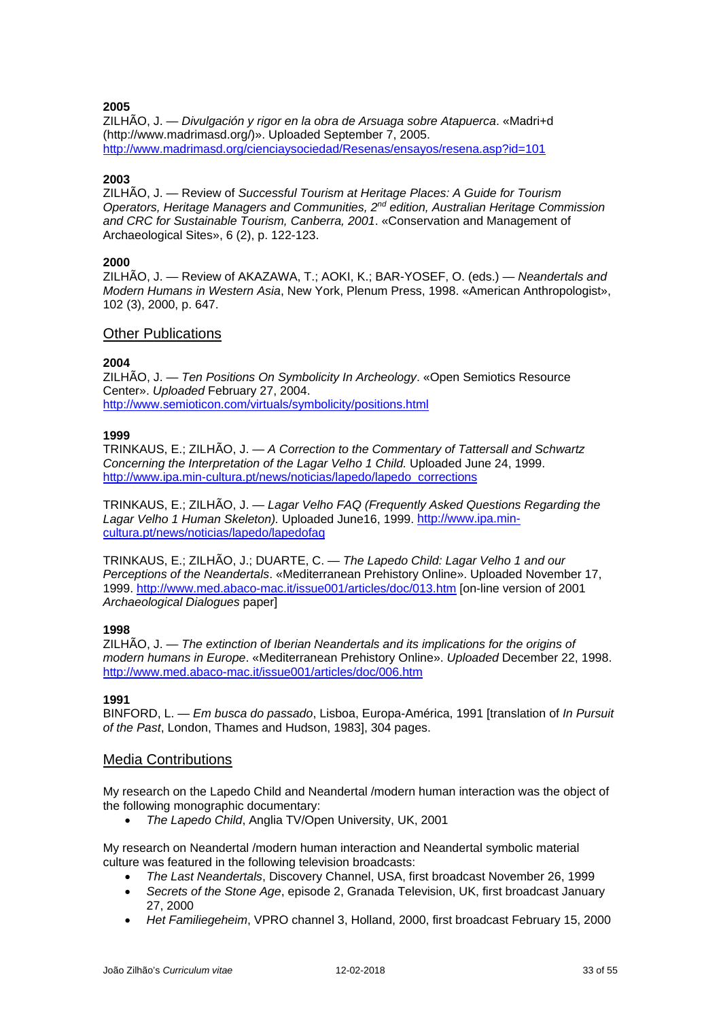ZILHÃO, J. — *Divulgación y rigor en la obra de Arsuaga sobre Atapuerca*. «Madri+d (http://www.madrimasd.org/)». Uploaded September 7, 2005. <http://www.madrimasd.org/cienciaysociedad/Resenas/ensayos/resena.asp?id=101>

### **2003**

ZILHÃO, J. — Review of *Successful Tourism at Heritage Places: A Guide for Tourism Operators, Heritage Managers and Communities, 2nd edition, Australian Heritage Commission and CRC for Sustainable Tourism, Canberra, 2001*. «Conservation and Management of Archaeological Sites», 6 (2), p. 122-123.

### **2000**

ZILHÃO, J. — Review of AKAZAWA, T.; AOKI, K.; BAR-YOSEF, O. (eds.) — *Neandertals and Modern Humans in Western Asia*, New York, Plenum Press, 1998. «American Anthropologist», 102 (3), 2000, p. 647.

### Other Publications

### **2004**

ZILHÃO, J. — *Ten Positions On Symbolicity In Archeology*. «Open Semiotics Resource Center». *Uploaded* February 27, 2004. <http://www.semioticon.com/virtuals/symbolicity/positions.html>

### **1999**

TRINKAUS, E.; ZILHÃO, J. — *A Correction to the Commentary of Tattersall and Schwartz Concerning the Interpretation of the Lagar Velho 1 Child.* Uploaded June 24, 1999. [http://www.ipa.min-cultura.pt/news/noticias/lapedo/lapedo\\_corrections](http://www.ipa.min-cultura.pt/news/noticias/lapedo/lapedo_corrections)

TRINKAUS, E.; ZILHÃO, J. — *Lagar Velho FAQ (Frequently Asked Questions Regarding the Lagar Velho 1 Human Skeleton).* Uploaded June16, 1999[. http://www.ipa.min](http://www.ipa.min-cultura.pt/news/noticias/lapedo/lapedofaq)[cultura.pt/news/noticias/lapedo/lapedofaq](http://www.ipa.min-cultura.pt/news/noticias/lapedo/lapedofaq)

TRINKAUS, E.; ZILHÃO, J.; DUARTE, C. — *The Lapedo Child: Lagar Velho 1 and our Perceptions of the Neandertals*. «Mediterranean Prehistory Online». Uploaded November 17, 1999. [http://www.med.abaco-mac.it/issue001/articles/doc/013.htm](http://www.med.abaco-mac.it/articles/doc/013.htm) [on-line version of 2001 *Archaeological Dialogues* paper]

### **1998**

ZILHÃO, J. — *The extinction of Iberian Neandertals and its implications for the origins of modern humans in Europe*. «Mediterranean Prehistory Online». *Uploaded* December 22, 1998. <http://www.med.abaco-mac.it/issue001/articles/doc/006.htm>

### **1991**

BINFORD, L. — *Em busca do passado*, Lisboa, Europa-América, 1991 [translation of *In Pursuit of the Past*, London, Thames and Hudson, 1983], 304 pages.

### Media Contributions

My research on the Lapedo Child and Neandertal /modern human interaction was the object of the following monographic documentary:

• *The Lapedo Child*, Anglia TV/Open University, UK, 2001

My research on Neandertal /modern human interaction and Neandertal symbolic material culture was featured in the following television broadcasts:

- *The Last Neandertals*, Discovery Channel, USA, first broadcast November 26, 1999
- *Secrets of the Stone Age*, episode 2, Granada Television, UK, first broadcast January 27, 2000
- *Het Familiegeheim*, VPRO channel 3, Holland, 2000, first broadcast February 15, 2000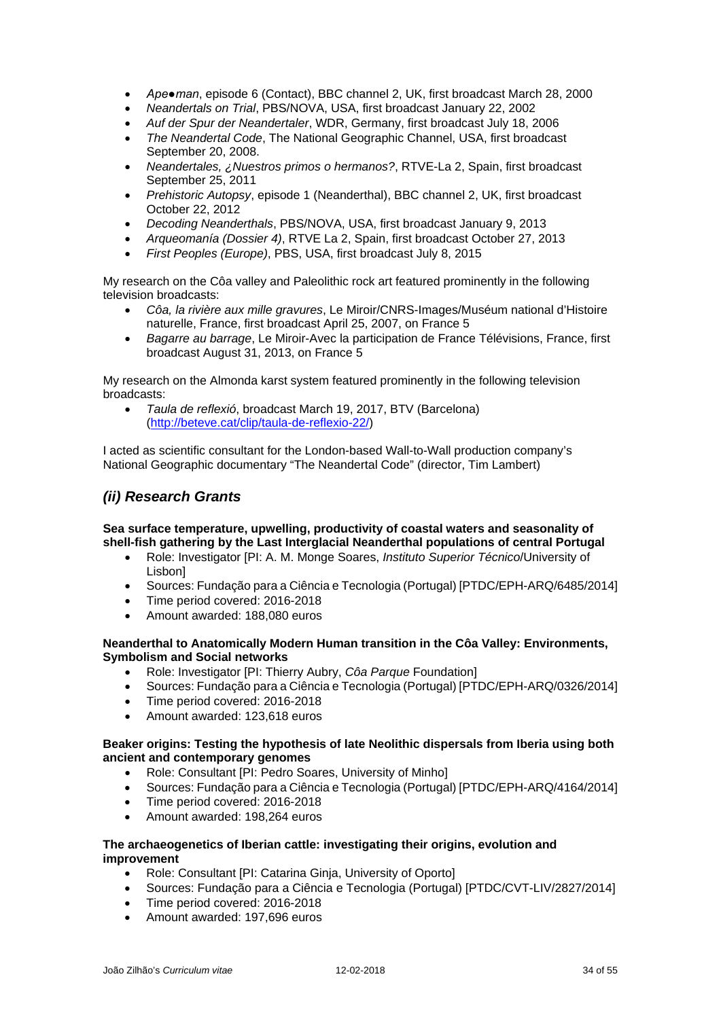- *Ape●man*, episode 6 (Contact), BBC channel 2, UK, first broadcast March 28, 2000
- *Neandertals on Trial*, PBS/NOVA, USA, first broadcast January 22, 2002
- *Auf der Spur der Neandertaler*, WDR, Germany, first broadcast July 18, 2006
- *The Neandertal Code*, The National Geographic Channel, USA, first broadcast September 20, 2008.
- *Neandertales, ¿Nuestros primos o hermanos?*, RTVE-La 2, Spain, first broadcast September 25, 2011
- *Prehistoric Autopsy*, episode 1 (Neanderthal), BBC channel 2, UK, first broadcast October 22, 2012
- *Decoding Neanderthals*, PBS/NOVA, USA, first broadcast January 9, 2013
- *Arqueomanía (Dossier 4)*, RTVE La 2, Spain, first broadcast October 27, 2013
- *First Peoples (Europe)*, PBS, USA, first broadcast July 8, 2015

My research on the Côa valley and Paleolithic rock art featured prominently in the following television broadcasts:

- *Côa, la rivière aux mille gravures*, Le Miroir/CNRS-Images/Muséum national d'Histoire naturelle, France, first broadcast April 25, 2007, on France 5
- *Bagarre au barrage*, Le Miroir-Avec la participation de France Télévisions, France, first broadcast August 31, 2013, on France 5

My research on the Almonda karst system featured prominently in the following television broadcasts:

• *Taula de reflexió*, broadcast March 19, 2017, BTV (Barcelona) [\(http://beteve.cat/clip/taula-de-reflexio-22/\)](http://beteve.cat/clip/taula-de-reflexio-22/)

I acted as scientific consultant for the London-based Wall-to-Wall production company's National Geographic documentary "The Neandertal Code" (director, Tim Lambert)

# *(ii) Research Grants*

### **Sea surface temperature, upwelling, productivity of coastal waters and seasonality of shell-fish gathering by the Last Interglacial Neanderthal populations of central Portugal**

- Role: Investigator [PI: A. M. Monge Soares, *Instituto Superior Técnico*/University of Lisbon]
- Sources: Fundação para a Ciência e Tecnologia (Portugal) [PTDC/EPH-ARQ/6485/2014]
- Time period covered: 2016-2018
- Amount awarded: 188,080 euros

### **Neanderthal to Anatomically Modern Human transition in the Côa Valley: Environments, Symbolism and Social networks**

- Role: Investigator [PI: Thierry Aubry, *Côa Parque* Foundation]
- Sources: Fundação para a Ciência e Tecnologia (Portugal) [PTDC/EPH-ARQ/0326/2014]
- Time period covered: 2016-2018
- Amount awarded: 123,618 euros

### **Beaker origins: Testing the hypothesis of late Neolithic dispersals from Iberia using both ancient and contemporary genomes**

- Role: Consultant [PI: Pedro Soares, University of Minho]
- Sources: Fundação para a Ciência e Tecnologia (Portugal) [PTDC/EPH-ARQ/4164/2014]
- Time period covered: 2016-2018
- Amount awarded: 198,264 euros

### **The archaeogenetics of Iberian cattle: investigating their origins, evolution and improvement**

- Role: Consultant [PI: Catarina Ginja, University of Oporto]
- Sources: Fundação para a Ciência e Tecnologia (Portugal) [PTDC/CVT-LIV/2827/2014]
- Time period covered: 2016-2018
- Amount awarded: 197,696 euros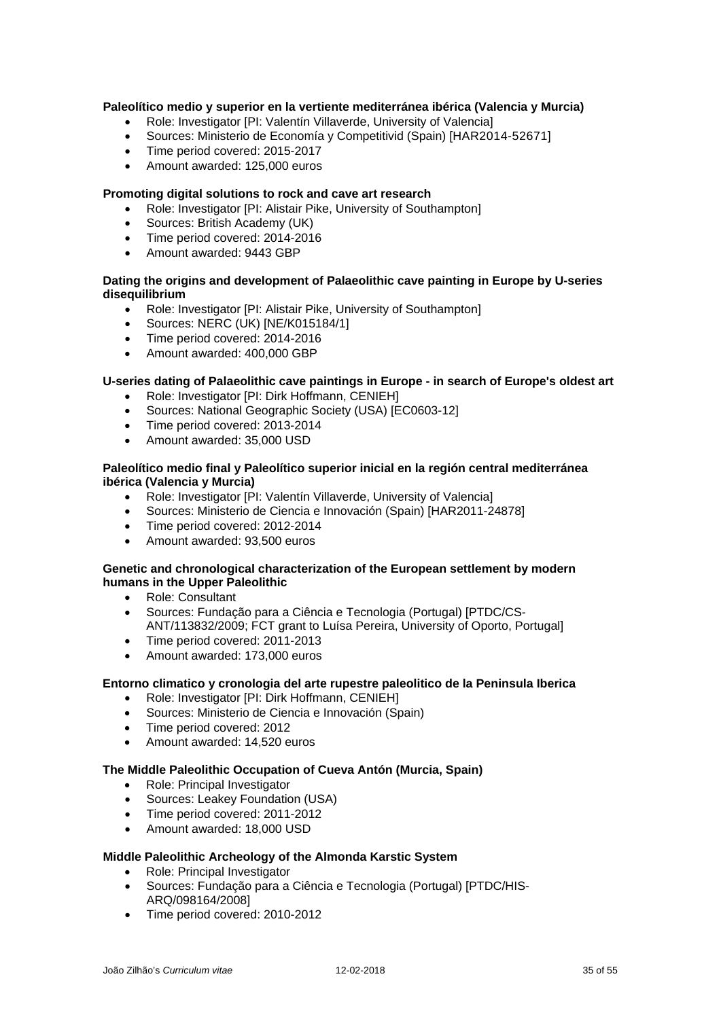### **Paleolítico medio y superior en la vertiente mediterránea ibérica (Valencia y Murcia)**

- Role: Investigator [PI: Valentín Villaverde, University of Valencia]
- Sources: Ministerio de Economía y Competitivid (Spain) [HAR2014-52671]
- Time period covered: 2015-2017
- Amount awarded: 125,000 euros

### **Promoting digital solutions to rock and cave art research**

- Role: Investigator [PI: Alistair Pike, University of Southampton]
- Sources: British Academy (UK)
- Time period covered: 2014-2016
- Amount awarded: 9443 GBP

### **Dating the origins and development of Palaeolithic cave painting in Europe by U-series disequilibrium**

- Role: Investigator [PI: Alistair Pike, University of Southampton]
- Sources: NERC (UK) [NE/K015184/1]
- Time period covered: 2014-2016
- Amount awarded: 400,000 GBP

### **U-series dating of Palaeolithic cave paintings in Europe - in search of Europe's oldest art**

- Role: Investigator [PI: Dirk Hoffmann, CENIEH]
- Sources: National Geographic Society (USA) [EC0603-12]
- Time period covered: 2013-2014
- Amount awarded: 35,000 USD

### **Paleolítico medio final y Paleolítico superior inicial en la región central mediterránea ibérica (Valencia y Murcia)**

- Role: Investigator [PI: Valentín Villaverde, University of Valencia]
- Sources: Ministerio de Ciencia e Innovación (Spain) [HAR2011-24878]
- Time period covered: 2012-2014
- Amount awarded: 93,500 euros

### **Genetic and chronological characterization of the European settlement by modern humans in the Upper Paleolithic**

- Role: Consultant
- Sources: Fundação para a Ciência e Tecnologia (Portugal) [PTDC/CS-ANT/113832/2009; FCT grant to Luísa Pereira, University of Oporto, Portugal]
- Time period covered: 2011-2013
- Amount awarded: 173,000 euros

### **Entorno climatico y cronologia del arte rupestre paleolitico de la Peninsula Iberica**

- Role: Investigator [PI: Dirk Hoffmann, CENIEH]
- Sources: Ministerio de Ciencia e Innovación (Spain)
- Time period covered: 2012
- Amount awarded: 14,520 euros

### **The Middle Paleolithic Occupation of Cueva Antón (Murcia, Spain)**

- Role: Principal Investigator
- Sources: Leakey Foundation (USA)
- Time period covered: 2011-2012
- Amount awarded: 18,000 USD

### **Middle Paleolithic Archeology of the Almonda Karstic System**

- Role: Principal Investigator
- Sources: Fundação para a Ciência e Tecnologia (Portugal) [PTDC/HIS-ARQ/098164/2008]
- Time period covered: 2010-2012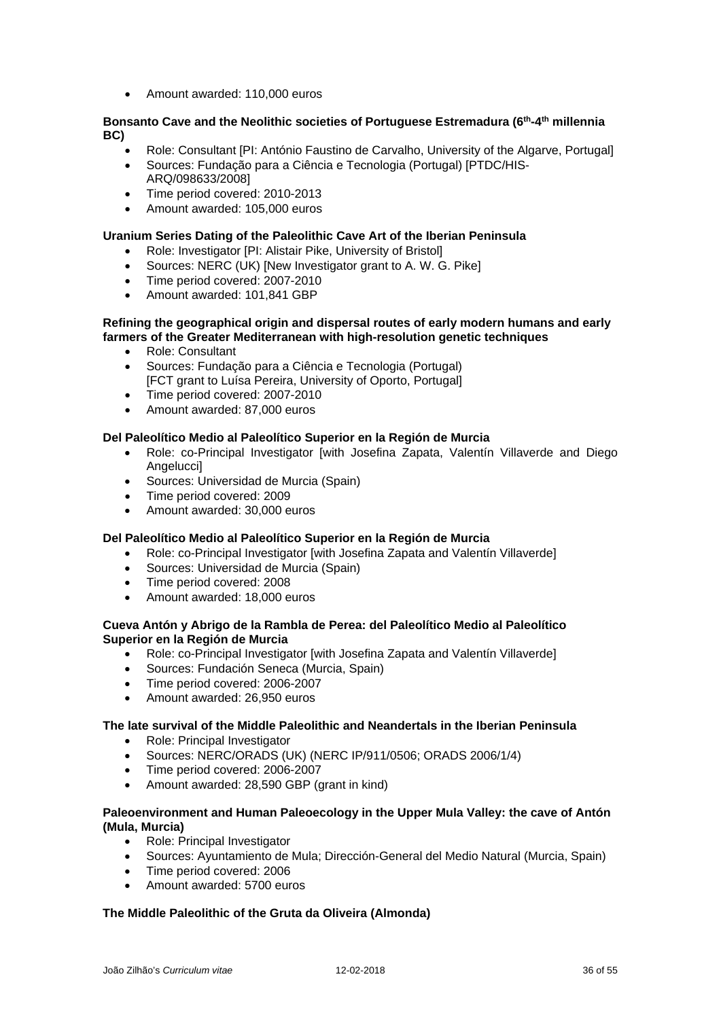• Amount awarded: 110,000 euros

### **Bonsanto Cave and the Neolithic societies of Portuguese Estremadura (6th-4th millennia BC)**

- Role: Consultant [PI: António Faustino de Carvalho, University of the Algarve, Portugal]
- Sources: Fundação para a Ciência e Tecnologia (Portugal) [PTDC/HIS-ARQ/098633/2008]
- Time period covered: 2010-2013
- Amount awarded: 105,000 euros

### **Uranium Series Dating of the Paleolithic Cave Art of the Iberian Peninsula**

- Role: Investigator [PI: Alistair Pike, University of Bristol]
- Sources: NERC (UK) [New Investigator grant to A. W. G. Pike]
- Time period covered: 2007-2010
- Amount awarded: 101,841 GBP

### **Refining the geographical origin and dispersal routes of early modern humans and early farmers of the Greater Mediterranean with high-resolution genetic techniques**

- Role: Consultant
- Sources: Fundação para a Ciência e Tecnologia (Portugal) [FCT grant to Luísa Pereira, University of Oporto, Portugal]
- Time period covered: 2007-2010
- Amount awarded: 87,000 euros

### **Del Paleolítico Medio al Paleolítico Superior en la Región de Murcia**

- Role: co-Principal Investigator [with Josefina Zapata, Valentín Villaverde and Diego Angelucci]
- Sources: Universidad de Murcia (Spain)
- Time period covered: 2009
- Amount awarded: 30,000 euros

### **Del Paleolítico Medio al Paleolítico Superior en la Región de Murcia**

- Role: co-Principal Investigator [with Josefina Zapata and Valentín Villaverde]
- Sources: Universidad de Murcia (Spain)
- Time period covered: 2008
- Amount awarded: 18,000 euros

### **Cueva Antón y Abrigo de la Rambla de Perea: del Paleolítico Medio al Paleolítico Superior en la Región de Murcia**

- Role: co-Principal Investigator [with Josefina Zapata and Valentín Villaverde]
- Sources: Fundación Seneca (Murcia, Spain)
- Time period covered: 2006-2007
- Amount awarded: 26,950 euros

### **The late survival of the Middle Paleolithic and Neandertals in the Iberian Peninsula**

- Role: Principal Investigator
- Sources: NERC/ORADS (UK) (NERC IP/911/0506; ORADS 2006/1/4)
- Time period covered: 2006-2007
- Amount awarded: 28,590 GBP (grant in kind)

### **Paleoenvironment and Human Paleoecology in the Upper Mula Valley: the cave of Antón (Mula, Murcia)**

- Role: Principal Investigator<br>• Sources: Avuntamiento de l
- Sources: Ayuntamiento de Mula; Dirección-General del Medio Natural (Murcia, Spain)
- Time period covered: 2006
- Amount awarded: 5700 euros

### **The Middle Paleolithic of the Gruta da Oliveira (Almonda)**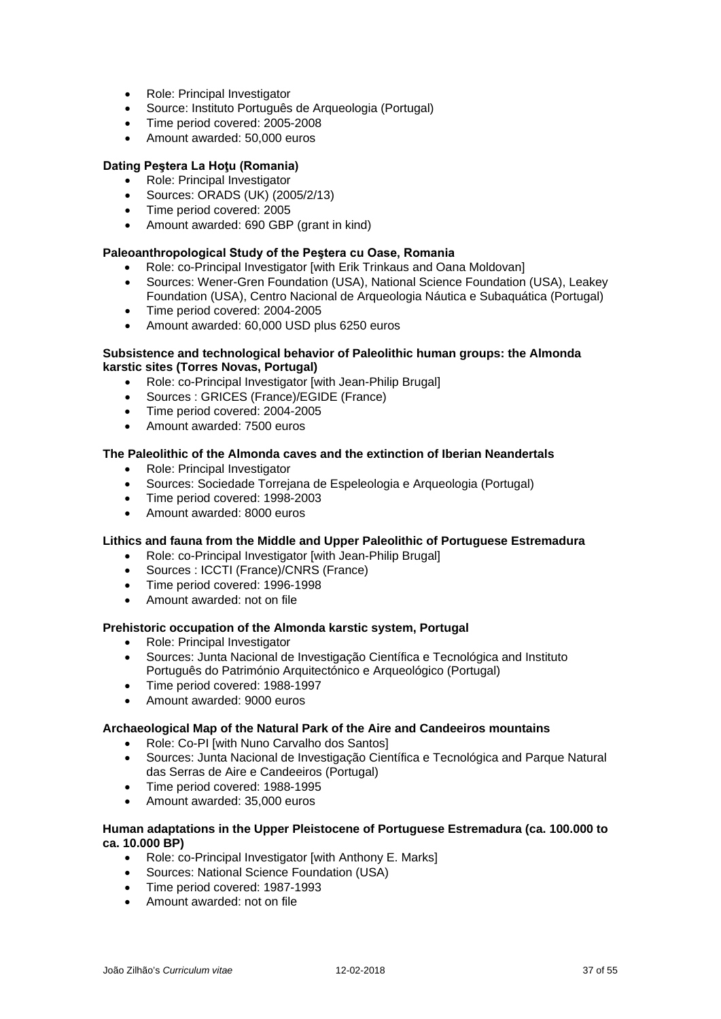- Role: Principal Investigator
- Source: Instituto Português de Arqueologia (Portugal)
- Time period covered: 2005-2008
- Amount awarded: 50,000 euros

### **Dating Peştera La Hoţu (Romania)**

- Role: Principal Investigator
- Sources: ORADS (UK) (2005/2/13)
- Time period covered: 2005
- Amount awarded: 690 GBP (grant in kind)

### **Paleoanthropological Study of the Peştera cu Oase, Romania**

- Role: co-Principal Investigator [with Erik Trinkaus and Oana Moldovan]
- Sources: Wener-Gren Foundation (USA), National Science Foundation (USA), Leakey Foundation (USA), Centro Nacional de Arqueologia Náutica e Subaquática (Portugal)
- Time period covered: 2004-2005
- Amount awarded: 60,000 USD plus 6250 euros

### **Subsistence and technological behavior of Paleolithic human groups: the Almonda karstic sites (Torres Novas, Portugal)**

- Role: co-Principal Investigator [with Jean-Philip Brugal]
- Sources : GRICES (France)/EGIDE (France)
- Time period covered: 2004-2005
- Amount awarded: 7500 euros

### **The Paleolithic of the Almonda caves and the extinction of Iberian Neandertals**

- Role: Principal Investigator
- Sources: Sociedade Torrejana de Espeleologia e Arqueologia (Portugal)
- Time period covered: 1998-2003
- Amount awarded: 8000 euros

### **Lithics and fauna from the Middle and Upper Paleolithic of Portuguese Estremadura**

- Role: co-Principal Investigator [with Jean-Philip Brugal]
- Sources : ICCTI (France)/CNRS (France)
- Time period covered: 1996-1998
- Amount awarded: not on file

### **Prehistoric occupation of the Almonda karstic system, Portugal**

- Role: Principal Investigator
- Sources: Junta Nacional de Investigação Científica e Tecnológica and Instituto Português do Património Arquitectónico e Arqueológico (Portugal)
- Time period covered: 1988-1997
- Amount awarded: 9000 euros

### **Archaeological Map of the Natural Park of the Aire and Candeeiros mountains**

- Role: Co-PI [with Nuno Carvalho dos Santos]
- Sources: Junta Nacional de Investigação Científica e Tecnológica and Parque Natural das Serras de Aire e Candeeiros (Portugal)
- Time period covered: 1988-1995
- Amount awarded: 35,000 euros

### **Human adaptations in the Upper Pleistocene of Portuguese Estremadura (ca. 100.000 to ca. 10.000 BP)**

- Role: co-Principal Investigator [with Anthony E. Marks]
- Sources: National Science Foundation (USA)
- Time period covered: 1987-1993
- Amount awarded: not on file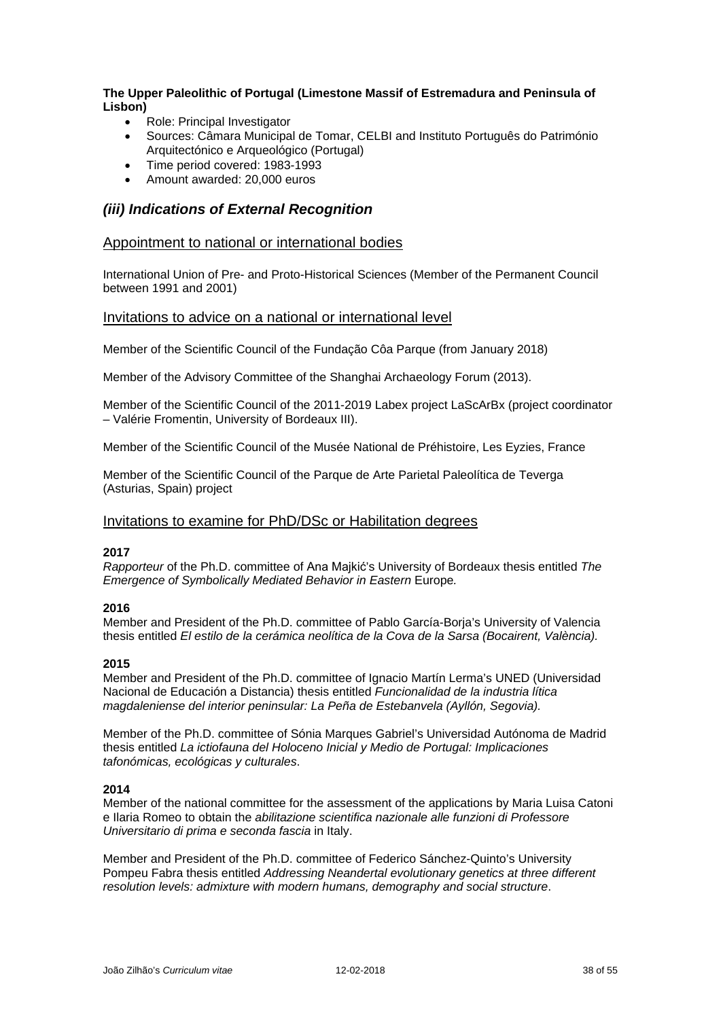### **The Upper Paleolithic of Portugal (Limestone Massif of Estremadura and Peninsula of Lisbon)**

- Role: Principal Investigator
- Sources: Câmara Municipal de Tomar, CELBI and Instituto Português do Património Arquitectónico e Arqueológico (Portugal)
- Time period covered: 1983-1993
- Amount awarded: 20,000 euros

## *(iii) Indications of External Recognition*

### Appointment to national or international bodies

International Union of Pre- and Proto-Historical Sciences (Member of the Permanent Council between 1991 and 2001)

### Invitations to advice on a national or international level

Member of the Scientific Council of the Fundação Côa Parque (from January 2018)

Member of the Advisory Committee of the Shanghai Archaeology Forum (2013).

Member of the Scientific Council of the 2011-2019 Labex project LaScArBx (project coordinator – Valérie Fromentin, University of Bordeaux III).

Member of the Scientific Council of the Musée National de Préhistoire, Les Eyzies, France

Member of the Scientific Council of the Parque de Arte Parietal Paleolítica de Teverga (Asturias, Spain) project

### Invitations to examine for PhD/DSc or Habilitation degrees

### **2017**

*Rapporteur* of the Ph.D. committee of Ana Majkić's University of Bordeaux thesis entitled *The Emergence of Symbolically Mediated Behavior in Eastern Europe.* 

### **2016**

Member and President of the Ph.D. committee of Pablo García-Borja's University of Valencia thesis entitled *El estilo de la cerámica neolítica de la Cova de la Sarsa (Bocairent, València).*

### **2015**

Member and President of the Ph.D. committee of Ignacio Martín Lerma's UNED (Universidad Nacional de Educación a Distancia) thesis entitled *Funcionalidad de la industria lítica magdaleniense del interior peninsular: La Peña de Estebanvela (Ayllón, Segovia).*

Member of the Ph.D. committee of Sónia Marques Gabriel's Universidad Autónoma de Madrid thesis entitled *La ictiofauna del Holoceno Inicial y Medio de Portugal: Implicaciones tafonómicas, ecológicas y culturales*.

#### **2014**

Member of the national committee for the assessment of the applications by Maria Luisa Catoni e Ilaria Romeo to obtain the *abilitazione scientifica nazionale alle funzioni di Professore Universitario di prima e seconda fascia* in Italy.

Member and President of the Ph.D. committee of Federico Sánchez-Quinto's University Pompeu Fabra thesis entitled *Addressing Neandertal evolutionary genetics at three different resolution levels: admixture with modern humans, demography and social structure*.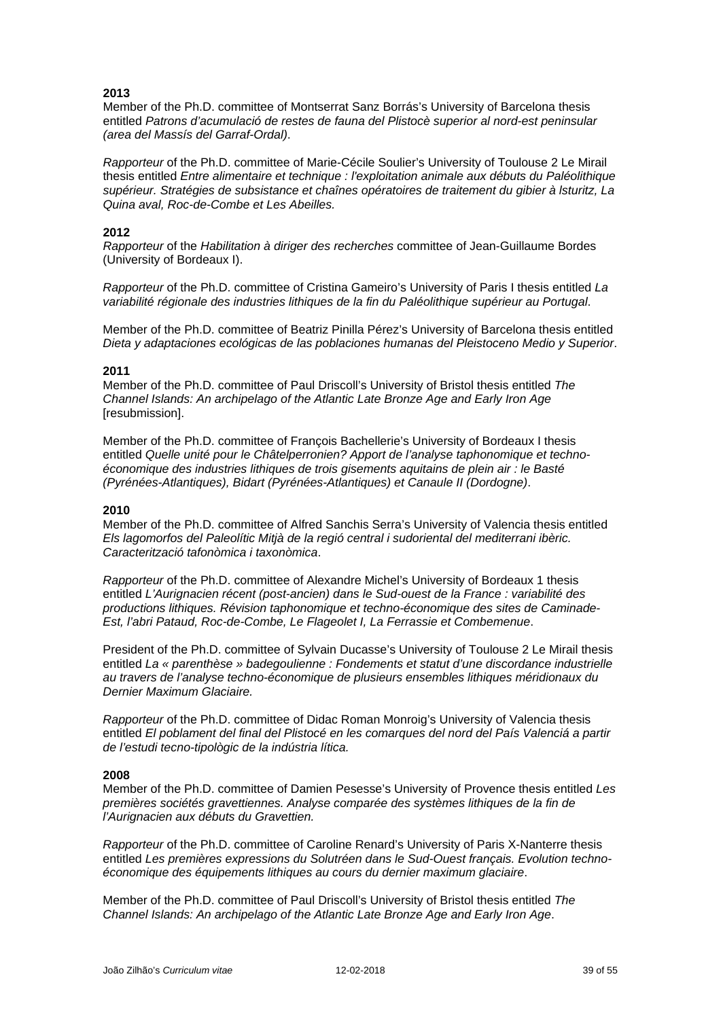Member of the Ph.D. committee of Montserrat Sanz Borrás's University of Barcelona thesis entitled *Patrons d'acumulació de restes de fauna del Plistocè superior al nord-est peninsular (area del Massís del Garraf-Ordal)*.

*Rapporteur* of the Ph.D. committee of Marie-Cécile Soulier's University of Toulouse 2 Le Mirail thesis entitled *Entre alimentaire et technique : l'exploitation animale aux débuts du Paléolithique supérieur. Stratégies de subsistance et chaînes opératoires de traitement du gibier à lsturitz, La Quina aval, Roc-de-Combe et Les Abeilles.*

### **2012**

*Rapporteur* of the *Habilitation à diriger des recherches* committee of Jean-Guillaume Bordes (University of Bordeaux I).

*Rapporteur* of the Ph.D. committee of Cristina Gameiro's University of Paris I thesis entitled *La variabilité régionale des industries lithiques de la fin du Paléolithique supérieur au Portugal*.

Member of the Ph.D. committee of Beatriz Pinilla Pérez's University of Barcelona thesis entitled *Dieta y adaptaciones ecológicas de las poblaciones humanas del Pleistoceno Medio y Superior*.

#### **2011**

Member of the Ph.D. committee of Paul Driscoll's University of Bristol thesis entitled *The Channel Islands: An archipelago of the Atlantic Late Bronze Age and Early Iron Age* [resubmission].

Member of the Ph.D. committee of François Bachellerie's University of Bordeaux I thesis entitled *Quelle unité pour le Châtelperronien? Apport de l'analyse taphonomique et technoéconomique des industries lithiques de trois gisements aquitains de plein air : le Basté (Pyrénées-Atlantiques), Bidart (Pyrénées-Atlantiques) et Canaule II (Dordogne)*.

#### **2010**

Member of the Ph.D. committee of Alfred Sanchis Serra's University of Valencia thesis entitled *Els lagomorfos del Paleolític Mitjà de la regió central i sudoriental del mediterrani ibèric. Caracterització tafonòmica i taxonòmica*.

*Rapporteur* of the Ph.D. committee of Alexandre Michel's University of Bordeaux 1 thesis entitled *L'Aurignacien récent (post-ancien) dans le Sud-ouest de la France : variabilité des productions lithiques. Révision taphonomique et techno-économique des sites de Caminade-Est, l'abri Pataud, Roc-de-Combe, Le Flageolet I, La Ferrassie et Combemenue*.

President of the Ph.D. committee of Sylvain Ducasse's University of Toulouse 2 Le Mirail thesis entitled *La « parenthèse » badegoulienne : Fondements et statut d'une discordance industrielle au travers de l'analyse techno-économique de plusieurs ensembles lithiques méridionaux du Dernier Maximum Glaciaire.*

*Rapporteur* of the Ph.D. committee of Didac Roman Monroig's University of Valencia thesis entitled *El poblament del final del Plistocé en les comarques del nord del País Valenciá a partir de l'estudi tecno-tipològic de la indústria lítica.*

#### **2008**

Member of the Ph.D. committee of Damien Pesesse's University of Provence thesis entitled *Les premières sociétés gravettiennes. Analyse comparée des systèmes lithiques de la fin de l'Aurignacien aux débuts du Gravettien.*

*Rapporteur* of the Ph.D. committee of Caroline Renard's University of Paris X-Nanterre thesis entitled *Les premières expressions du Solutréen dans le Sud-Ouest français. Evolution technoéconomique des équipements lithiques au cours du dernier maximum glaciaire*.

Member of the Ph.D. committee of Paul Driscoll's University of Bristol thesis entitled *The Channel Islands: An archipelago of the Atlantic Late Bronze Age and Early Iron Age*.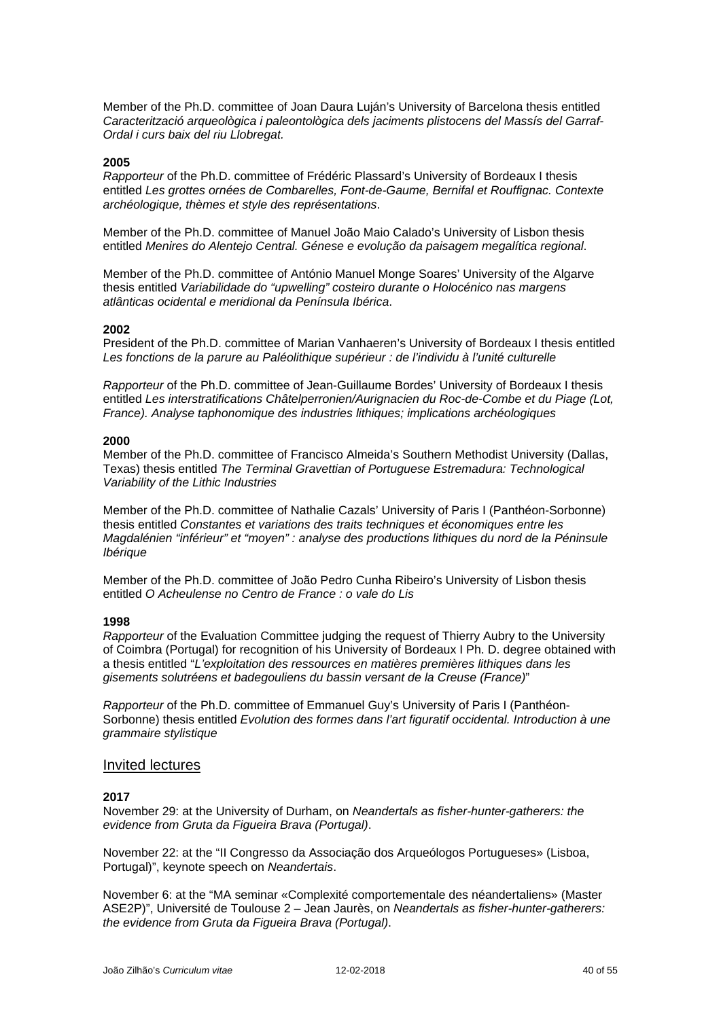Member of the Ph.D. committee of Joan Daura Luján's University of Barcelona thesis entitled *Caracterització arqueològica i paleontològica dels jaciments plistocens del Massís del Garraf-Ordal i curs baix del riu Llobregat.*

#### **2005**

*Rapporteur* of the Ph.D. committee of Frédéric Plassard's University of Bordeaux I thesis entitled *Les grottes ornées de Combarelles, Font-de-Gaume, Bernifal et Rouffignac. Contexte archéologique, thèmes et style des représentations*.

Member of the Ph.D. committee of Manuel João Maio Calado's University of Lisbon thesis entitled *Menires do Alentejo Central. Génese e evolução da paisagem megalítica regional*.

Member of the Ph.D. committee of António Manuel Monge Soares' University of the Algarve thesis entitled *Variabilidade do "upwelling" costeiro durante o Holocénico nas margens atlânticas ocidental e meridional da Península Ibérica*.

#### **2002**

President of the Ph.D. committee of Marian Vanhaeren's University of Bordeaux I thesis entitled *Les fonctions de la parure au Paléolithique supérieur : de l'individu à l'unité culturelle*

*Rapporteur* of the Ph.D. committee of Jean-Guillaume Bordes' University of Bordeaux I thesis entitled *Les interstratifications Châtelperronien/Aurignacien du Roc-de-Combe et du Piage (Lot, France). Analyse taphonomique des industries lithiques; implications archéologiques*

#### **2000**

Member of the Ph.D. committee of Francisco Almeida's Southern Methodist University (Dallas, Texas) thesis entitled *The Terminal Gravettian of Portuguese Estremadura: Technological Variability of the Lithic Industries*

Member of the Ph.D. committee of Nathalie Cazals' University of Paris I (Panthéon-Sorbonne) thesis entitled *Constantes et variations des traits techniques et économiques entre les Magdalénien "inférieur" et "moyen" : analyse des productions lithiques du nord de la Péninsule Ibérique*

Member of the Ph.D. committee of João Pedro Cunha Ribeiro's University of Lisbon thesis entitled *O Acheulense no Centro de France : o vale do Lis*

#### **1998**

*Rapporteur* of the Evaluation Committee judging the request of Thierry Aubry to the University of Coimbra (Portugal) for recognition of his University of Bordeaux I Ph. D. degree obtained with a thesis entitled "*L'exploitation des ressources en matières premières lithiques dans les gisements solutréens et badegouliens du bassin versant de la Creuse (France)*"

*Rapporteur* of the Ph.D. committee of Emmanuel Guy's University of Paris I (Panthéon-Sorbonne) thesis entitled *Evolution des formes dans l'art figuratif occidental. Introduction à une grammaire stylistique*

### Invited lectures

### **2017**

November 29: at the University of Durham, on *Neandertals as fisher-hunter-gatherers: the evidence from Gruta da Figueira Brava (Portugal)*.

November 22: at the "II Congresso da Associação dos Arqueólogos Portugueses» (Lisboa, Portugal)", keynote speech on *Neandertais*.

November 6: at the "MA seminar «Complexité comportementale des néandertaliens» (Master ASE2P)", Université de Toulouse 2 – Jean Jaurès, on *Neandertals as fisher-hunter-gatherers: the evidence from Gruta da Figueira Brava (Portugal)*.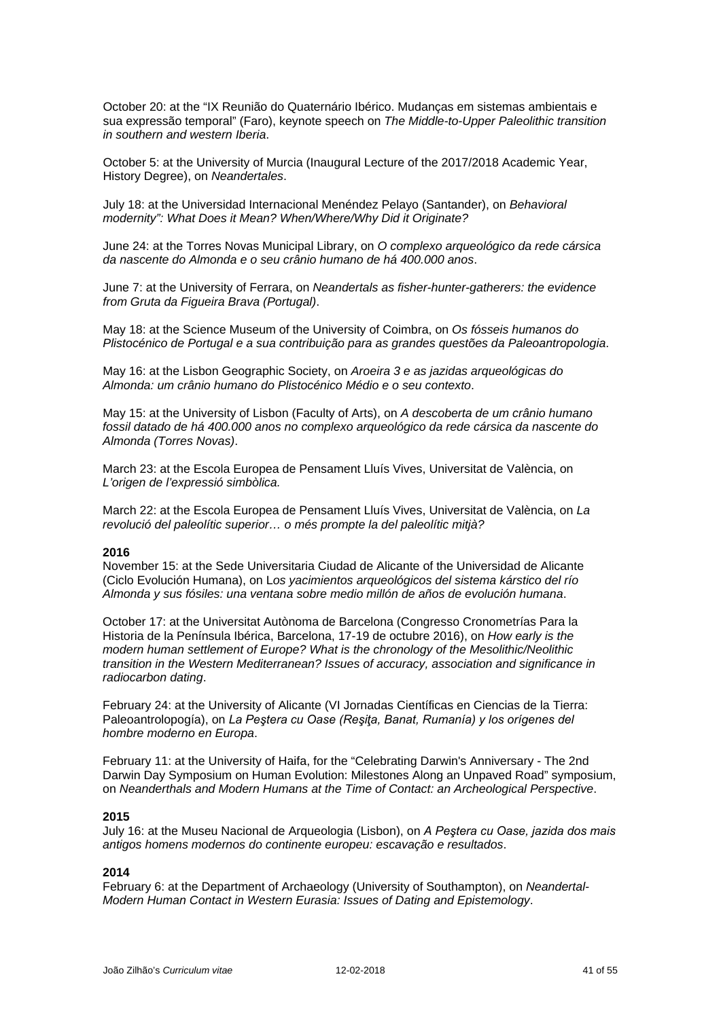October 20: at the "IX Reunião do Quaternário Ibérico. Mudanças em sistemas ambientais e sua expressão temporal" (Faro), keynote speech on *The Middle-to-Upper Paleolithic transition in southern and western Iberia*.

October 5: at the University of Murcia (Inaugural Lecture of the 2017/2018 Academic Year, History Degree), on *Neandertales*.

July 18: at the Universidad Internacional Menéndez Pelayo (Santander), on *Behavioral modernity": What Does it Mean? When/Where/Why Did it Originate?*

June 24: at the Torres Novas Municipal Library, on *O complexo arqueológico da rede cársica da nascente do Almonda e o seu crânio humano de há 400.000 anos*.

June 7: at the University of Ferrara, on *Neandertals as fisher-hunter-gatherers: the evidence from Gruta da Figueira Brava (Portugal)*.

May 18: at the Science Museum of the University of Coimbra, on *Os fósseis humanos do Plistocénico de Portugal e a sua contribuição para as grandes questões da Paleoantropologia*.

May 16: at the Lisbon Geographic Society, on *Aroeira 3 e as jazidas arqueológicas do Almonda: um crânio humano do Plistocénico Médio e o seu contexto*.

May 15: at the University of Lisbon (Faculty of Arts), on *A descoberta de um crânio humano fossil datado de há 400.000 anos no complexo arqueológico da rede cársica da nascente do Almonda (Torres Novas)*.

March 23: at the Escola Europea de Pensament Lluís Vives, Universitat de València, on *L'origen de l'expressió simbòlica.*

March 22: at the Escola Europea de Pensament Lluís Vives, Universitat de València, on *La revolució del paleolític superior… o més prompte la del paleolític mitjà?*

### **2016**

November 15: at the Sede Universitaria Ciudad de Alicante of the Universidad de Alicante (Ciclo Evolución Humana), on L*os yacimientos arqueológicos del sistema kárstico del río Almonda y sus fósiles: una ventana sobre medio millón de años de evolución humana*.

October 17: at the Universitat Autònoma de Barcelona (Congresso Cronometrías Para la Historia de la Península Ibérica, Barcelona, 17-19 de octubre 2016), on *How early is the modern human settlement of Europe? What is the chronology of the Mesolithic/Neolithic transition in the Western Mediterranean? Issues of accuracy, association and significance in radiocarbon dating*.

February 24: at the University of Alicante (VI Jornadas Científicas en Ciencias de la Tierra: Paleoantrolopogía), on *La Peştera cu Oase (Reşiţa, Banat, Rumanía) y los orígenes del hombre moderno en Europa*.

February 11: at the University of Haifa, for the "Celebrating Darwin's Anniversary - The 2nd Darwin Day Symposium on Human Evolution: Milestones Along an Unpaved Road" symposium, on *Neanderthals and Modern Humans at the Time of Contact: an Archeological Perspective*.

#### **2015**

July 16: at the Museu Nacional de Arqueologia (Lisbon), on *A Peştera cu Oase, jazida dos mais antigos homens modernos do continente europeu: escavação e resultados*.

### **2014**

February 6: at the Department of Archaeology (University of Southampton), on *Neandertal-Modern Human Contact in Western Eurasia: Issues of Dating and Epistemology*.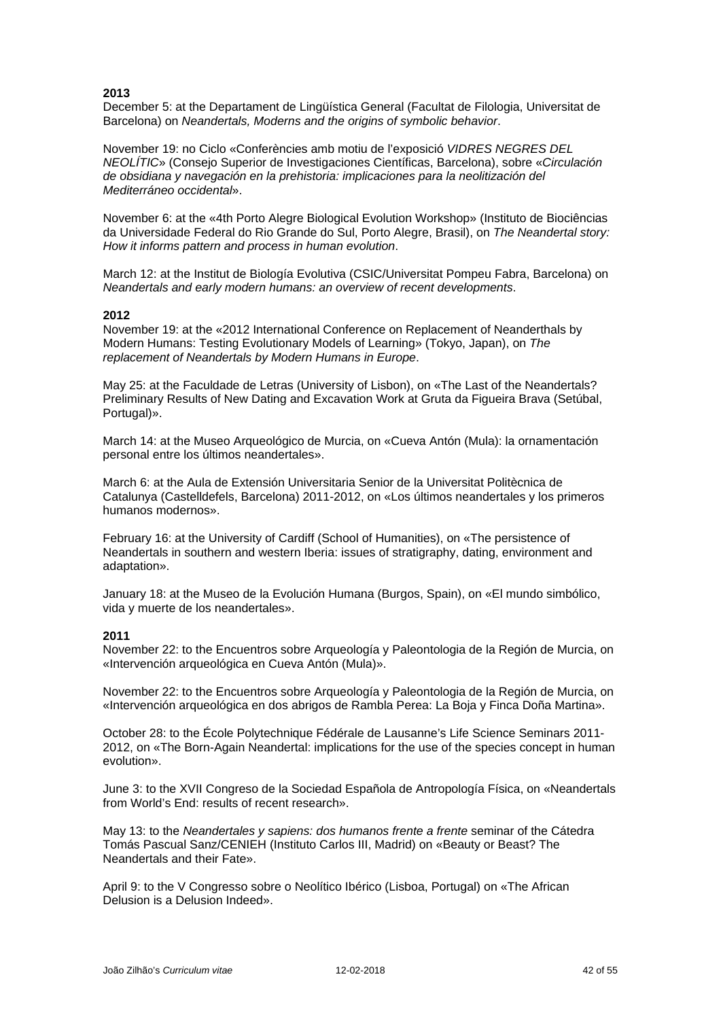December 5: at the Departament de Lingüística General (Facultat de Filologia, Universitat de Barcelona) on *Neandertals, Moderns and the origins of symbolic behavior*.

November 19: no Ciclo «Conferències amb motiu de l'exposició *VIDRES NEGRES DEL NEOLÍTIC*» (Consejo Superior de Investigaciones Científicas, Barcelona), sobre «*Circulación de obsidiana y navegación en la prehistoria: implicaciones para la neolitización del Mediterráneo occidental*».

November 6: at the «4th Porto Alegre Biological Evolution Workshop» (Instituto de Biociências da Universidade Federal do Rio Grande do Sul, Porto Alegre, Brasil), on *The Neandertal story: How it informs pattern and process in human evolution*.

March 12: at the Institut de Biología Evolutiva (CSIC/Universitat Pompeu Fabra, Barcelona) on *Neandertals and early modern humans: an overview of recent developments*.

#### **2012**

November 19: at the «2012 International Conference on Replacement of Neanderthals by Modern Humans: Testing Evolutionary Models of Learning» (Tokyo, Japan), on *The replacement of Neandertals by Modern Humans in Europe*.

May 25: at the Faculdade de Letras (University of Lisbon), on «The Last of the Neandertals? Preliminary Results of New Dating and Excavation Work at Gruta da Figueira Brava (Setúbal, Portugal)».

March 14: at the Museo Arqueológico de Murcia, on «Cueva Antón (Mula): la ornamentación personal entre los últimos neandertales».

March 6: at the Aula de Extensión Universitaria Senior de la Universitat Politècnica de Catalunya (Castelldefels, Barcelona) 2011-2012, on «Los últimos neandertales y los primeros humanos modernos».

February 16: at the University of Cardiff (School of Humanities), on «The persistence of Neandertals in southern and western Iberia: issues of stratigraphy, dating, environment and adaptation».

January 18: at the Museo de la Evolución Humana (Burgos, Spain), on «El mundo simbólico, vida y muerte de los neandertales».

#### **2011**

November 22: to the Encuentros sobre Arqueología y Paleontologia de la Región de Murcia, on «Intervención arqueológica en Cueva Antón (Mula)».

November 22: to the Encuentros sobre Arqueología y Paleontologia de la Región de Murcia, on «Intervención arqueológica en dos abrigos de Rambla Perea: La Boja y Finca Doña Martina».

October 28: to the École Polytechnique Fédérale de Lausanne's Life Science Seminars 2011- 2012, on «The Born-Again Neandertal: implications for the use of the species concept in human evolution».

June 3: to the XVII Congreso de la Sociedad Española de Antropología Física, on «Neandertals from World's End: results of recent research».

May 13: to the *Neandertales y sapiens: dos humanos frente a frente* seminar of the Cátedra Tomás Pascual Sanz/CENIEH (Instituto Carlos III, Madrid) on «Beauty or Beast? The Neandertals and their Fate».

April 9: to the V Congresso sobre o Neolítico Ibérico (Lisboa, Portugal) on «The African Delusion is a Delusion Indeed».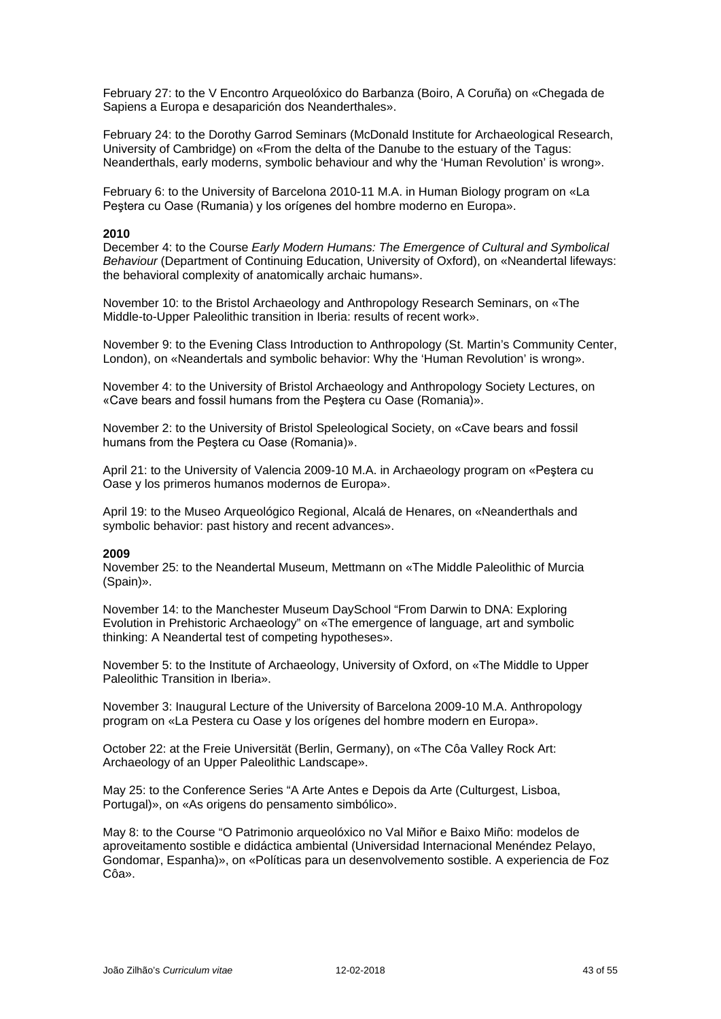February 27: to the V Encontro Arqueolóxico do Barbanza (Boiro, A Coruña) on «Chegada de Sapiens a Europa e desaparición dos Neanderthales».

February 24: to the Dorothy Garrod Seminars (McDonald Institute for Archaeological Research, University of Cambridge) on «From the delta of the Danube to the estuary of the Tagus: Neanderthals, early moderns, symbolic behaviour and why the 'Human Revolution' is wrong».

February 6: to the University of Barcelona 2010-11 M.A. in Human Biology program on «La Peştera cu Oase (Rumania) y los orígenes del hombre moderno en Europa».

#### **2010**

December 4: to the Course *Early Modern Humans: The Emergence of Cultural and Symbolical Behaviour* (Department of Continuing Education, University of Oxford), on «Neandertal lifeways: the behavioral complexity of anatomically archaic humans».

November 10: to the Bristol Archaeology and Anthropology Research Seminars, on «The Middle-to-Upper Paleolithic transition in Iberia: results of recent work».

November 9: to the Evening Class Introduction to Anthropology (St. Martin's Community Center, London), on «Neandertals and symbolic behavior: Why the 'Human Revolution' is wrong».

November 4: to the University of Bristol Archaeology and Anthropology Society Lectures, on «Cave bears and fossil humans from the Peştera cu Oase (Romania)».

November 2: to the University of Bristol Speleological Society, on «Cave bears and fossil humans from the Peştera cu Oase (Romania)».

April 21: to the University of Valencia 2009-10 M.A. in Archaeology program on «Peştera cu Oase y los primeros humanos modernos de Europa».

April 19: to the Museo Arqueológico Regional, Alcalá de Henares, on «Neanderthals and symbolic behavior: past history and recent advances».

#### **2009**

November 25: to the Neandertal Museum, Mettmann on «The Middle Paleolithic of Murcia (Spain)».

November 14: to the Manchester Museum DaySchool "From Darwin to DNA: Exploring Evolution in Prehistoric Archaeology" on «The emergence of language, art and symbolic thinking: A Neandertal test of competing hypotheses».

November 5: to the Institute of Archaeology, University of Oxford, on «The Middle to Upper Paleolithic Transition in Iberia».

November 3: Inaugural Lecture of the University of Barcelona 2009-10 M.A. Anthropology program on «La Pestera cu Oase y los orígenes del hombre modern en Europa».

October 22: at the Freie Universität (Berlin, Germany), on «The Côa Valley Rock Art: Archaeology of an Upper Paleolithic Landscape».

May 25: to the Conference Series "A Arte Antes e Depois da Arte (Culturgest, Lisboa, Portugal)», on «As origens do pensamento simbólico».

May 8: to the Course "O Patrimonio arqueolóxico no Val Miñor e Baixo Miño: modelos de aproveitamento sostible e didáctica ambiental (Universidad Internacional Menéndez Pelayo, Gondomar, Espanha)», on «Políticas para un desenvolvemento sostible. A experiencia de Foz Côa».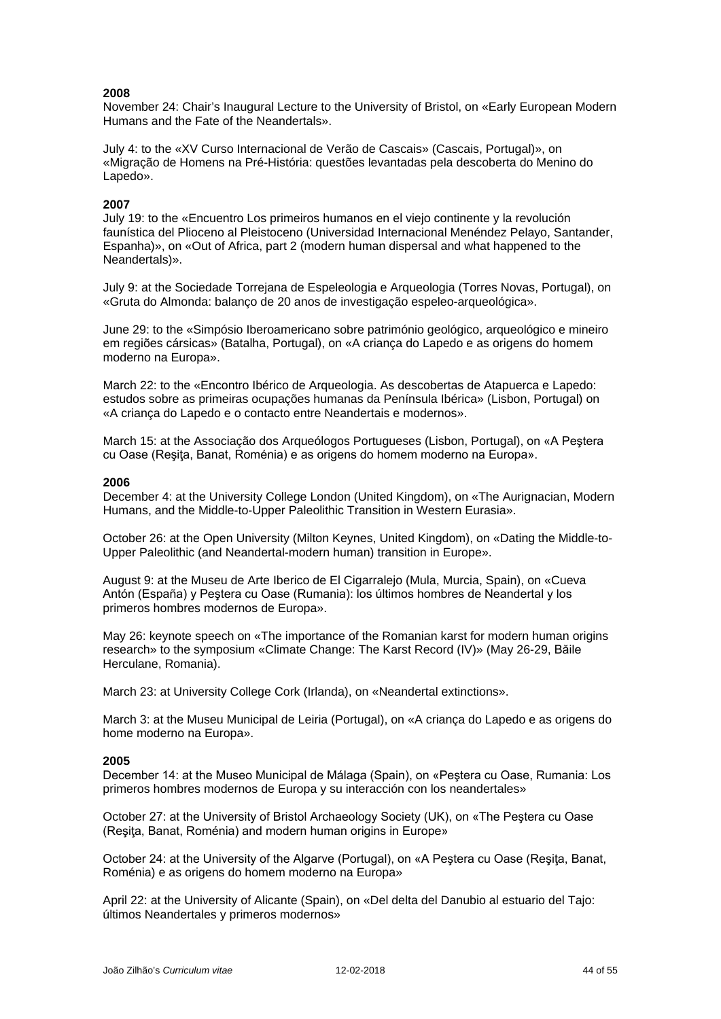November 24: Chair's Inaugural Lecture to the University of Bristol, on «Early European Modern Humans and the Fate of the Neandertals».

July 4: to the «XV Curso Internacional de Verão de Cascais» (Cascais, Portugal)», on «Migração de Homens na Pré-História: questões levantadas pela descoberta do Menino do Lapedo».

### **2007**

July 19: to the «Encuentro Los primeiros humanos en el viejo continente y la revolución faunística del Plioceno al Pleistoceno (Universidad Internacional Menéndez Pelayo, Santander, Espanha)», on «Out of Africa, part 2 (modern human dispersal and what happened to the Neandertals)».

July 9: at the Sociedade Torrejana de Espeleologia e Arqueologia (Torres Novas, Portugal), on «Gruta do Almonda: balanço de 20 anos de investigação espeleo-arqueológica».

June 29: to the «Simpósio Iberoamericano sobre património geológico, arqueológico e mineiro em regiões cársicas» (Batalha, Portugal), on «A criança do Lapedo e as origens do homem moderno na Europa».

March 22: to the «Encontro Ibérico de Arqueologia. As descobertas de Atapuerca e Lapedo: estudos sobre as primeiras ocupações humanas da Península Ibérica» (Lisbon, Portugal) on «A criança do Lapedo e o contacto entre Neandertais e modernos».

March 15: at the Associação dos Arqueólogos Portugueses (Lisbon, Portugal), on «A Peştera cu Oase (Reşiţa, Banat, Roménia) e as origens do homem moderno na Europa».

#### **2006**

December 4: at the University College London (United Kingdom), on «The Aurignacian, Modern Humans, and the Middle-to-Upper Paleolithic Transition in Western Eurasia».

October 26: at the Open University (Milton Keynes, United Kingdom), on «Dating the Middle-to-Upper Paleolithic (and Neandertal-modern human) transition in Europe».

August 9: at the Museu de Arte Iberico de El Cigarralejo (Mula, Murcia, Spain), on «Cueva Antón (España) y Peştera cu Oase (Rumania): los últimos hombres de Neandertal y los primeros hombres modernos de Europa».

May 26: keynote speech on «The importance of the Romanian karst for modern human origins research» to the symposium «Climate Change: The Karst Record (IV)» (May 26-29, Băile Herculane, Romania).

March 23: at University College Cork (Irlanda), on «Neandertal extinctions».

March 3: at the Museu Municipal de Leiria (Portugal), on «A criança do Lapedo e as origens do home moderno na Europa».

#### **2005**

December 14: at the Museo Municipal de Málaga (Spain), on «Peştera cu Oase, Rumania: Los primeros hombres modernos de Europa y su interacción con los neandertales»

October 27: at the University of Bristol Archaeology Society (UK), on «The Peştera cu Oase (Resita, Banat, Roménia) and modern human origins in Europe»

October 24: at the University of the Algarve (Portugal), on «A Pestera cu Oase (Resita, Banat, Roménia) e as origens do homem moderno na Europa»

April 22: at the University of Alicante (Spain), on «Del delta del Danubio al estuario del Tajo: últimos Neandertales y primeros modernos»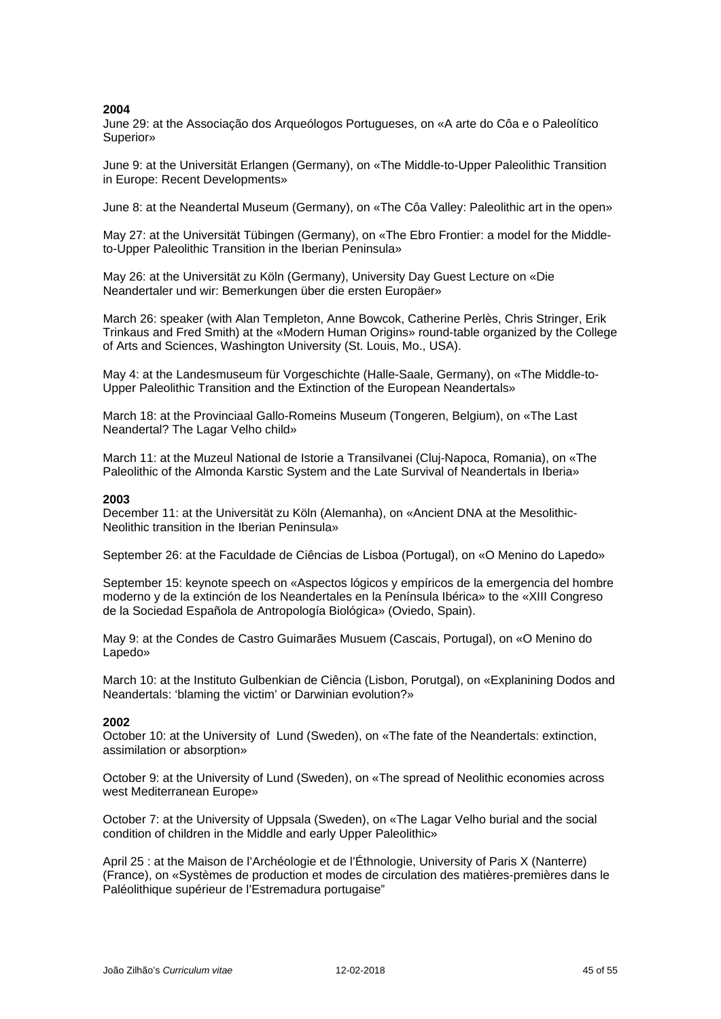June 29: at the Associação dos Arqueólogos Portugueses, on «A arte do Côa e o Paleolítico Superior»

June 9: at the Universität Erlangen (Germany), on «The Middle-to-Upper Paleolithic Transition in Europe: Recent Developments»

June 8: at the Neandertal Museum (Germany), on «The Côa Valley: Paleolithic art in the open»

May 27: at the Universität Tübingen (Germany), on «The Ebro Frontier: a model for the Middleto-Upper Paleolithic Transition in the Iberian Peninsula»

May 26: at the Universität zu Köln (Germany), University Day Guest Lecture on «Die Neandertaler und wir: Bemerkungen über die ersten Europäer»

March 26: speaker (with Alan Templeton, Anne Bowcok, Catherine Perlès, Chris Stringer, Erik Trinkaus and Fred Smith) at the «Modern Human Origins» round-table organized by the College of Arts and Sciences, Washington University (St. Louis, Mo., USA).

May 4: at the Landesmuseum für Vorgeschichte (Halle-Saale, Germany), on «The Middle-to-Upper Paleolithic Transition and the Extinction of the European Neandertals»

March 18: at the Provinciaal Gallo-Romeins Museum (Tongeren, Belgium), on «The Last Neandertal? The Lagar Velho child»

March 11: at the Muzeul National de Istorie a Transilvanei (Cluj-Napoca, Romania), on «The Paleolithic of the Almonda Karstic System and the Late Survival of Neandertals in Iberia»

#### **2003**

December 11: at the Universität zu Köln (Alemanha), on «Ancient DNA at the Mesolithic-Neolithic transition in the Iberian Peninsula»

September 26: at the Faculdade de Ciências de Lisboa (Portugal), on «O Menino do Lapedo»

September 15: keynote speech on «Aspectos lógicos y empíricos de la emergencia del hombre moderno y de la extinción de los Neandertales en la Península Ibérica» to the «XIII Congreso de la Sociedad Española de Antropología Biológica» (Oviedo, Spain).

May 9: at the Condes de Castro Guimarães Musuem (Cascais, Portugal), on «O Menino do Lapedo»

March 10: at the Instituto Gulbenkian de Ciência (Lisbon, Porutgal), on «Explanining Dodos and Neandertals: 'blaming the victim' or Darwinian evolution?»

#### **2002**

October 10: at the University of Lund (Sweden), on «The fate of the Neandertals: extinction, assimilation or absorption»

October 9: at the University of Lund (Sweden), on «The spread of Neolithic economies across west Mediterranean Europe»

October 7: at the University of Uppsala (Sweden), on «The Lagar Velho burial and the social condition of children in the Middle and early Upper Paleolithic»

April 25 : at the Maison de l'Archéologie et de l'Éthnologie, University of Paris X (Nanterre) (France), on «Systèmes de production et modes de circulation des matières-premières dans le Paléolithique supérieur de l'Estremadura portugaise"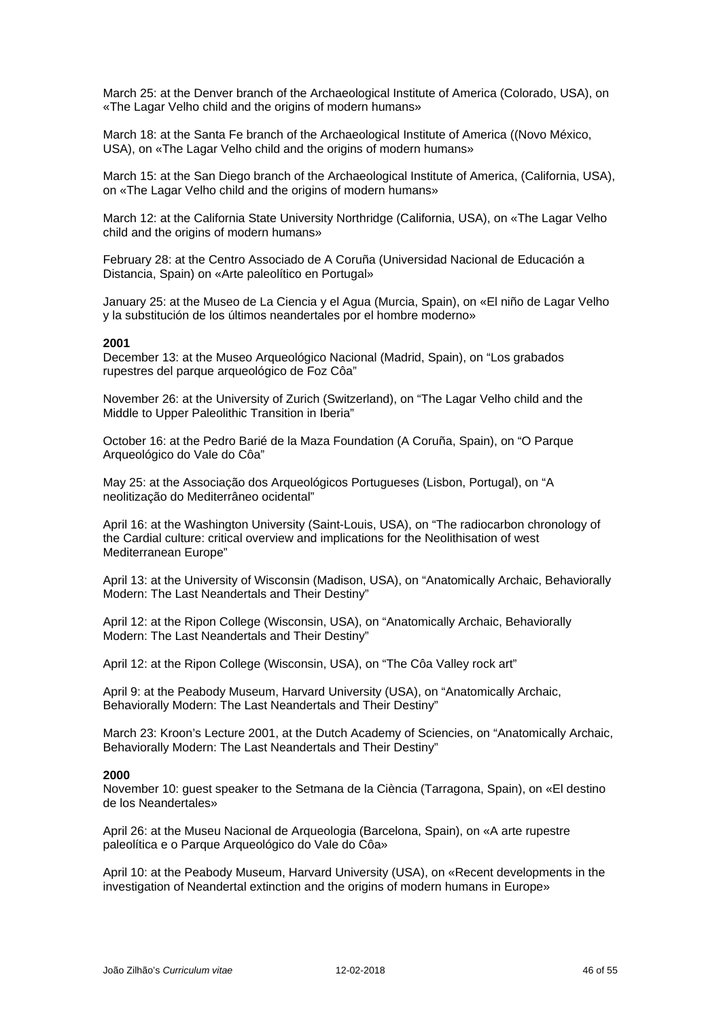March 25: at the Denver branch of the Archaeological Institute of America (Colorado, USA), on «The Lagar Velho child and the origins of modern humans»

March 18: at the Santa Fe branch of the Archaeological Institute of America ((Novo México, USA), on «The Lagar Velho child and the origins of modern humans»

March 15: at the San Diego branch of the Archaeological Institute of America, (California, USA), on «The Lagar Velho child and the origins of modern humans»

March 12: at the California State University Northridge (California, USA), on «The Lagar Velho child and the origins of modern humans»

February 28: at the Centro Associado de A Coruña (Universidad Nacional de Educación a Distancia, Spain) on «Arte paleolítico en Portugal»

January 25: at the Museo de La Ciencia y el Agua (Murcia, Spain), on «El niño de Lagar Velho y la substitución de los últimos neandertales por el hombre moderno»

#### **2001**

December 13: at the Museo Arqueológico Nacional (Madrid, Spain), on "Los grabados rupestres del parque arqueológico de Foz Côa"

November 26: at the University of Zurich (Switzerland), on "The Lagar Velho child and the Middle to Upper Paleolithic Transition in Iberia"

October 16: at the Pedro Barié de la Maza Foundation (A Coruña, Spain), on "O Parque Arqueológico do Vale do Côa"

May 25: at the Associação dos Arqueológicos Portugueses (Lisbon, Portugal), on "A neolitização do Mediterrâneo ocidental"

April 16: at the Washington University (Saint-Louis, USA), on "The radiocarbon chronology of the Cardial culture: critical overview and implications for the Neolithisation of west Mediterranean Europe"

April 13: at the University of Wisconsin (Madison, USA), on "Anatomically Archaic, Behaviorally Modern: The Last Neandertals and Their Destiny"

April 12: at the Ripon College (Wisconsin, USA), on "Anatomically Archaic, Behaviorally Modern: The Last Neandertals and Their Destiny"

April 12: at the Ripon College (Wisconsin, USA), on "The Côa Valley rock art"

April 9: at the Peabody Museum, Harvard University (USA), on "Anatomically Archaic, Behaviorally Modern: The Last Neandertals and Their Destiny"

March 23: Kroon's Lecture 2001, at the Dutch Academy of Sciencies, on "Anatomically Archaic, Behaviorally Modern: The Last Neandertals and Their Destiny"

#### **2000**

November 10: guest speaker to the Setmana de la Ciència (Tarragona, Spain), on «El destino de los Neandertales»

April 26: at the Museu Nacional de Arqueologia (Barcelona, Spain), on «A arte rupestre paleolítica e o Parque Arqueológico do Vale do Côa»

April 10: at the Peabody Museum, Harvard University (USA), on «Recent developments in the investigation of Neandertal extinction and the origins of modern humans in Europe»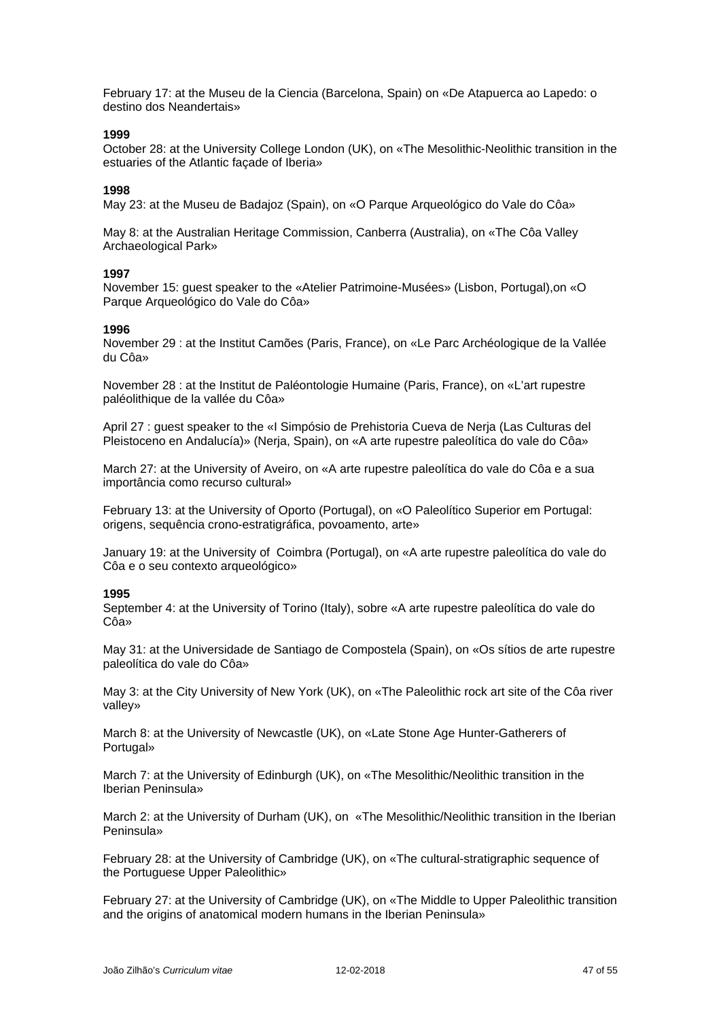February 17: at the Museu de la Ciencia (Barcelona, Spain) on «De Atapuerca ao Lapedo: o destino dos Neandertais»

#### **1999**

October 28: at the University College London (UK), on «The Mesolithic-Neolithic transition in the estuaries of the Atlantic façade of Iberia»

#### **1998**

May 23: at the Museu de Badajoz (Spain), on «O Parque Arqueológico do Vale do Côa»

May 8: at the Australian Heritage Commission, Canberra (Australia), on «The Côa Valley Archaeological Park»

#### **1997**

November 15: guest speaker to the «Atelier Patrimoine-Musées» (Lisbon, Portugal),on «O Parque Arqueológico do Vale do Côa»

#### **1996**

November 29 : at the Institut Camões (Paris, France), on «Le Parc Archéologique de la Vallée du Côa»

November 28 : at the Institut de Paléontologie Humaine (Paris, France), on «L'art rupestre paléolithique de la vallée du Côa»

April 27 : guest speaker to the «I Simpósio de Prehistoria Cueva de Nerja (Las Culturas del Pleistoceno en Andalucía)» (Nerja, Spain), on «A arte rupestre paleolítica do vale do Côa»

March 27: at the University of Aveiro, on «A arte rupestre paleolítica do vale do Côa e a sua importância como recurso cultural»

February 13: at the University of Oporto (Portugal), on «O Paleolítico Superior em Portugal: origens, sequência crono-estratigráfica, povoamento, arte»

January 19: at the University of Coimbra (Portugal), on «A arte rupestre paleolítica do vale do Côa e o seu contexto arqueológico»

#### **1995**

September 4: at the University of Torino (Italy), sobre «A arte rupestre paleolítica do vale do Côa»

May 31: at the Universidade de Santiago de Compostela (Spain), on «Os sítios de arte rupestre paleolítica do vale do Côa»

May 3: at the City University of New York (UK), on «The Paleolithic rock art site of the Côa river valley»

March 8: at the University of Newcastle (UK), on «Late Stone Age Hunter-Gatherers of Portugal»

March 7: at the University of Edinburgh (UK), on «The Mesolithic/Neolithic transition in the Iberian Peninsula»

March 2: at the University of Durham (UK), on «The Mesolithic/Neolithic transition in the Iberian Peninsula»

February 28: at the University of Cambridge (UK), on «The cultural-stratigraphic sequence of the Portuguese Upper Paleolithic»

February 27: at the University of Cambridge (UK), on «The Middle to Upper Paleolithic transition and the origins of anatomical modern humans in the Iberian Peninsula»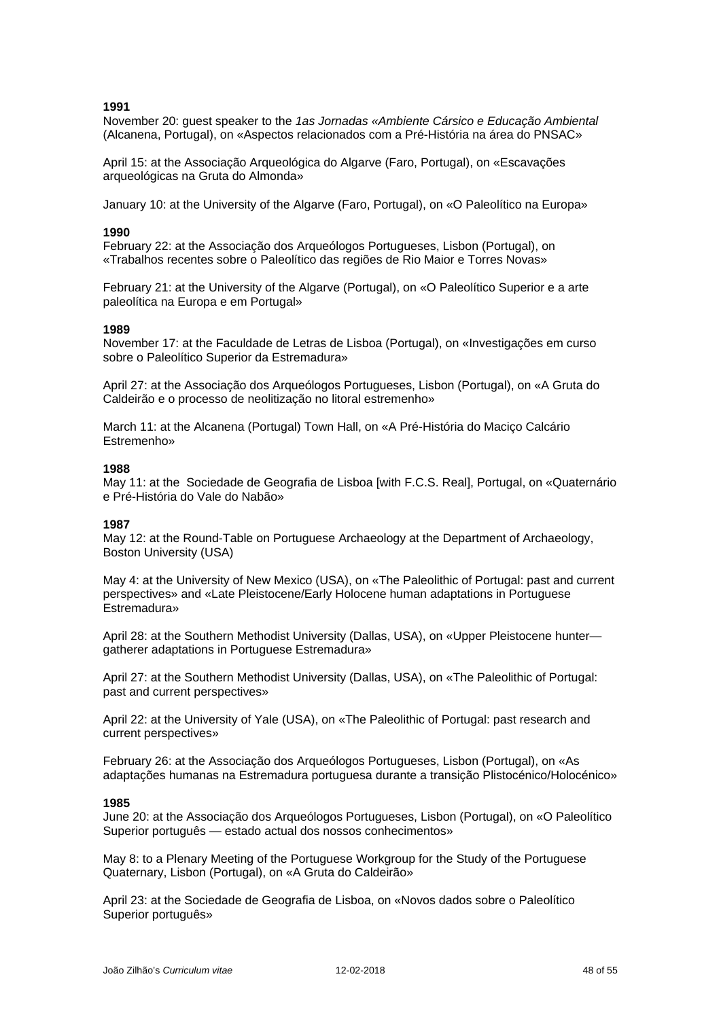November 20: guest speaker to the *1as Jornadas «Ambiente Cársico e Educação Ambiental* (Alcanena, Portugal), on «Aspectos relacionados com a Pré-História na área do PNSAC»

April 15: at the Associação Arqueológica do Algarve (Faro, Portugal), on «Escavações arqueológicas na Gruta do Almonda»

January 10: at the University of the Algarve (Faro, Portugal), on «O Paleolítico na Europa»

#### **1990**

February 22: at the Associação dos Arqueólogos Portugueses, Lisbon (Portugal), on «Trabalhos recentes sobre o Paleolítico das regiões de Rio Maior e Torres Novas»

February 21: at the University of the Algarve (Portugal), on «O Paleolítico Superior e a arte paleolítica na Europa e em Portugal»

#### **1989**

November 17: at the Faculdade de Letras de Lisboa (Portugal), on «Investigações em curso sobre o Paleolítico Superior da Estremadura»

April 27: at the Associação dos Arqueólogos Portugueses, Lisbon (Portugal), on «A Gruta do Caldeirão e o processo de neolitização no litoral estremenho»

March 11: at the Alcanena (Portugal) Town Hall, on «A Pré-História do Maciço Calcário Estremenho»

#### **1988**

May 11: at the Sociedade de Geografia de Lisboa [with F.C.S. Real], Portugal, on «Quaternário e Pré-História do Vale do Nabão»

#### **1987**

May 12: at the Round-Table on Portuguese Archaeology at the Department of Archaeology, Boston University (USA)

May 4: at the University of New Mexico (USA), on «The Paleolithic of Portugal: past and current perspectives» and «Late Pleistocene/Early Holocene human adaptations in Portuguese Estremadura»

April 28: at the Southern Methodist University (Dallas, USA), on «Upper Pleistocene hunter gatherer adaptations in Portuguese Estremadura»

April 27: at the Southern Methodist University (Dallas, USA), on «The Paleolithic of Portugal: past and current perspectives»

April 22: at the University of Yale (USA), on «The Paleolithic of Portugal: past research and current perspectives»

February 26: at the Associação dos Arqueólogos Portugueses, Lisbon (Portugal), on «As adaptações humanas na Estremadura portuguesa durante a transição Plistocénico/Holocénico»

#### **1985**

June 20: at the Associação dos Arqueólogos Portugueses, Lisbon (Portugal), on «O Paleolítico Superior português — estado actual dos nossos conhecimentos»

May 8: to a Plenary Meeting of the Portuguese Workgroup for the Study of the Portuguese Quaternary, Lisbon (Portugal), on «A Gruta do Caldeirão»

April 23: at the Sociedade de Geografia de Lisboa, on «Novos dados sobre o Paleolítico Superior português»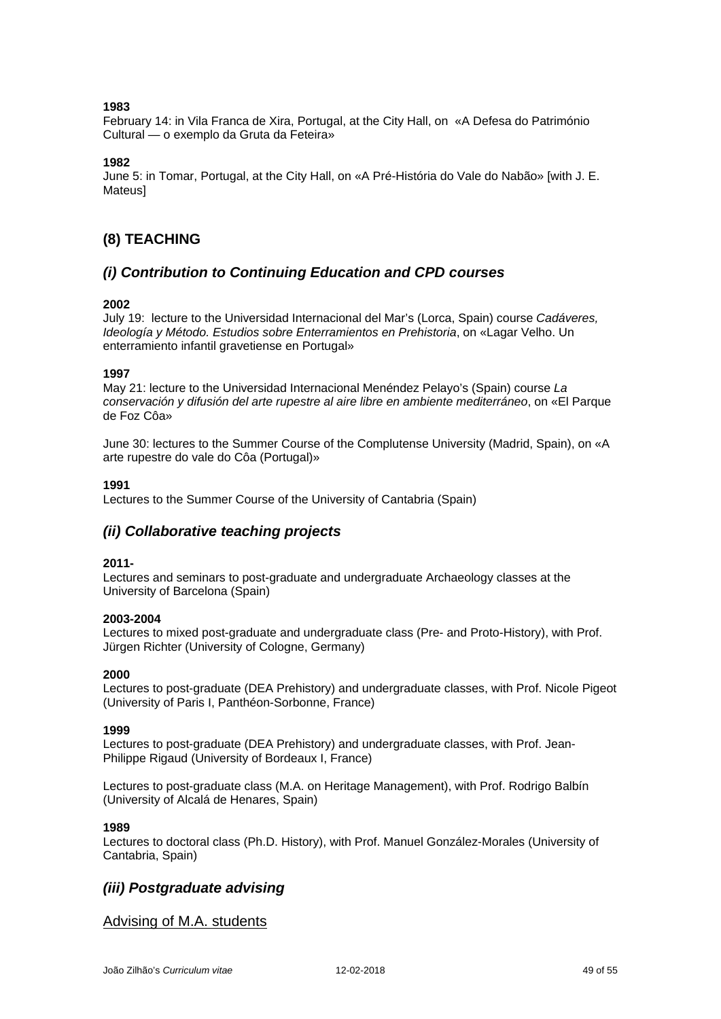February 14: in Vila Franca de Xira, Portugal, at the City Hall, on «A Defesa do Património Cultural — o exemplo da Gruta da Feteira»

### **1982**

June 5: in Tomar, Portugal, at the City Hall, on «A Pré-História do Vale do Nabão» [with J. E. Mateus]

# **(8) TEACHING**

# *(i) Contribution to Continuing Education and CPD courses*

### **2002**

July 19: lecture to the Universidad Internacional del Mar's (Lorca, Spain) course *Cadáveres, Ideología y Método. Estudios sobre Enterramientos en Prehistoria*, on «Lagar Velho. Un enterramiento infantil gravetiense en Portugal»

### **1997**

May 21: lecture to the Universidad Internacional Menéndez Pelayo's (Spain) course *La conservación y difusión del arte rupestre al aire libre en ambiente mediterráneo*, on «El Parque de Foz Côa»

June 30: lectures to the Summer Course of the Complutense University (Madrid, Spain), on «A arte rupestre do vale do Côa (Portugal)»

### **1991**

Lectures to the Summer Course of the University of Cantabria (Spain)

# *(ii) Collaborative teaching projects*

### **2011-**

Lectures and seminars to post-graduate and undergraduate Archaeology classes at the University of Barcelona (Spain)

### **2003-2004**

Lectures to mixed post-graduate and undergraduate class (Pre- and Proto-History), with Prof. Jürgen Richter (University of Cologne, Germany)

### **2000**

Lectures to post-graduate (DEA Prehistory) and undergraduate classes, with Prof. Nicole Pigeot (University of Paris I, Panthéon-Sorbonne, France)

### **1999**

Lectures to post-graduate (DEA Prehistory) and undergraduate classes, with Prof. Jean-Philippe Rigaud (University of Bordeaux I, France)

Lectures to post-graduate class (M.A. on Heritage Management), with Prof. Rodrigo Balbín (University of Alcalá de Henares, Spain)

### **1989**

Lectures to doctoral class (Ph.D. History), with Prof. Manuel González-Morales (University of Cantabria, Spain)

# *(iii) Postgraduate advising*

Advising of M.A. students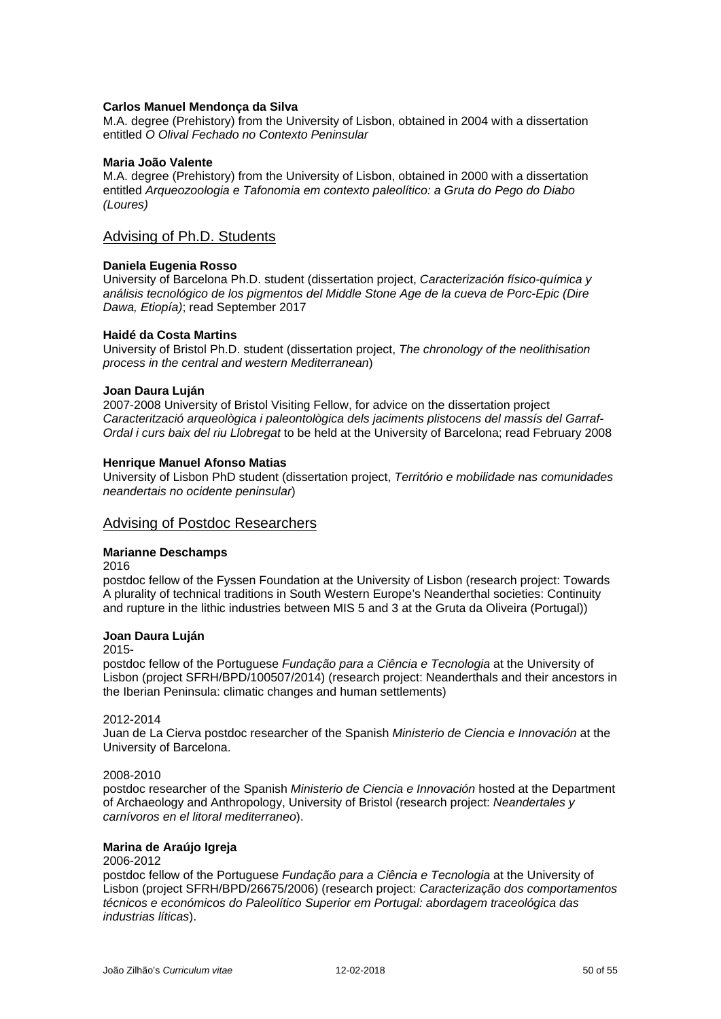### **Carlos Manuel Mendonça da Silva**

M.A. degree (Prehistory) from the University of Lisbon, obtained in 2004 with a dissertation entitled *O Olival Fechado no Contexto Peninsular*

### **Maria João Valente**

M.A. degree (Prehistory) from the University of Lisbon, obtained in 2000 with a dissertation entitled *Arqueozoologia e Tafonomia em contexto paleolítico: a Gruta do Pego do Diabo (Loures)*

### Advising of Ph.D. Students

### **Daniela Eugenia Rosso**

University of Barcelona Ph.D. student (dissertation project, *Caracterización físico-química y análisis tecnológico de los pigmentos del Middle Stone Age de la cueva de Porc-Epic (Dire Dawa, Etiopía)*; read September 2017

### **Haidé da Costa Martins**

University of Bristol Ph.D. student (dissertation project, *The chronology of the neolithisation process in the central and western Mediterranean*)

### **Joan Daura Luján**

2007-2008 University of Bristol Visiting Fellow, for advice on the dissertation project *Caracterització arqueològica i paleontològica dels jaciments plistocens del massís del Garraf-Ordal i curs baix del riu Llobregat* to be held at the University of Barcelona; read February 2008

### **Henrique Manuel Afonso Matias**

University of Lisbon PhD student (dissertation project, *Território e mobilidade nas comunidades neandertais no ocidente peninsular*)

### Advising of Postdoc Researchers

### **Marianne Deschamps**

2016

postdoc fellow of the Fyssen Foundation at the University of Lisbon (research project: Towards A plurality of technical traditions in South Western Europe's Neanderthal societies: Continuity and rupture in the lithic industries between MIS 5 and 3 at the Gruta da Oliveira (Portugal))

### **Joan Daura Luján**

2015-

postdoc fellow of the Portuguese *Fundação para a Ciência e Tecnologia* at the University of Lisbon (project SFRH/BPD/100507/2014) (research project: Neanderthals and their ancestors in the Iberian Peninsula: climatic changes and human settlements)

### 2012-2014

Juan de La Cierva postdoc researcher of the Spanish *Ministerio de Ciencia e Innovación* at the University of Barcelona.

### 2008-2010

postdoc researcher of the Spanish *Ministerio de Ciencia e Innovación* hosted at the Department of Archaeology and Anthropology, University of Bristol (research project: *Neandertales y carnívoros en el litoral mediterraneo*).

### **Marina de Araújo Igreja**

### 2006-2012

postdoc fellow of the Portuguese *Fundação para a Ciência e Tecnologia* at the University of Lisbon (project SFRH/BPD/26675/2006) (research project: *Caracterização dos comportamentos técnicos e económicos do Paleolítico Superior em Portugal: abordagem traceológica das industrias líticas*).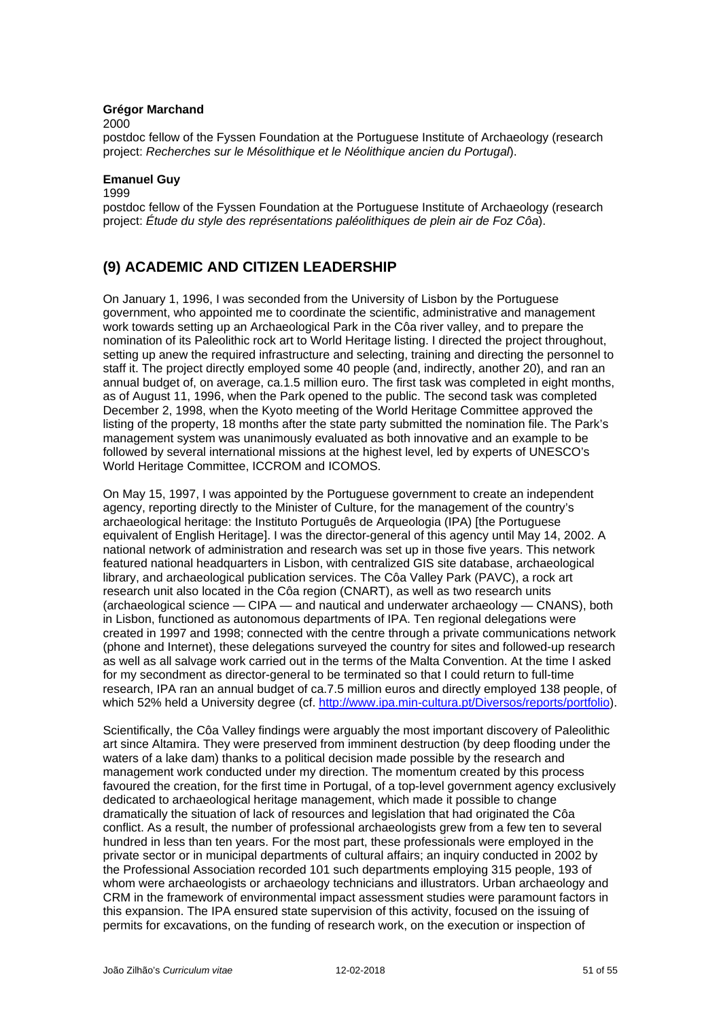### **Grégor Marchand**

2000

postdoc fellow of the Fyssen Foundation at the Portuguese Institute of Archaeology (research project: *Recherches sur le Mésolithique et le Néolithique ancien du Portugal*).

### **Emanuel Guy**

1999

postdoc fellow of the Fyssen Foundation at the Portuguese Institute of Archaeology (research project: *Étude du style des représentations paléolithiques de plein air de Foz Côa*).

# **(9) ACADEMIC AND CITIZEN LEADERSHIP**

On January 1, 1996, I was seconded from the University of Lisbon by the Portuguese government, who appointed me to coordinate the scientific, administrative and management work towards setting up an Archaeological Park in the Côa river valley, and to prepare the nomination of its Paleolithic rock art to World Heritage listing. I directed the project throughout, setting up anew the required infrastructure and selecting, training and directing the personnel to staff it. The project directly employed some 40 people (and, indirectly, another 20), and ran an annual budget of, on average, ca.1.5 million euro. The first task was completed in eight months, as of August 11, 1996, when the Park opened to the public. The second task was completed December 2, 1998, when the Kyoto meeting of the World Heritage Committee approved the listing of the property, 18 months after the state party submitted the nomination file. The Park's management system was unanimously evaluated as both innovative and an example to be followed by several international missions at the highest level, led by experts of UNESCO's World Heritage Committee, ICCROM and ICOMOS.

On May 15, 1997, I was appointed by the Portuguese government to create an independent agency, reporting directly to the Minister of Culture, for the management of the country's archaeological heritage: the Instituto Português de Arqueologia (IPA) [the Portuguese equivalent of English Heritage]. I was the director-general of this agency until May 14, 2002. A national network of administration and research was set up in those five years. This network featured national headquarters in Lisbon, with centralized GIS site database, archaeological library, and archaeological publication services. The Côa Valley Park (PAVC), a rock art research unit also located in the Côa region (CNART), as well as two research units (archaeological science — CIPA — and nautical and underwater archaeology — CNANS), both in Lisbon, functioned as autonomous departments of IPA. Ten regional delegations were created in 1997 and 1998; connected with the centre through a private communications network (phone and Internet), these delegations surveyed the country for sites and followed-up research as well as all salvage work carried out in the terms of the Malta Convention. At the time I asked for my secondment as director-general to be terminated so that I could return to full-time research, IPA ran an annual budget of ca.7.5 million euros and directly employed 138 people, of which 52% held a University degree (cf. [http://www.ipa.min-cultura.pt/Diversos/reports/portfolio\)](http://www.ipa.min-cultura.pt/Diversos/reports/portfolio).

Scientifically, the Côa Valley findings were arguably the most important discovery of Paleolithic art since Altamira. They were preserved from imminent destruction (by deep flooding under the waters of a lake dam) thanks to a political decision made possible by the research and management work conducted under my direction. The momentum created by this process favoured the creation, for the first time in Portugal, of a top-level government agency exclusively dedicated to archaeological heritage management, which made it possible to change dramatically the situation of lack of resources and legislation that had originated the Côa conflict. As a result, the number of professional archaeologists grew from a few ten to several hundred in less than ten years. For the most part, these professionals were employed in the private sector or in municipal departments of cultural affairs; an inquiry conducted in 2002 by the Professional Association recorded 101 such departments employing 315 people, 193 of whom were archaeologists or archaeology technicians and illustrators. Urban archaeology and CRM in the framework of environmental impact assessment studies were paramount factors in this expansion. The IPA ensured state supervision of this activity, focused on the issuing of permits for excavations, on the funding of research work, on the execution or inspection of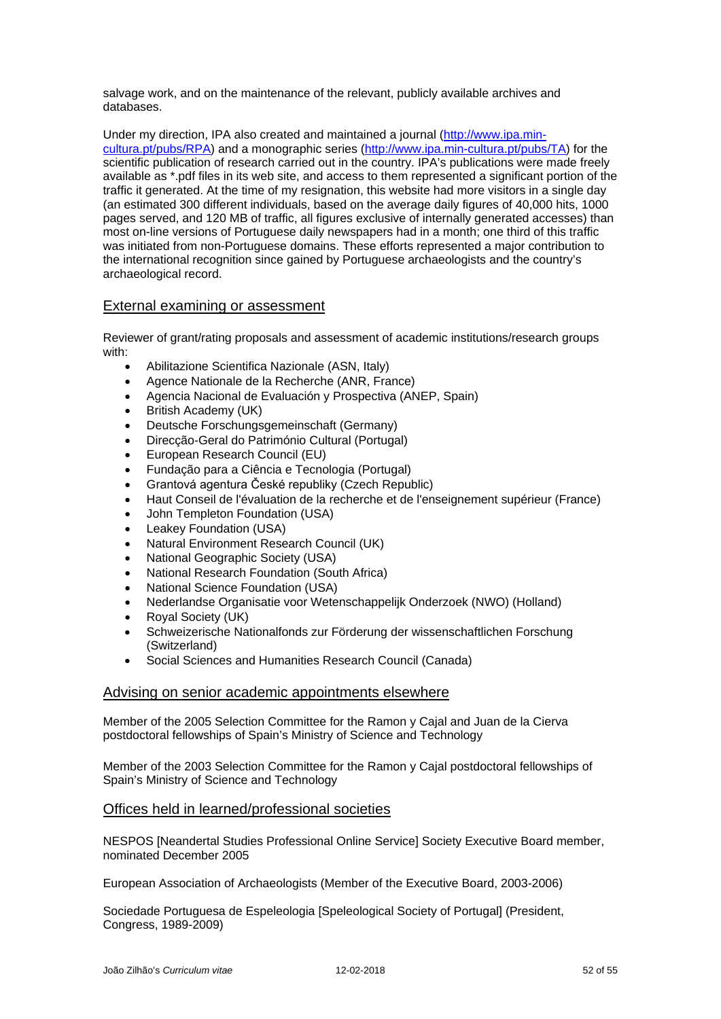salvage work, and on the maintenance of the relevant, publicly available archives and databases.

Under my direction, IPA also created and maintained a journal [\(http://www.ipa.min](http://www.ipa.min-cultura.pt/pubs/RPA)[cultura.pt/pubs/RPA\)](http://www.ipa.min-cultura.pt/pubs/RPA) and a monographic series [\(http://www.ipa.min-cultura.pt/pubs/TA\)](http://www.ipa.min-cultura.pt/pubs/TA) for the scientific publication of research carried out in the country. IPA's publications were made freely available as \*.pdf files in its web site, and access to them represented a significant portion of the traffic it generated. At the time of my resignation, this website had more visitors in a single day (an estimated 300 different individuals, based on the average daily figures of 40,000 hits, 1000 pages served, and 120 MB of traffic, all figures exclusive of internally generated accesses) than most on-line versions of Portuguese daily newspapers had in a month; one third of this traffic was initiated from non-Portuguese domains. These efforts represented a major contribution to the international recognition since gained by Portuguese archaeologists and the country's archaeological record.

### External examining or assessment

Reviewer of grant/rating proposals and assessment of academic institutions/research groups with:

- Abilitazione Scientifica Nazionale (ASN, Italy)
- Agence Nationale de la Recherche (ANR, France)
- Agencia Nacional de Evaluación y Prospectiva (ANEP, Spain)
- British Academy (UK)
- Deutsche Forschungsgemeinschaft (Germany)
- Direcção-Geral do Património Cultural (Portugal)
- European Research Council (EU)
- Fundação para a Ciência e Tecnologia (Portugal)
- Grantová agentura České republiky (Czech Republic)
- Haut Conseil de l'évaluation de la recherche et de l'enseignement supérieur (France)
- John Templeton Foundation (USA)
- Leakey Foundation (USA)
- Natural Environment Research Council (UK)
- National Geographic Society (USA)
- National Research Foundation (South Africa)
- National Science Foundation (USA)
- Nederlandse Organisatie voor Wetenschappelijk Onderzoek (NWO) (Holland)
- Royal Society (UK)
- Schweizerische Nationalfonds zur Förderung der wissenschaftlichen Forschung (Switzerland)
- Social Sciences and Humanities Research Council (Canada)

### Advising on senior academic appointments elsewhere

Member of the 2005 Selection Committee for the Ramon y Cajal and Juan de la Cierva postdoctoral fellowships of Spain's Ministry of Science and Technology

Member of the 2003 Selection Committee for the Ramon y Cajal postdoctoral fellowships of Spain's Ministry of Science and Technology

### Offices held in learned/professional societies

NESPOS [Neandertal Studies Professional Online Service] Society Executive Board member, nominated December 2005

European Association of Archaeologists (Member of the Executive Board, 2003-2006)

Sociedade Portuguesa de Espeleologia [Speleological Society of Portugal] (President, Congress, 1989-2009)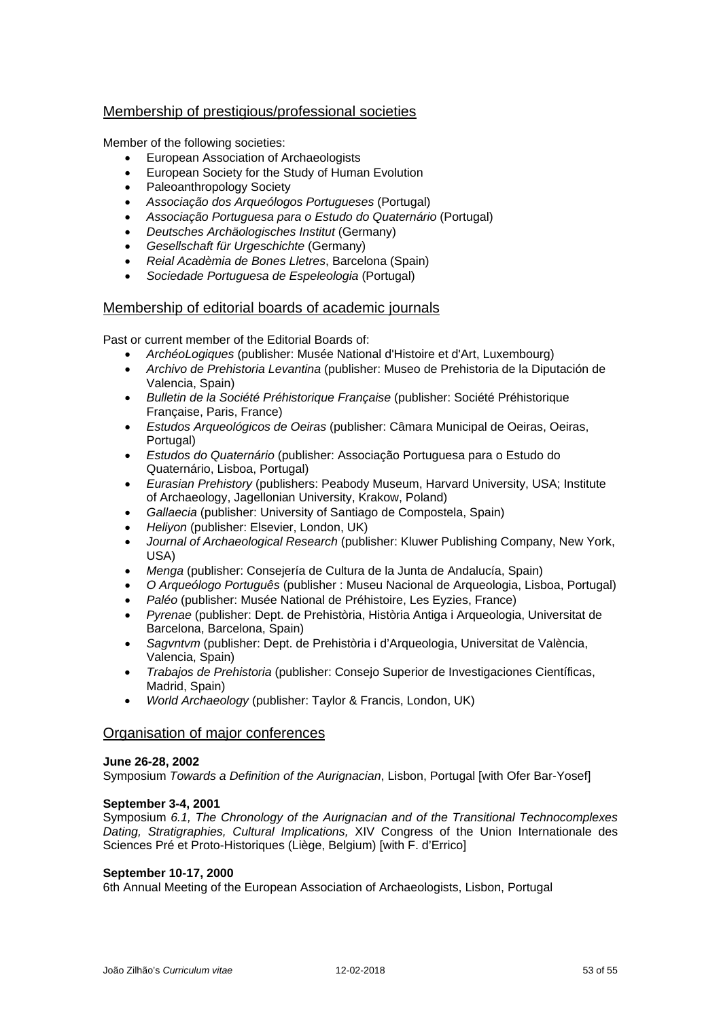# Membership of prestigious/professional societies

Member of the following societies:

- European Association of Archaeologists
- European Society for the Study of Human Evolution
- Paleoanthropology Society
- *Associação dos Arqueólogos Portugueses* (Portugal)
- *Associação Portuguesa para o Estudo do Quaternário* (Portugal)
- *Deutsches Archäologisches Institut* (Germany)
- *Gesellschaft für Urgeschichte* (Germany)
- *Reial Acadèmia de Bones Lletres*, Barcelona (Spain)
- *Sociedade Portuguesa de Espeleologia* (Portugal)

## Membership of editorial boards of academic journals

Past or current member of the Editorial Boards of:

- *ArchéoLogiques* (publisher: Musée National d'Histoire et d'Art, Luxembourg)
- *Archivo de Prehistoria Levantina* (publisher: Museo de Prehistoria de la Diputación de Valencia, Spain)
- *Bulletin de la Société Préhistorique Française* (publisher: Société Préhistorique Française, Paris, France)
- *Estudos Arqueológicos de Oeiras* (publisher: Câmara Municipal de Oeiras, Oeiras, Portugal)
- *Estudos do Quaternário* (publisher: Associação Portuguesa para o Estudo do Quaternário, Lisboa, Portugal)
- *Eurasian Prehistory* (publishers: Peabody Museum, Harvard University, USA; Institute of Archaeology, Jagellonian University, Krakow, Poland)
- *Gallaecia* (publisher: University of Santiago de Compostela, Spain)
- *Heliyon* (publisher: Elsevier, London, UK)
- *Journal of Archaeological Research* (publisher: Kluwer Publishing Company, New York, USA)
- *Menga* (publisher: Consejería de Cultura de la Junta de Andalucía, Spain)
- *O Arqueólogo Português* (publisher : Museu Nacional de Arqueologia, Lisboa, Portugal)
- *Paléo* (publisher: Musée National de Préhistoire, Les Eyzies, France)
- *Pyrenae* (publisher: Dept. de Prehistòria, Història Antiga i Arqueologia, Universitat de Barcelona, Barcelona, Spain)
- *Sagvntvm* (publisher: Dept. de Prehistòria i d'Arqueologia, Universitat de València, Valencia, Spain)
- *Trabajos de Prehistoria* (publisher: Consejo Superior de Investigaciones Científicas, Madrid, Spain)
- *World Archaeology* (publisher: Taylor & Francis, London, UK)

### Organisation of major conferences

### **June 26-28, 2002**

Symposium *Towards a Definition of the Aurignacian*, Lisbon, Portugal [with Ofer Bar-Yosef]

### **September 3-4, 2001**

Symposium *6.1, The Chronology of the Aurignacian and of the Transitional Technocomplexes Dating, Stratigraphies, Cultural Implications,* XIV Congress of the Union Internationale des Sciences Pré et Proto-Historiques (Liège, Belgium) [with F. d'Errico]

### **September 10-17, 2000**

6th Annual Meeting of the European Association of Archaeologists, Lisbon, Portugal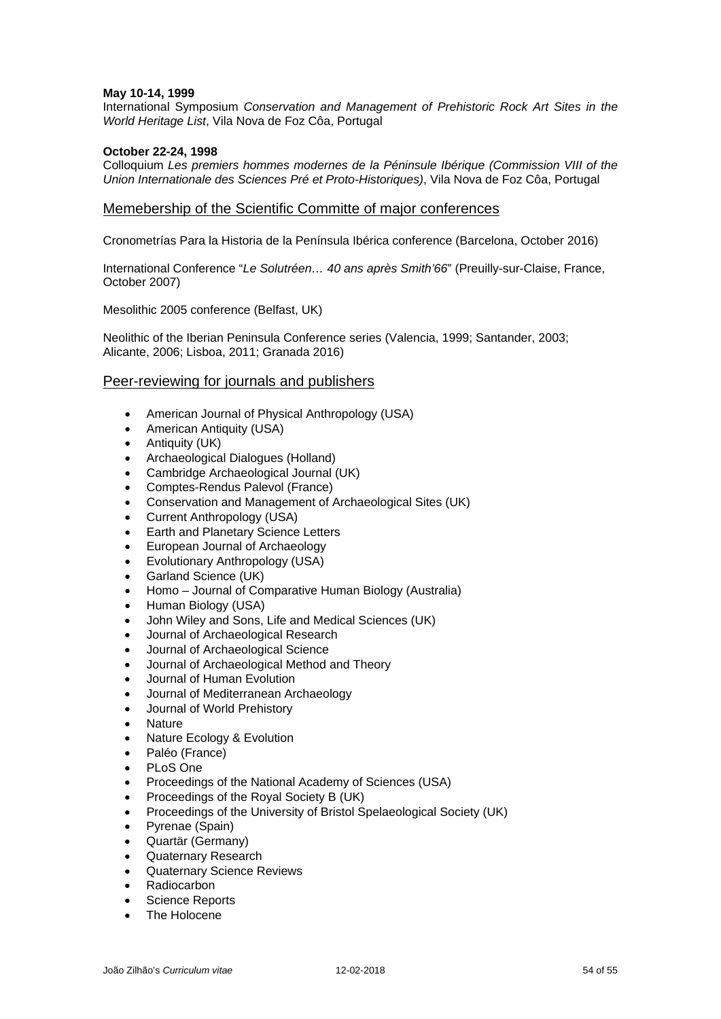### **May 10-14, 1999**

International Symposium *Conservation and Management of Prehistoric Rock Art Sites in the World Heritage List*, Vila Nova de Foz Côa, Portugal

### **October 22-24, 1998**

Colloquium *Les premiers hommes modernes de la Péninsule Ibérique (Commission VIII of the Union Internationale des Sciences Pré et Proto-Historiques)*, Vila Nova de Foz Côa, Portugal

### Memebership of the Scientific Committe of major conferences

Cronometrías Para la Historia de la Península Ibérica conference (Barcelona, October 2016)

International Conference "*Le Solutréen… 40 ans après Smith'66*" (Preuilly-sur-Claise, France, October 2007)

Mesolithic 2005 conference (Belfast, UK)

Neolithic of the Iberian Peninsula Conference series (Valencia, 1999; Santander, 2003; Alicante, 2006; Lisboa, 2011; Granada 2016)

### Peer-reviewing for journals and publishers

- American Journal of Physical Anthropology (USA)
- American Antiquity (USA)
- Antiquity (UK)
- Archaeological Dialogues (Holland)
- Cambridge Archaeological Journal (UK)
- Comptes-Rendus Palevol (France)
- Conservation and Management of Archaeological Sites (UK)
- Current Anthropology (USA)
- Earth and Planetary Science Letters
- European Journal of Archaeology
- Evolutionary Anthropology (USA)
- Garland Science (UK)
- Homo Journal of Comparative Human Biology (Australia)
- Human Biology (USA)
- John Wiley and Sons, Life and Medical Sciences (UK)
- Journal of Archaeological Research
- Journal of Archaeological Science
- Journal of Archaeological Method and Theory
- Journal of Human Evolution
- Journal of Mediterranean Archaeology
- Journal of World Prehistory
- Nature
- Nature Ecology & Evolution
- Paléo (France)
- PLoS One
- Proceedings of the National Academy of Sciences (USA)
- Proceedings of the Royal Society B (UK)
- Proceedings of the University of Bristol Spelaeological Society (UK)
- Pyrenae (Spain)
- Quartär (Germany)
- Quaternary Research
- Quaternary Science Reviews
- Radiocarbon
- Science Reports
- The Holocene